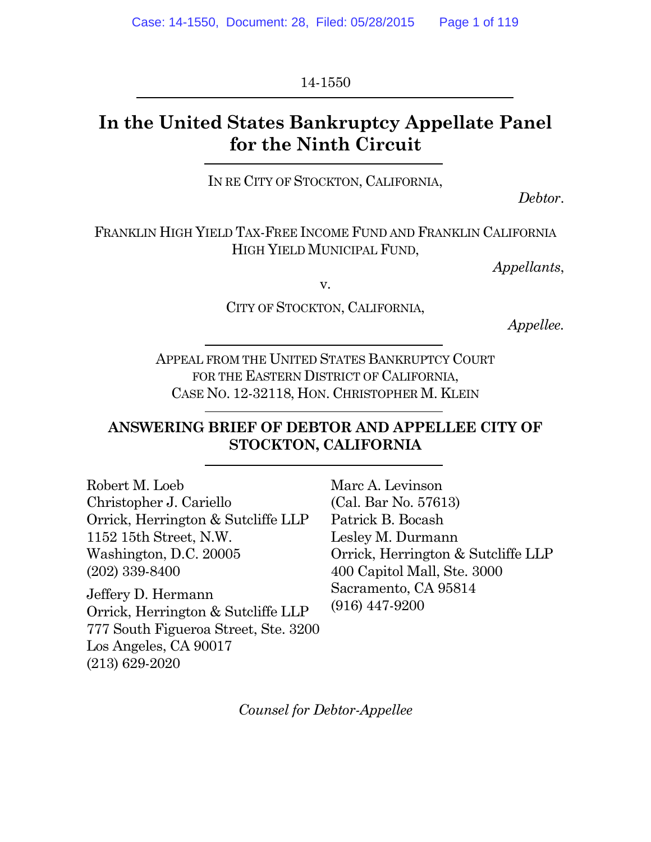14-1550

# **In the United States Bankruptcy Appellate Panel for the Ninth Circuit**

IN RE CITY OF STOCKTON, CALIFORNIA,

*Debtor*.

FRANKLIN HIGH YIELD TAX-FREE INCOME FUND AND FRANKLIN CALIFORNIA HIGH YIELD MUNICIPAL FUND,

*Appellants*,

v.

CITY OF STOCKTON, CALIFORNIA,

*Appellee.*

APPEAL FROM THE UNITED STATES BANKRUPTCY COURT FOR THE EASTERN DISTRICT OF CALIFORNIA, CASE NO. 12-32118, HON. CHRISTOPHER M. KLEIN

### **ANSWERING BRIEF OF DEBTOR AND APPELLEE CITY OF STOCKTON, CALIFORNIA**

Robert M. Loeb Christopher J. Cariello Orrick, Herrington & Sutcliffe LLP 1152 15th Street, N.W. Washington, D.C. 20005 (202) 339-8400

Jeffery D. Hermann Orrick, Herrington & Sutcliffe LLP 777 South Figueroa Street, Ste. 3200 Los Angeles, CA 90017 (213) 629-2020

Marc A. Levinson (Cal. Bar No. 57613) Patrick B. Bocash Lesley M. Durmann Orrick, Herrington & Sutcliffe LLP 400 Capitol Mall, Ste. 3000 Sacramento, CA 95814 (916) 447-9200

*Counsel for Debtor-Appellee*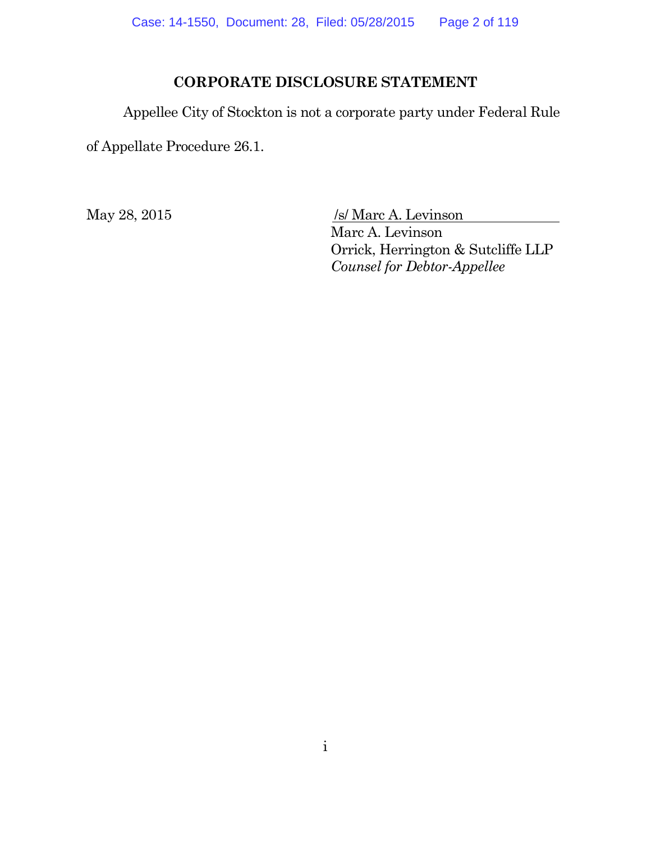### **CORPORATE DISCLOSURE STATEMENT**

Appellee City of Stockton is not a corporate party under Federal Rule

of Appellate Procedure 26.1.

May 28, 2015 /s/ Marc A. Levinson

Marc A. Levinson Orrick, Herrington & Sutcliffe LLP *Counsel for Debtor-Appellee*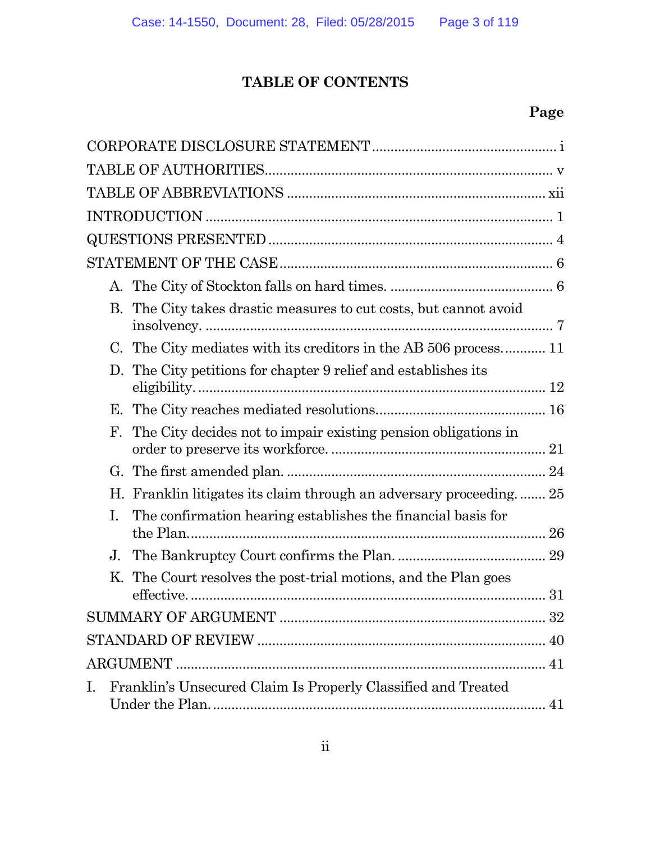# **TABLE OF CONTENTS**

# **Page**

|    | The City takes drastic measures to cut costs, but cannot avoid<br>В. |  |
|----|----------------------------------------------------------------------|--|
|    | C. The City mediates with its creditors in the AB 506 process 11     |  |
|    | The City petitions for chapter 9 relief and establishes its<br>D.    |  |
|    | Е.                                                                   |  |
|    | The City decides not to impair existing pension obligations in<br>F. |  |
|    |                                                                      |  |
|    | H. Franklin litigates its claim through an adversary proceeding 25   |  |
| Ι. | The confirmation hearing establishes the financial basis for         |  |
|    | J <sub>1</sub>                                                       |  |
|    | K. The Court resolves the post-trial motions, and the Plan goes      |  |
|    |                                                                      |  |
|    |                                                                      |  |
|    |                                                                      |  |
| Ι. | Franklin's Unsecured Claim Is Properly Classified and Treated        |  |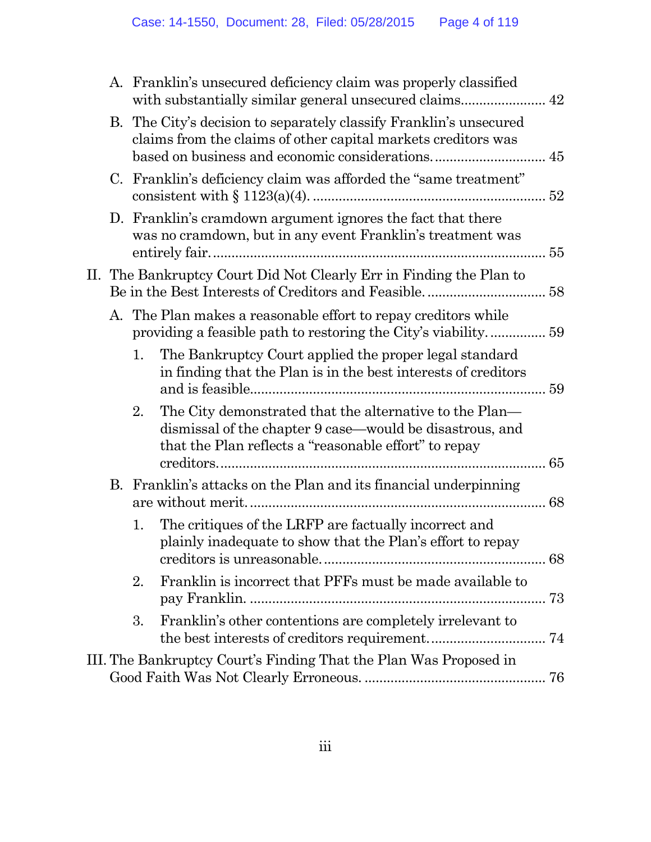|                                                                     |    | A. Franklin's unsecured deficiency claim was properly classified                                                                                                             |  |  |
|---------------------------------------------------------------------|----|------------------------------------------------------------------------------------------------------------------------------------------------------------------------------|--|--|
|                                                                     |    | B. The City's decision to separately classify Franklin's unsecured<br>claims from the claims of other capital markets creditors was                                          |  |  |
|                                                                     |    | C. Franklin's deficiency claim was afforded the "same treatment"                                                                                                             |  |  |
|                                                                     |    | D. Franklin's cramdown argument ignores the fact that there<br>was no cramdown, but in any event Franklin's treatment was                                                    |  |  |
| II. The Bankruptcy Court Did Not Clearly Err in Finding the Plan to |    |                                                                                                                                                                              |  |  |
|                                                                     |    | A. The Plan makes a reasonable effort to repay creditors while                                                                                                               |  |  |
|                                                                     | 1. | The Bankruptcy Court applied the proper legal standard<br>in finding that the Plan is in the best interests of creditors                                                     |  |  |
|                                                                     | 2. | The City demonstrated that the alternative to the Plan—<br>dismissal of the chapter 9 case—would be disastrous, and<br>that the Plan reflects a "reasonable effort" to repay |  |  |
|                                                                     |    | B. Franklin's attacks on the Plan and its financial underpinning                                                                                                             |  |  |
|                                                                     | 1. | The critiques of the LRFP are factually incorrect and<br>plainly inadequate to show that the Plan's effort to repay                                                          |  |  |
|                                                                     | 2. | Franklin is incorrect that PFFs must be made available to                                                                                                                    |  |  |
|                                                                     | 3. | Franklin's other contentions are completely irrelevant to                                                                                                                    |  |  |
|                                                                     |    | III. The Bankruptcy Court's Finding That the Plan Was Proposed in                                                                                                            |  |  |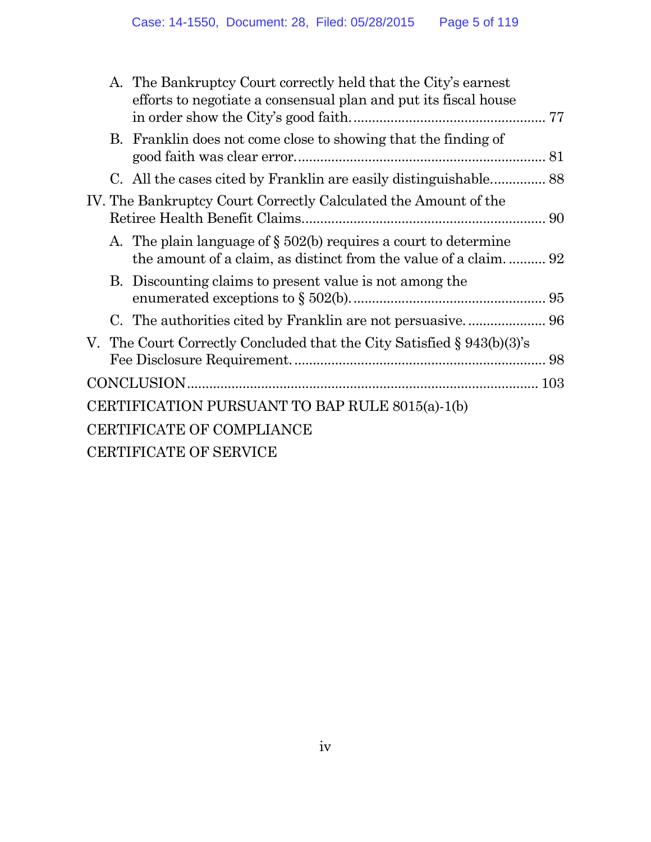|                                                                 | A. The Bankruptcy Court correctly held that the City's earnest<br>efforts to negotiate a consensual plan and put its fiscal house     |  |
|-----------------------------------------------------------------|---------------------------------------------------------------------------------------------------------------------------------------|--|
|                                                                 | B. Franklin does not come close to showing that the finding of                                                                        |  |
|                                                                 | C. All the cases cited by Franklin are easily distinguishable 88                                                                      |  |
| IV. The Bankruptcy Court Correctly Calculated the Amount of the |                                                                                                                                       |  |
|                                                                 | A. The plain language of $\S 502(b)$ requires a court to determine<br>the amount of a claim, as distinct from the value of a claim 92 |  |
|                                                                 | B. Discounting claims to present value is not among the                                                                               |  |
|                                                                 |                                                                                                                                       |  |
|                                                                 | V. The Court Correctly Concluded that the City Satisfied § 943(b)(3)'s                                                                |  |
|                                                                 |                                                                                                                                       |  |
|                                                                 | CERTIFICATION PURSUANT TO BAP RULE 8015(a)-1(b)                                                                                       |  |
|                                                                 | CERTIFICATE OF COMPLIANCE                                                                                                             |  |
|                                                                 | CERTIFICATE OF SERVICE                                                                                                                |  |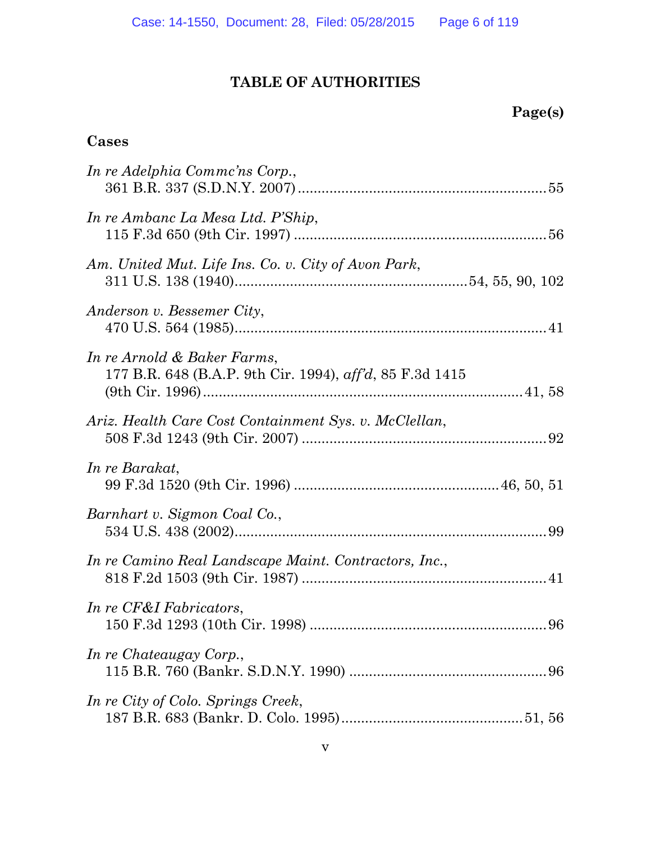# **TABLE OF AUTHORITIES**

### **Cases**

| In re Adelphia Commc'ns Corp.,                                                                  |
|-------------------------------------------------------------------------------------------------|
| In re Ambanc La Mesa Ltd. P'Ship,                                                               |
| Am. United Mut. Life Ins. Co. v. City of Avon Park,                                             |
| Anderson v. Bessemer City,                                                                      |
| In re Arnold & Baker Farms,<br>177 B.R. 648 (B.A.P. 9th Cir. 1994), $\alpha f/d$ , 85 F.3d 1415 |
| Ariz. Health Care Cost Containment Sys. v. McClellan,                                           |
| In re Barakat,                                                                                  |
| Barnhart v. Sigmon Coal Co.,                                                                    |
| In re Camino Real Landscape Maint. Contractors, Inc.,                                           |
| In re CF&I Fabricators,                                                                         |
| In re Chateaugay Corp.,                                                                         |
| In re City of Colo. Springs Creek,                                                              |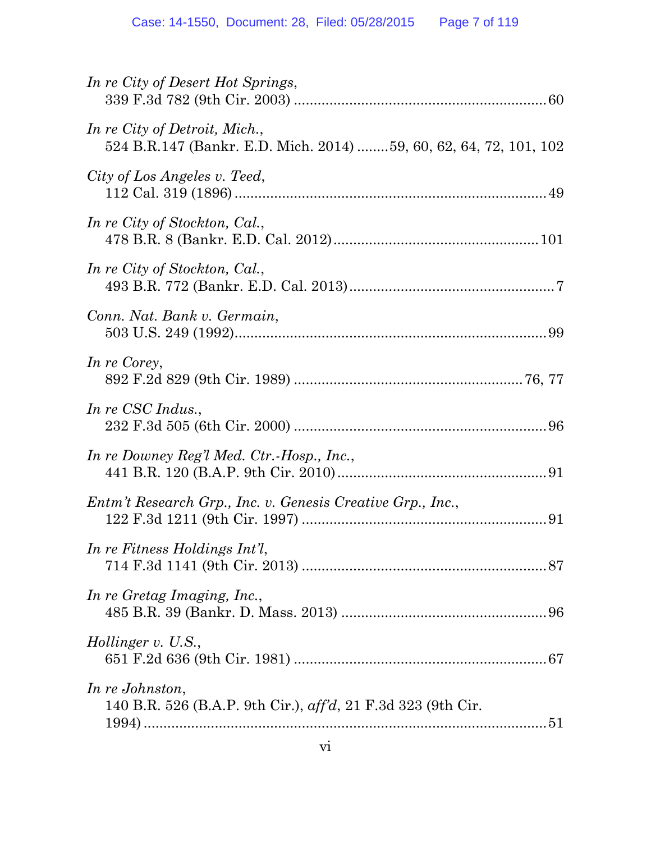| In re City of Desert Hot Springs,                                                                  |
|----------------------------------------------------------------------------------------------------|
| In re City of Detroit, Mich.,<br>524 B.R.147 (Bankr. E.D. Mich. 2014) 59, 60, 62, 64, 72, 101, 102 |
| City of Los Angeles v. Teed,                                                                       |
| In re City of Stockton, Cal.,                                                                      |
| In re City of Stockton, Cal.,                                                                      |
| Conn. Nat. Bank v. Germain,                                                                        |
| In re Corey,                                                                                       |
| In re CSC Indus.,                                                                                  |
| In re Downey Reg'l Med. Ctr.-Hosp., Inc.,                                                          |
| Entm't Research Grp., Inc. v. Genesis Creative Grp., Inc.,                                         |
| In re Fitness Holdings Int'l,                                                                      |
| In re Gretag Imaging, Inc.,                                                                        |
| <i>Hollinger v. U.S.,</i>                                                                          |
| In re Johnston,<br>140 B.R. 526 (B.A.P. 9th Cir.), aff'd, 21 F.3d 323 (9th Cir.                    |
|                                                                                                    |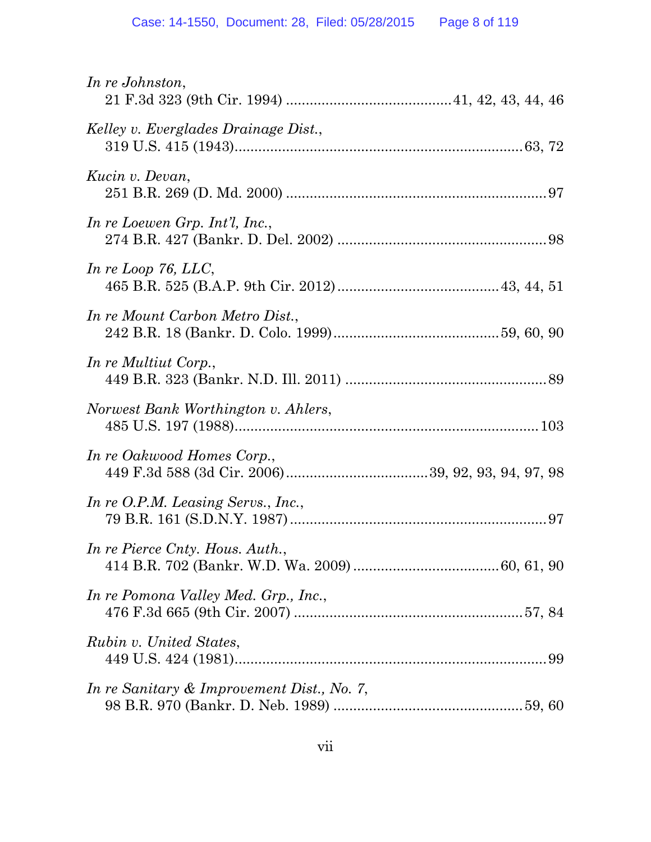| In re Johnston,                            |
|--------------------------------------------|
| Kelley v. Everglades Drainage Dist.,       |
| Kucin v. Devan,                            |
| In re Loewen Grp. Int'l, Inc.,             |
| In re Loop 76, $LLC$ ,                     |
| In re Mount Carbon Metro Dist.,            |
| In re Multiut Corp.,                       |
| Norwest Bank Worthington v. Ahlers,        |
| In re Oakwood Homes Corp.,                 |
| In re O.P.M. Leasing Servs., Inc.,         |
| In re Pierce Cnty. Hous. Auth.,            |
| In re Pomona Valley Med. Grp., Inc.,       |
| Rubin v. United States,                    |
| In re Sanitary & Improvement Dist., No. 7, |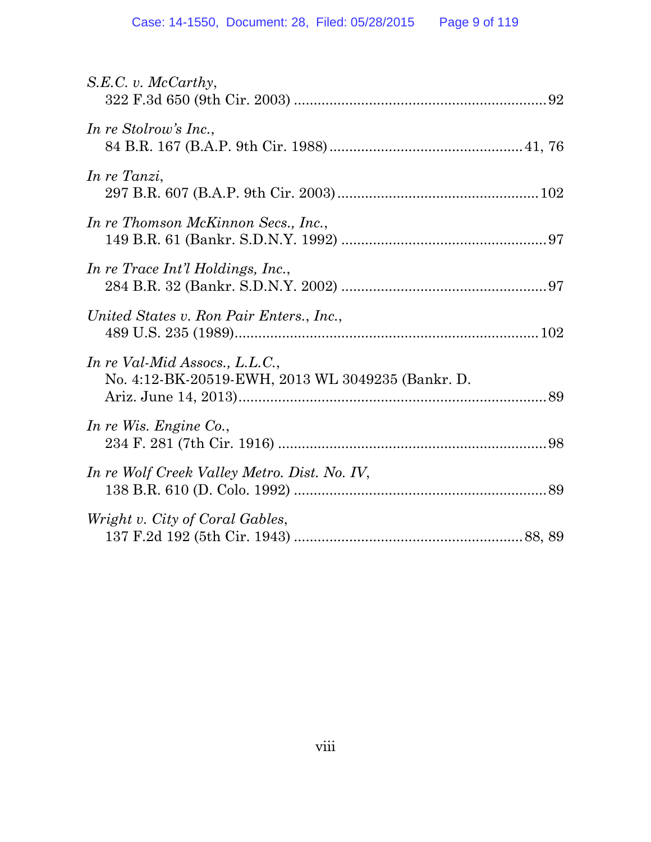| $S.E.C. v.$ McCarthy,                                                               |
|-------------------------------------------------------------------------------------|
| In re Stolrow's Inc.,                                                               |
| In re Tanzi,                                                                        |
| In re Thomson McKinnon Secs., Inc.,                                                 |
| In re Trace Int'l Holdings, Inc.,                                                   |
| United States v. Ron Pair Enters., Inc.,                                            |
| In re Val-Mid Assocs., L.L.C.,<br>No. 4:12-BK-20519-EWH, 2013 WL 3049235 (Bankr. D. |
| In re Wis. Engine Co.,                                                              |
| In re Wolf Creek Valley Metro. Dist. No. IV,                                        |
| Wright v. City of Coral Gables,                                                     |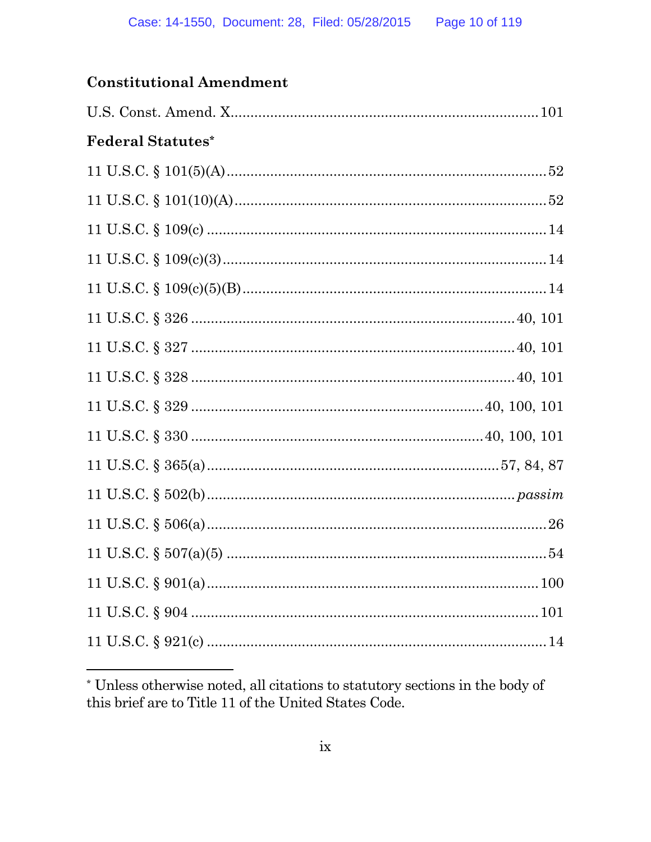### **Constitutional Amendment**

| <b>Federal Statutes*</b> |  |
|--------------------------|--|
|                          |  |
|                          |  |
|                          |  |
|                          |  |
|                          |  |
|                          |  |
|                          |  |
|                          |  |
|                          |  |
|                          |  |
|                          |  |
|                          |  |
|                          |  |
|                          |  |
|                          |  |
|                          |  |
|                          |  |
|                          |  |

 $^\ast$  Unless otherwise noted, all citations to statutory sections in the body of this brief are to Title 11 of the United States Code.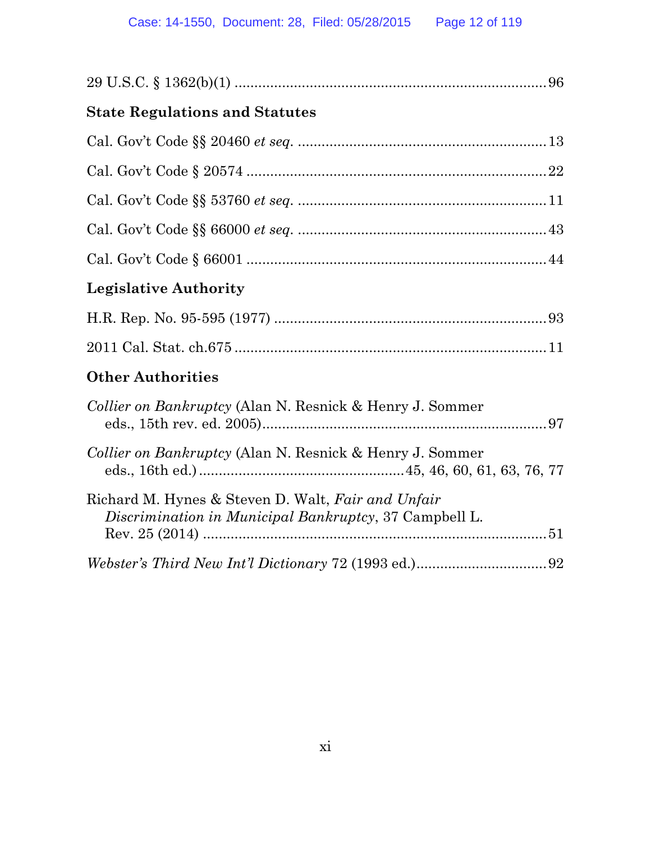|--|

# **State Regulations and Statutes**

# **Legislative Authority**

### **Other Authorities**

| Collier on Bankruptcy (Alan N. Resnick & Henry J. Sommer                                                     |
|--------------------------------------------------------------------------------------------------------------|
| <i>Collier on Bankruptcy</i> (Alan N. Resnick & Henry J. Sommer                                              |
| Richard M. Hynes & Steven D. Walt, Fair and Unfair<br>Discrimination in Municipal Bankruptcy, 37 Campbell L. |
|                                                                                                              |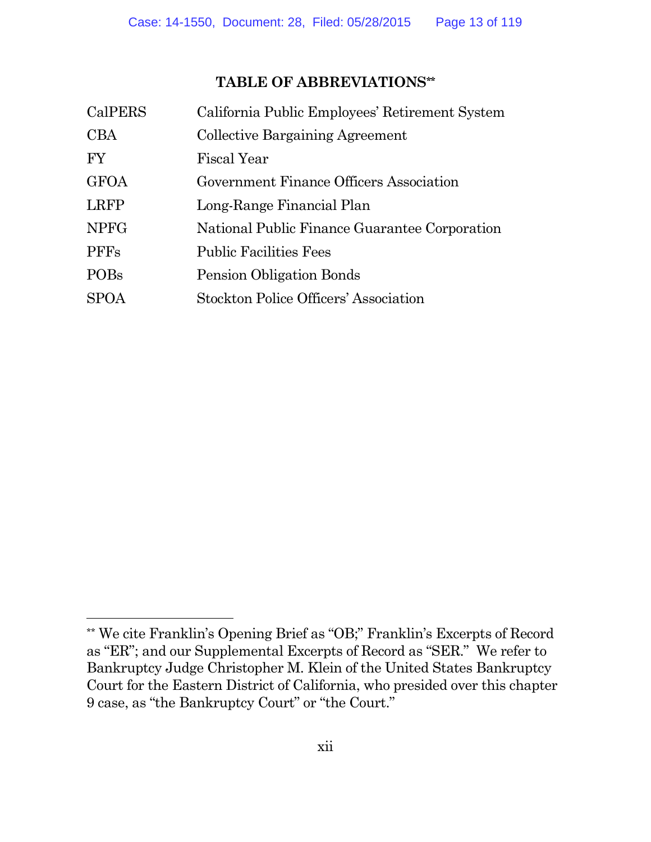### **TABLE OF ABBREVIATIONS\*\***

| CalPERS     | California Public Employees' Retirement System |
|-------------|------------------------------------------------|
| <b>CBA</b>  | <b>Collective Bargaining Agreement</b>         |
| <b>FY</b>   | <b>Fiscal Year</b>                             |
| <b>GFOA</b> | Government Finance Officers Association        |
| <b>LRFP</b> | Long-Range Financial Plan                      |
| <b>NPFG</b> | National Public Finance Guarantee Corporation  |
| <b>PFFs</b> | <b>Public Facilities Fees</b>                  |
| <b>POBs</b> | Pension Obligation Bonds                       |
| <b>SPOA</b> | <b>Stockton Police Officers' Association</b>   |
|             |                                                |

<sup>\*\*</sup> We cite Franklin's Opening Brief as "OB;" Franklin's Excerpts of Record as "ER"; and our Supplemental Excerpts of Record as "SER." We refer to Bankruptcy Judge Christopher M. Klein of the United States Bankruptcy Court for the Eastern District of California, who presided over this chapter 9 case, as "the Bankruptcy Court" or "the Court."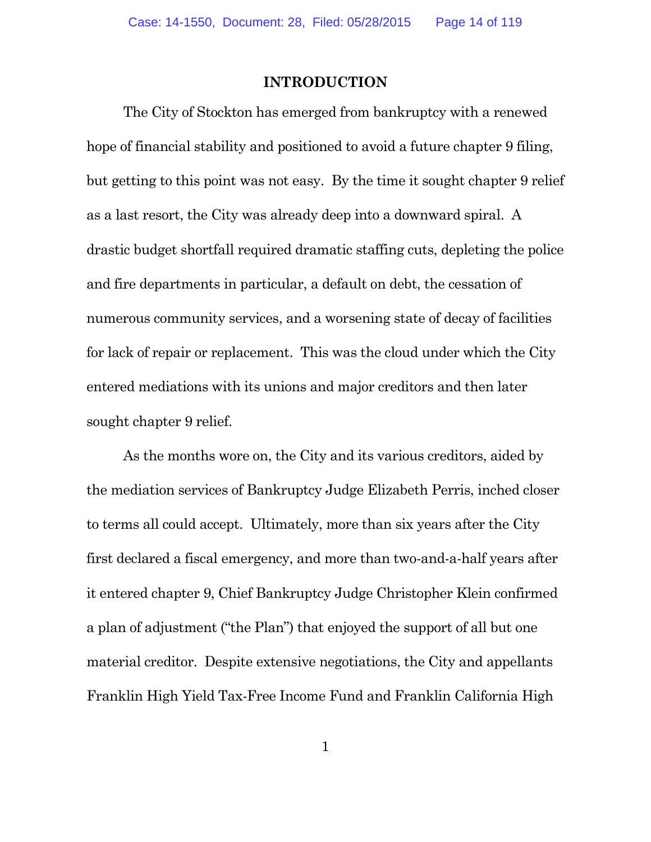#### **INTRODUCTION**

The City of Stockton has emerged from bankruptcy with a renewed hope of financial stability and positioned to avoid a future chapter 9 filing, but getting to this point was not easy. By the time it sought chapter 9 relief as a last resort, the City was already deep into a downward spiral. A drastic budget shortfall required dramatic staffing cuts, depleting the police and fire departments in particular, a default on debt, the cessation of numerous community services, and a worsening state of decay of facilities for lack of repair or replacement. This was the cloud under which the City entered mediations with its unions and major creditors and then later sought chapter 9 relief.

As the months wore on, the City and its various creditors, aided by the mediation services of Bankruptcy Judge Elizabeth Perris, inched closer to terms all could accept. Ultimately, more than six years after the City first declared a fiscal emergency, and more than two-and-a-half years after it entered chapter 9, Chief Bankruptcy Judge Christopher Klein confirmed a plan of adjustment ("the Plan") that enjoyed the support of all but one material creditor. Despite extensive negotiations, the City and appellants Franklin High Yield Tax-Free Income Fund and Franklin California High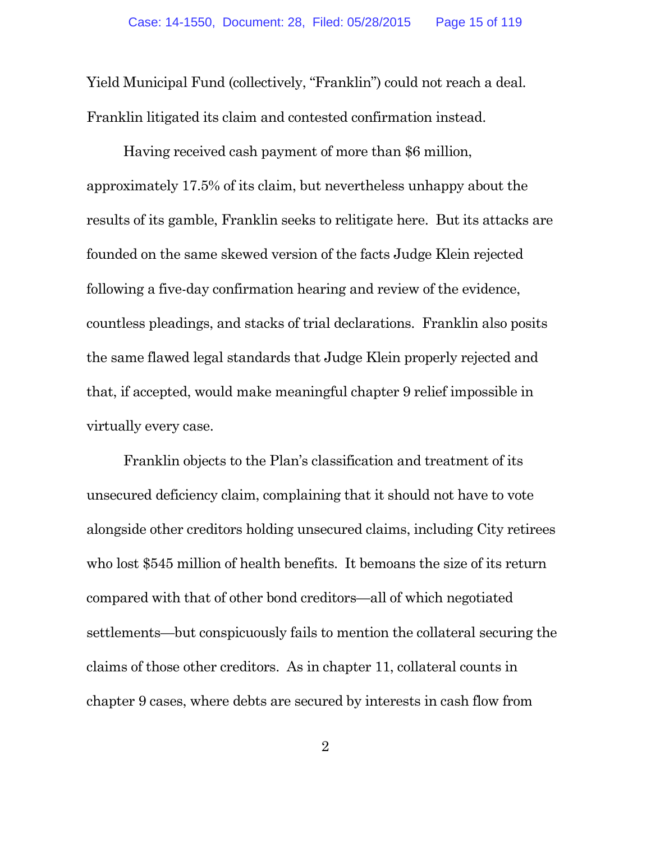Yield Municipal Fund (collectively, "Franklin") could not reach a deal. Franklin litigated its claim and contested confirmation instead.

Having received cash payment of more than \$6 million, approximately 17.5% of its claim, but nevertheless unhappy about the results of its gamble, Franklin seeks to relitigate here. But its attacks are founded on the same skewed version of the facts Judge Klein rejected following a five-day confirmation hearing and review of the evidence, countless pleadings, and stacks of trial declarations. Franklin also posits the same flawed legal standards that Judge Klein properly rejected and that, if accepted, would make meaningful chapter 9 relief impossible in virtually every case.

Franklin objects to the Plan's classification and treatment of its unsecured deficiency claim, complaining that it should not have to vote alongside other creditors holding unsecured claims, including City retirees who lost \$545 million of health benefits. It bemoans the size of its return compared with that of other bond creditors—all of which negotiated settlements—but conspicuously fails to mention the collateral securing the claims of those other creditors. As in chapter 11, collateral counts in chapter 9 cases, where debts are secured by interests in cash flow from

2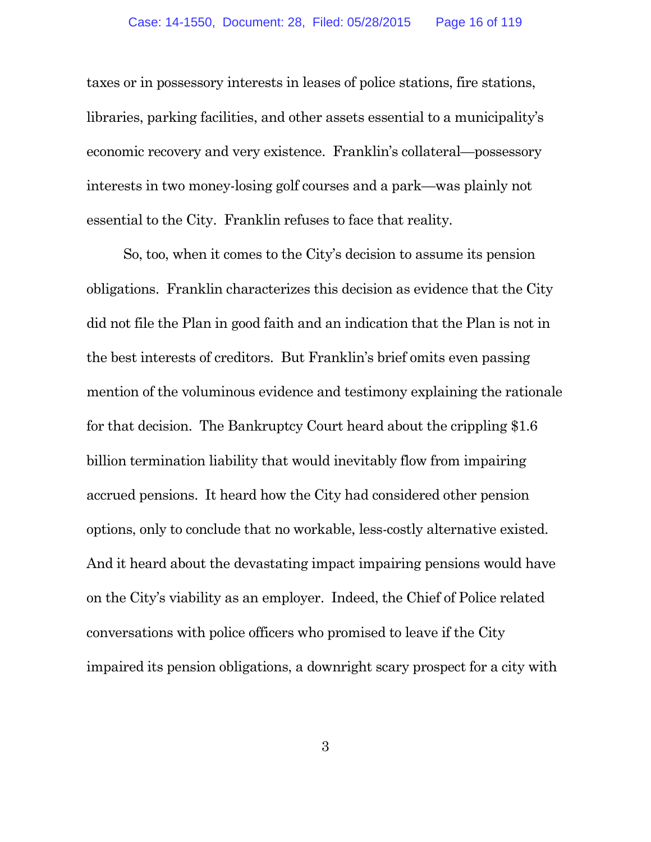taxes or in possessory interests in leases of police stations, fire stations, libraries, parking facilities, and other assets essential to a municipality's economic recovery and very existence. Franklin's collateral—possessory interests in two money-losing golf courses and a park—was plainly not essential to the City. Franklin refuses to face that reality.

So, too, when it comes to the City's decision to assume its pension obligations. Franklin characterizes this decision as evidence that the City did not file the Plan in good faith and an indication that the Plan is not in the best interests of creditors. But Franklin's brief omits even passing mention of the voluminous evidence and testimony explaining the rationale for that decision. The Bankruptcy Court heard about the crippling \$1.6 billion termination liability that would inevitably flow from impairing accrued pensions. It heard how the City had considered other pension options, only to conclude that no workable, less-costly alternative existed. And it heard about the devastating impact impairing pensions would have on the City's viability as an employer. Indeed, the Chief of Police related conversations with police officers who promised to leave if the City impaired its pension obligations, a downright scary prospect for a city with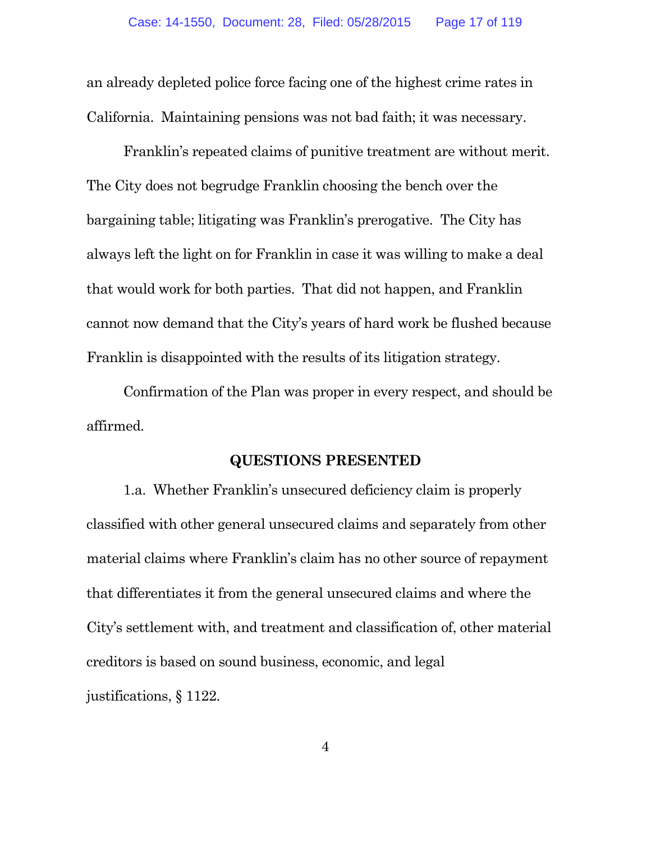an already depleted police force facing one of the highest crime rates in California. Maintaining pensions was not bad faith; it was necessary.

Franklin's repeated claims of punitive treatment are without merit. The City does not begrudge Franklin choosing the bench over the bargaining table; litigating was Franklin's prerogative. The City has always left the light on for Franklin in case it was willing to make a deal that would work for both parties. That did not happen, and Franklin cannot now demand that the City's years of hard work be flushed because Franklin is disappointed with the results of its litigation strategy.

Confirmation of the Plan was proper in every respect, and should be affirmed.

#### **QUESTIONS PRESENTED**

1.a. Whether Franklin's unsecured deficiency claim is properly classified with other general unsecured claims and separately from other material claims where Franklin's claim has no other source of repayment that differentiates it from the general unsecured claims and where the City's settlement with, and treatment and classification of, other material creditors is based on sound business, economic, and legal justifications, § 1122.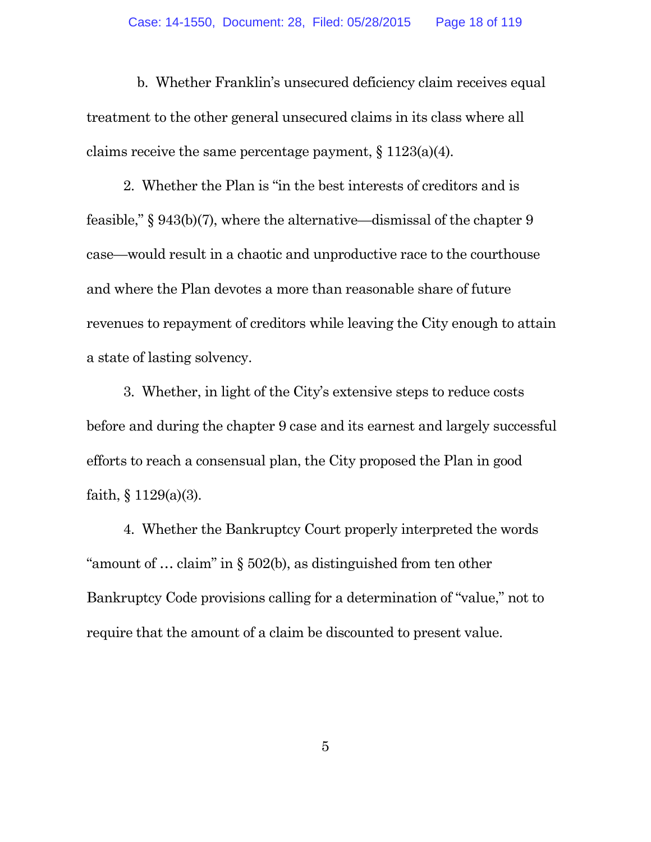b. Whether Franklin's unsecured deficiency claim receives equal treatment to the other general unsecured claims in its class where all claims receive the same percentage payment,  $\S 1123(a)(4)$ .

2. Whether the Plan is "in the best interests of creditors and is feasible," § 943(b)(7), where the alternative—dismissal of the chapter 9 case—would result in a chaotic and unproductive race to the courthouse and where the Plan devotes a more than reasonable share of future revenues to repayment of creditors while leaving the City enough to attain a state of lasting solvency.

3. Whether, in light of the City's extensive steps to reduce costs before and during the chapter 9 case and its earnest and largely successful efforts to reach a consensual plan, the City proposed the Plan in good faith,  $\S 1129(a)(3)$ .

4. Whether the Bankruptcy Court properly interpreted the words "amount of … claim" in § 502(b), as distinguished from ten other Bankruptcy Code provisions calling for a determination of "value," not to require that the amount of a claim be discounted to present value.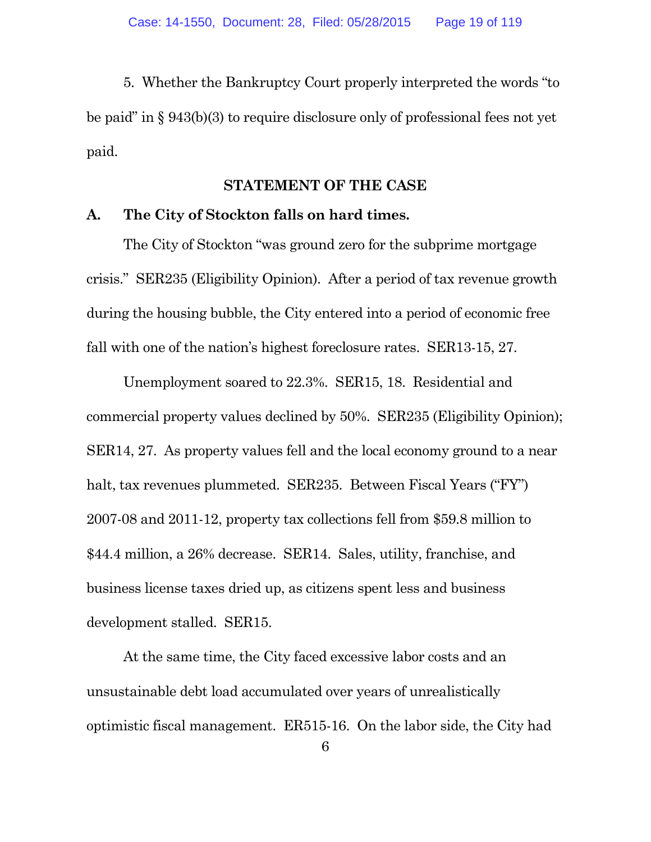5. Whether the Bankruptcy Court properly interpreted the words "to be paid" in § 943(b)(3) to require disclosure only of professional fees not yet paid.

#### **STATEMENT OF THE CASE**

#### **A. The City of Stockton falls on hard times.**

The City of Stockton "was ground zero for the subprime mortgage crisis." SER235 (Eligibility Opinion). After a period of tax revenue growth during the housing bubble, the City entered into a period of economic free fall with one of the nation's highest foreclosure rates. SER13-15, 27.

Unemployment soared to 22.3%. SER15, 18. Residential and commercial property values declined by 50%. SER235 (Eligibility Opinion); SER14, 27. As property values fell and the local economy ground to a near halt, tax revenues plummeted. SER235. Between Fiscal Years ("FY") 2007-08 and 2011-12, property tax collections fell from \$59.8 million to \$44.4 million, a 26% decrease. SER14. Sales, utility, franchise, and business license taxes dried up, as citizens spent less and business development stalled. SER15.

At the same time, the City faced excessive labor costs and an unsustainable debt load accumulated over years of unrealistically optimistic fiscal management. ER515-16. On the labor side, the City had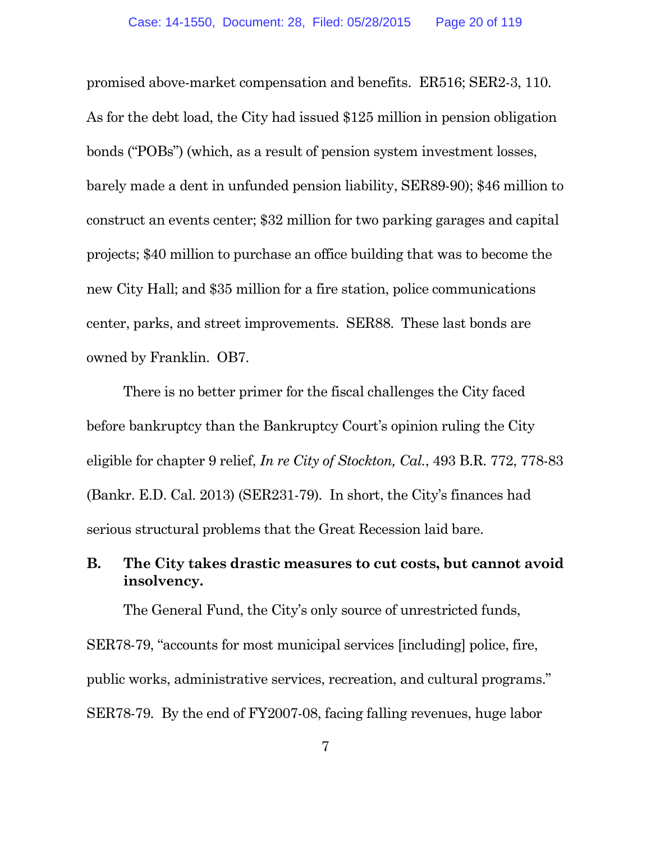promised above-market compensation and benefits. ER516; SER2-3, 110. As for the debt load, the City had issued \$125 million in pension obligation bonds ("POBs") (which, as a result of pension system investment losses, barely made a dent in unfunded pension liability, SER89-90); \$46 million to construct an events center; \$32 million for two parking garages and capital projects; \$40 million to purchase an office building that was to become the new City Hall; and \$35 million for a fire station, police communications center, parks, and street improvements. SER88. These last bonds are owned by Franklin. OB7.

There is no better primer for the fiscal challenges the City faced before bankruptcy than the Bankruptcy Court's opinion ruling the City eligible for chapter 9 relief, *In re City of Stockton, Cal.*, 493 B.R. 772, 778-83 (Bankr. E.D. Cal. 2013) (SER231-79). In short, the City's finances had serious structural problems that the Great Recession laid bare.

### **B. The City takes drastic measures to cut costs, but cannot avoid insolvency.**

The General Fund, the City's only source of unrestricted funds,

SER78-79, "accounts for most municipal services [including] police, fire, public works, administrative services, recreation, and cultural programs." SER78-79. By the end of FY2007-08, facing falling revenues, huge labor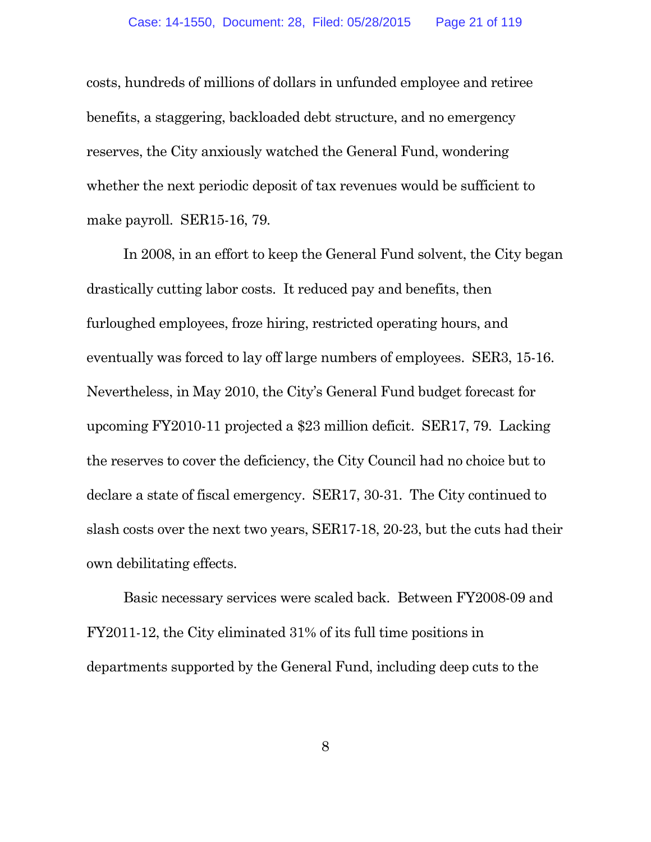costs, hundreds of millions of dollars in unfunded employee and retiree benefits, a staggering, backloaded debt structure, and no emergency reserves, the City anxiously watched the General Fund, wondering whether the next periodic deposit of tax revenues would be sufficient to make payroll. SER15-16, 79.

In 2008, in an effort to keep the General Fund solvent, the City began drastically cutting labor costs. It reduced pay and benefits, then furloughed employees, froze hiring, restricted operating hours, and eventually was forced to lay off large numbers of employees. SER3, 15-16. Nevertheless, in May 2010, the City's General Fund budget forecast for upcoming FY2010-11 projected a \$23 million deficit. SER17, 79. Lacking the reserves to cover the deficiency, the City Council had no choice but to declare a state of fiscal emergency. SER17, 30-31. The City continued to slash costs over the next two years, SER17-18, 20-23, but the cuts had their own debilitating effects.

Basic necessary services were scaled back. Between FY2008-09 and FY2011-12, the City eliminated 31% of its full time positions in departments supported by the General Fund, including deep cuts to the

8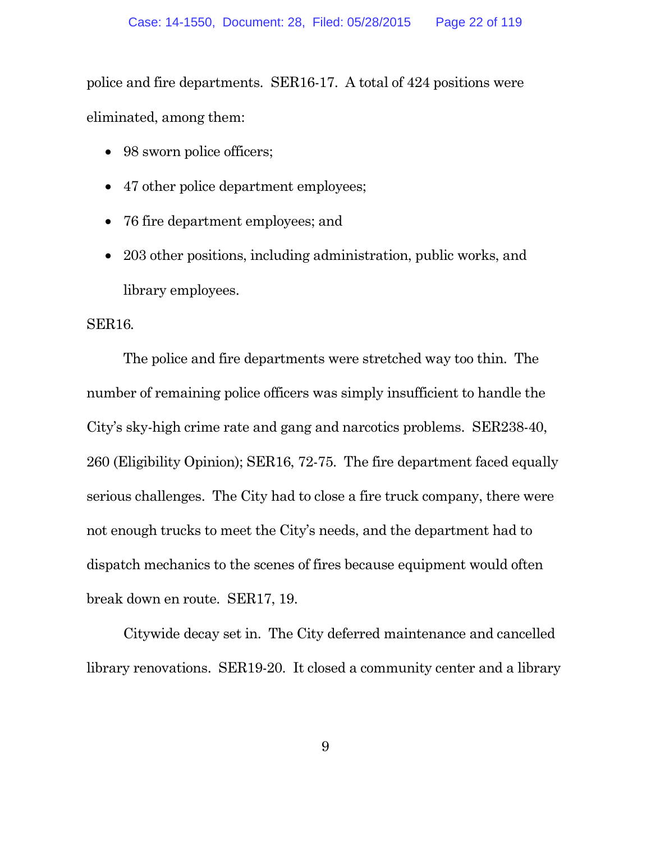police and fire departments. SER16-17. A total of 424 positions were eliminated, among them:

- 98 sworn police officers;
- 47 other police department employees;
- 76 fire department employees; and
- 203 other positions, including administration, public works, and library employees.

#### SER16*.*

The police and fire departments were stretched way too thin. The number of remaining police officers was simply insufficient to handle the City's sky-high crime rate and gang and narcotics problems. SER238-40, 260 (Eligibility Opinion); SER16, 72-75. The fire department faced equally serious challenges. The City had to close a fire truck company, there were not enough trucks to meet the City's needs, and the department had to dispatch mechanics to the scenes of fires because equipment would often break down en route. SER17, 19.

Citywide decay set in. The City deferred maintenance and cancelled library renovations. SER19-20. It closed a community center and a library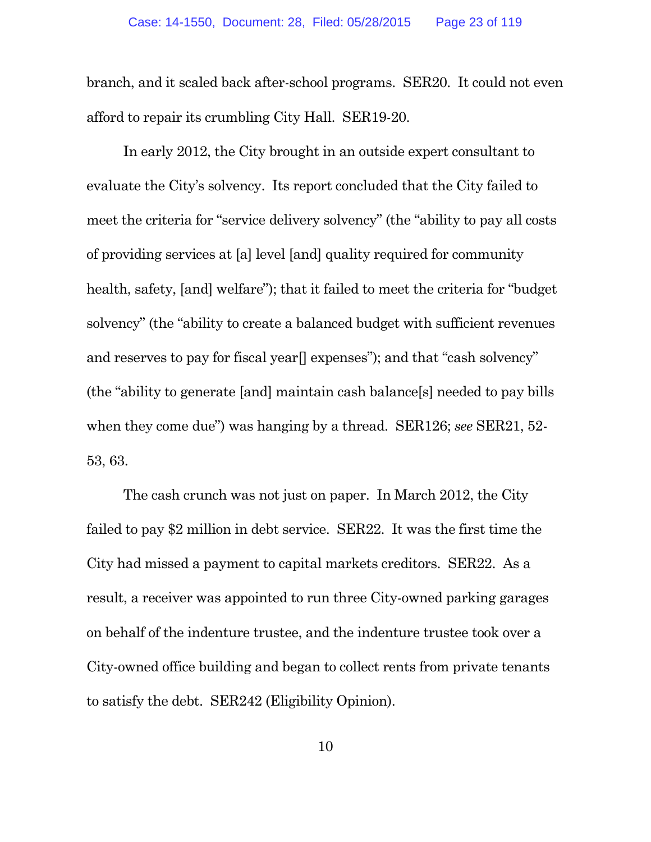branch, and it scaled back after-school programs. SER20. It could not even afford to repair its crumbling City Hall. SER19-20.

In early 2012, the City brought in an outside expert consultant to evaluate the City's solvency. Its report concluded that the City failed to meet the criteria for "service delivery solvency" (the "ability to pay all costs of providing services at [a] level [and] quality required for community health, safety, [and] welfare"); that it failed to meet the criteria for "budget" solvency" (the "ability to create a balanced budget with sufficient revenues and reserves to pay for fiscal year<sup>[]</sup> expenses"); and that "cash solvency" (the "ability to generate [and] maintain cash balance[s] needed to pay bills when they come due") was hanging by a thread. SER126; *see* SER21, 52- 53, 63.

The cash crunch was not just on paper. In March 2012, the City failed to pay \$2 million in debt service. SER22. It was the first time the City had missed a payment to capital markets creditors. SER22. As a result, a receiver was appointed to run three City-owned parking garages on behalf of the indenture trustee, and the indenture trustee took over a City-owned office building and began to collect rents from private tenants to satisfy the debt. SER242 (Eligibility Opinion).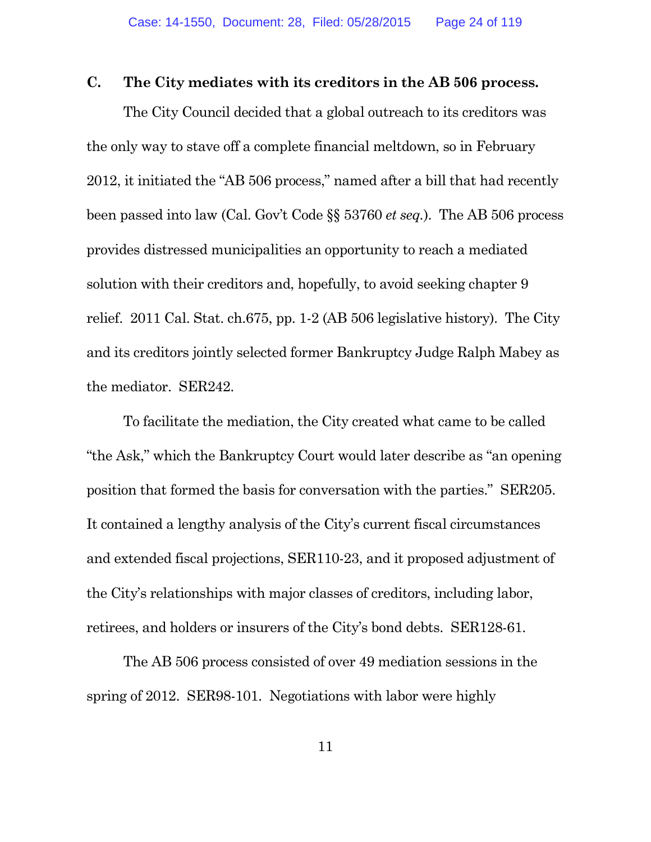#### **C. The City mediates with its creditors in the AB 506 process.**

The City Council decided that a global outreach to its creditors was the only way to stave off a complete financial meltdown, so in February 2012, it initiated the "AB 506 process," named after a bill that had recently been passed into law (Cal. Gov't Code §§ 53760 *et seq.*). The AB 506 process provides distressed municipalities an opportunity to reach a mediated solution with their creditors and, hopefully, to avoid seeking chapter 9 relief. 2011 Cal. Stat. ch.675, pp. 1-2 (AB 506 legislative history). The City and its creditors jointly selected former Bankruptcy Judge Ralph Mabey as the mediator. SER242.

To facilitate the mediation, the City created what came to be called "the Ask," which the Bankruptcy Court would later describe as "an opening position that formed the basis for conversation with the parties." SER205. It contained a lengthy analysis of the City's current fiscal circumstances and extended fiscal projections, SER110-23, and it proposed adjustment of the City's relationships with major classes of creditors, including labor, retirees, and holders or insurers of the City's bond debts. SER128-61.

The AB 506 process consisted of over 49 mediation sessions in the spring of 2012. SER98-101. Negotiations with labor were highly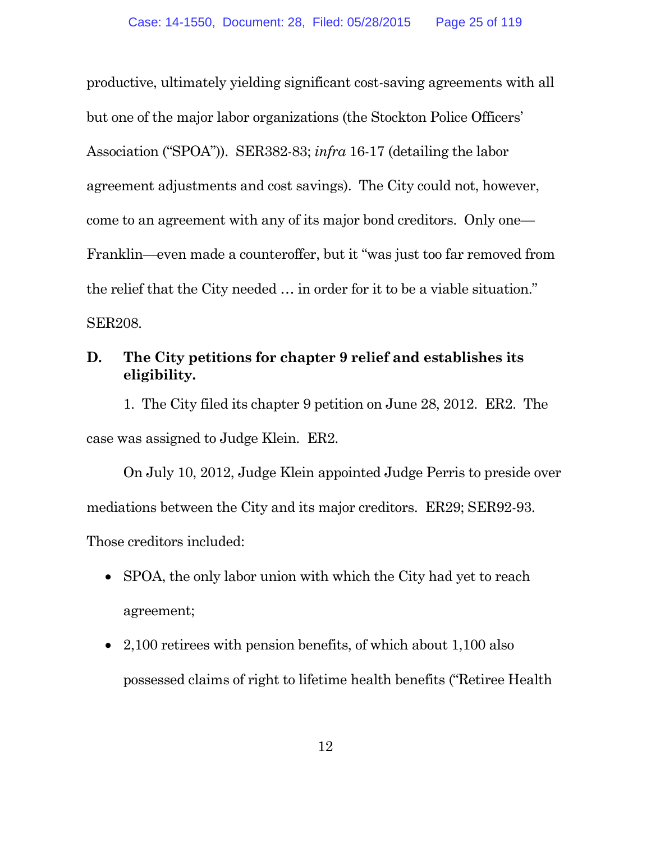productive, ultimately yielding significant cost-saving agreements with all but one of the major labor organizations (the Stockton Police Officers' Association ("SPOA")). SER382-83; *infra* 16-17 (detailing the labor agreement adjustments and cost savings). The City could not, however, come to an agreement with any of its major bond creditors. Only one— Franklin—even made a counteroffer, but it "was just too far removed from the relief that the City needed … in order for it to be a viable situation." SER208.

### **D. The City petitions for chapter 9 relief and establishes its eligibility.**

1. The City filed its chapter 9 petition on June 28, 2012. ER2. The case was assigned to Judge Klein. ER2.

On July 10, 2012, Judge Klein appointed Judge Perris to preside over mediations between the City and its major creditors. ER29; SER92-93.

Those creditors included:

- SPOA, the only labor union with which the City had yet to reach agreement;
- 2,100 retirees with pension benefits, of which about 1,100 also possessed claims of right to lifetime health benefits ("Retiree Health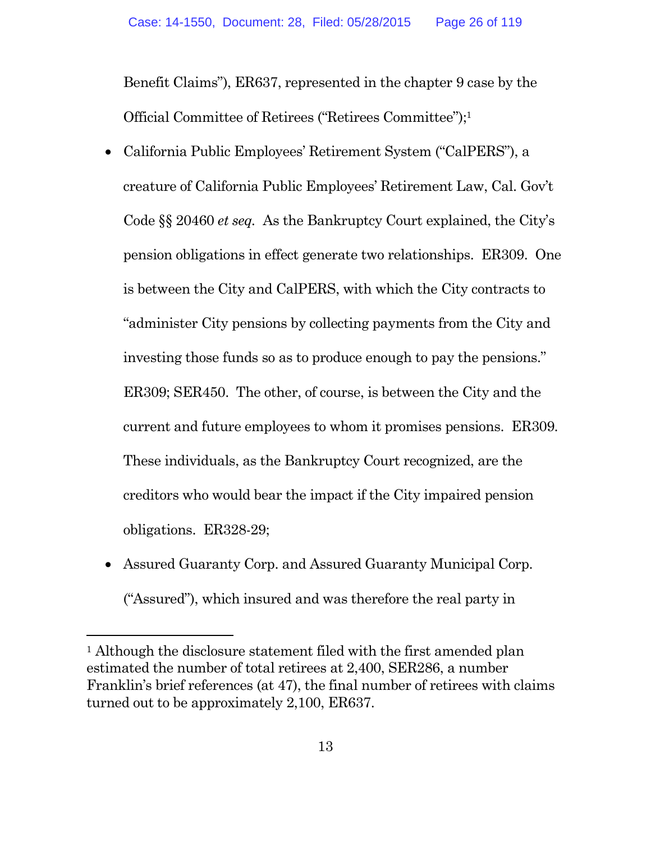Benefit Claims"), ER637, represented in the chapter 9 case by the Official Committee of Retirees ("Retirees Committee");<sup>1</sup>

- California Public Employees' Retirement System ("CalPERS"), a creature of California Public Employees' Retirement Law, Cal. Gov't Code §§ 20460 *et seq.* As the Bankruptcy Court explained, the City's pension obligations in effect generate two relationships. ER309. One is between the City and CalPERS, with which the City contracts to "administer City pensions by collecting payments from the City and investing those funds so as to produce enough to pay the pensions." ER309; SER450. The other, of course, is between the City and the current and future employees to whom it promises pensions. ER309. These individuals, as the Bankruptcy Court recognized, are the creditors who would bear the impact if the City impaired pension obligations. ER328-29;
- Assured Guaranty Corp. and Assured Guaranty Municipal Corp. ("Assured"), which insured and was therefore the real party in

<sup>&</sup>lt;sup>1</sup> Although the disclosure statement filed with the first amended plan estimated the number of total retirees at 2,400, SER286, a number Franklin's brief references (at 47), the final number of retirees with claims turned out to be approximately 2,100, ER637.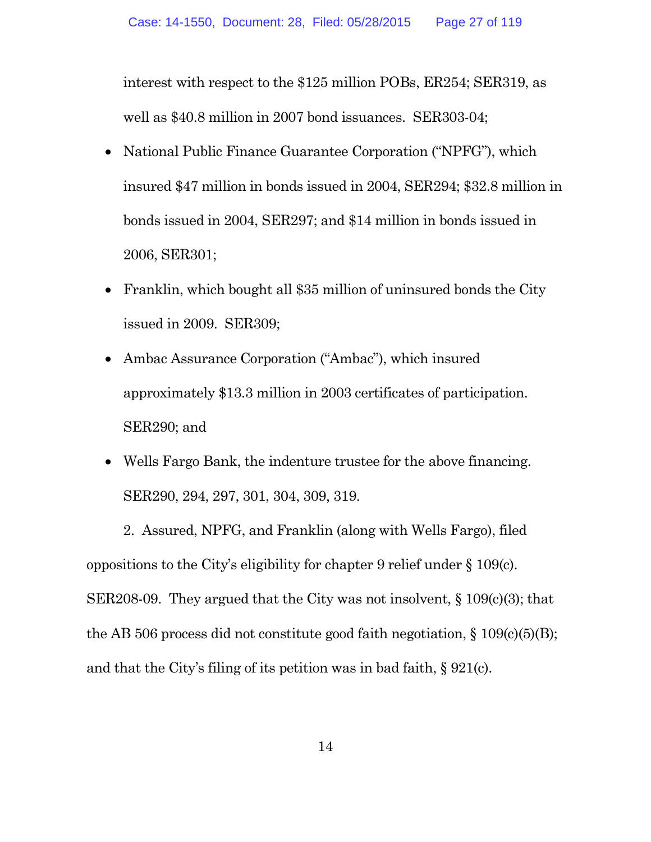interest with respect to the \$125 million POBs, ER254; SER319, as well as \$40.8 million in 2007 bond issuances. SER303-04;

- National Public Finance Guarantee Corporation ("NPFG"), which insured \$47 million in bonds issued in 2004, SER294; \$32.8 million in bonds issued in 2004, SER297; and \$14 million in bonds issued in 2006, SER301;
- Franklin, which bought all \$35 million of uninsured bonds the City issued in 2009. SER309;
- Ambac Assurance Corporation ("Ambac"), which insured approximately \$13.3 million in 2003 certificates of participation. SER290; and
- Wells Fargo Bank, the indenture trustee for the above financing. SER290, 294, 297, 301, 304, 309, 319.

2. Assured, NPFG, and Franklin (along with Wells Fargo), filed oppositions to the City's eligibility for chapter 9 relief under § 109(c). SER208-09. They argued that the City was not insolvent,  $\S 109(c)(3)$ ; that the AB 506 process did not constitute good faith negotiation,  $\S 109(c)(5)(B)$ ; and that the City's filing of its petition was in bad faith, § 921(c).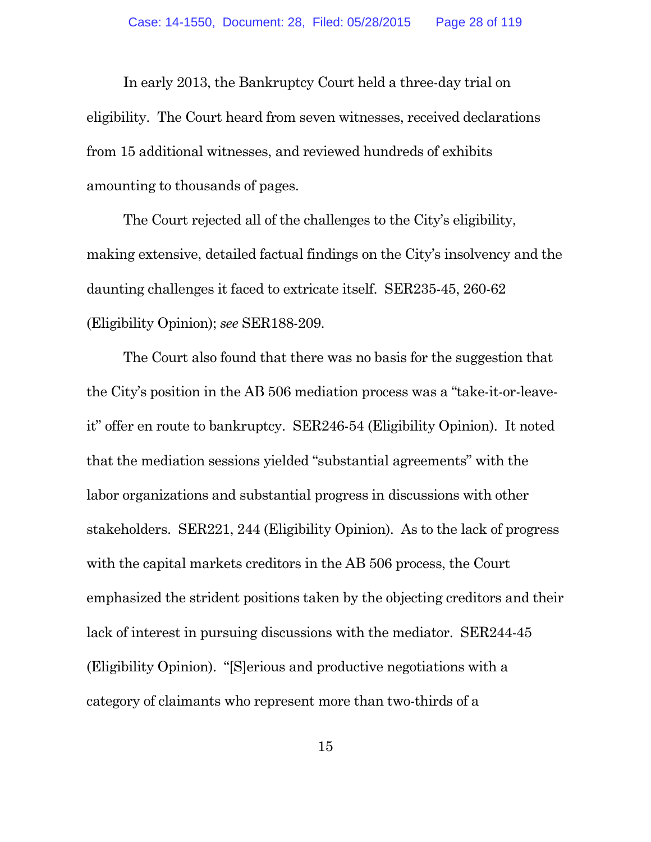In early 2013, the Bankruptcy Court held a three-day trial on eligibility. The Court heard from seven witnesses, received declarations from 15 additional witnesses, and reviewed hundreds of exhibits amounting to thousands of pages.

The Court rejected all of the challenges to the City's eligibility, making extensive, detailed factual findings on the City's insolvency and the daunting challenges it faced to extricate itself. SER235-45, 260-62 (Eligibility Opinion); *see* SER188-209.

The Court also found that there was no basis for the suggestion that the City's position in the AB 506 mediation process was a "take-it-or-leaveit" offer en route to bankruptcy. SER246-54 (Eligibility Opinion). It noted that the mediation sessions yielded "substantial agreements" with the labor organizations and substantial progress in discussions with other stakeholders. SER221, 244 (Eligibility Opinion). As to the lack of progress with the capital markets creditors in the AB 506 process, the Court emphasized the strident positions taken by the objecting creditors and their lack of interest in pursuing discussions with the mediator. SER244-45 (Eligibility Opinion). "[S]erious and productive negotiations with a category of claimants who represent more than two-thirds of a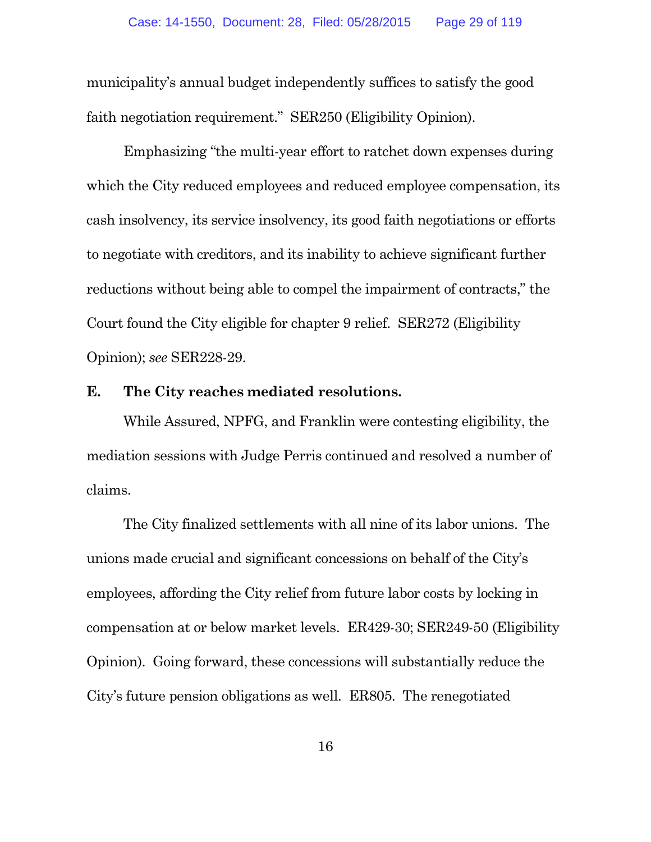municipality's annual budget independently suffices to satisfy the good faith negotiation requirement." SER250 (Eligibility Opinion).

Emphasizing "the multi-year effort to ratchet down expenses during which the City reduced employees and reduced employee compensation, its cash insolvency, its service insolvency, its good faith negotiations or efforts to negotiate with creditors, and its inability to achieve significant further reductions without being able to compel the impairment of contracts," the Court found the City eligible for chapter 9 relief. SER272 (Eligibility Opinion); *see* SER228-29.

#### **E. The City reaches mediated resolutions.**

While Assured, NPFG, and Franklin were contesting eligibility, the mediation sessions with Judge Perris continued and resolved a number of claims.

The City finalized settlements with all nine of its labor unions. The unions made crucial and significant concessions on behalf of the City's employees, affording the City relief from future labor costs by locking in compensation at or below market levels. ER429-30; SER249-50 (Eligibility Opinion). Going forward, these concessions will substantially reduce the City's future pension obligations as well. ER805. The renegotiated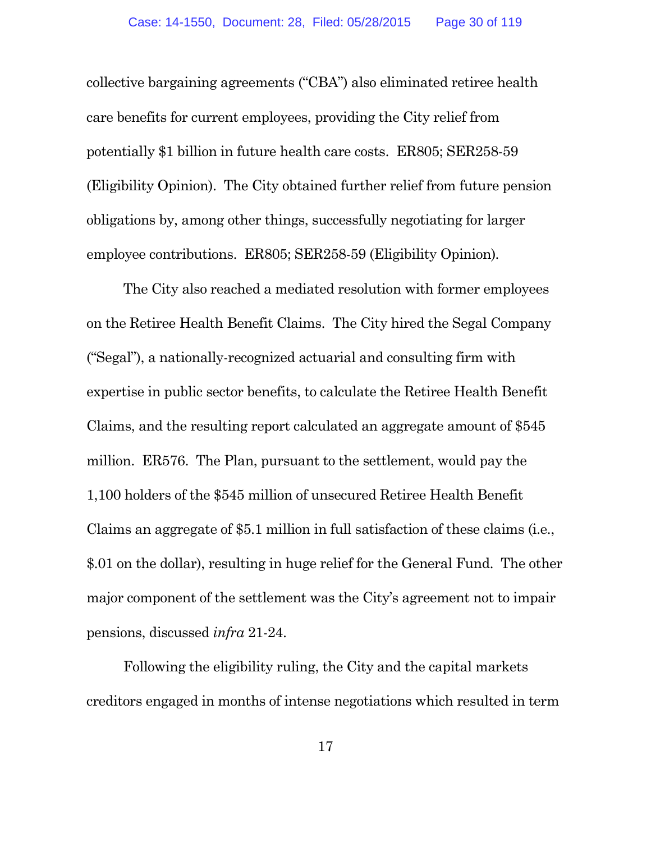collective bargaining agreements ("CBA") also eliminated retiree health care benefits for current employees, providing the City relief from potentially \$1 billion in future health care costs. ER805; SER258-59 (Eligibility Opinion). The City obtained further relief from future pension obligations by, among other things, successfully negotiating for larger employee contributions. ER805; SER258-59 (Eligibility Opinion)*.*

The City also reached a mediated resolution with former employees on the Retiree Health Benefit Claims. The City hired the Segal Company ("Segal"), a nationally-recognized actuarial and consulting firm with expertise in public sector benefits, to calculate the Retiree Health Benefit Claims, and the resulting report calculated an aggregate amount of \$545 million. ER576. The Plan, pursuant to the settlement, would pay the 1,100 holders of the \$545 million of unsecured Retiree Health Benefit Claims an aggregate of \$5.1 million in full satisfaction of these claims (i.e., \$.01 on the dollar), resulting in huge relief for the General Fund. The other major component of the settlement was the City's agreement not to impair pensions, discussed *infra* 21-24.

Following the eligibility ruling, the City and the capital markets creditors engaged in months of intense negotiations which resulted in term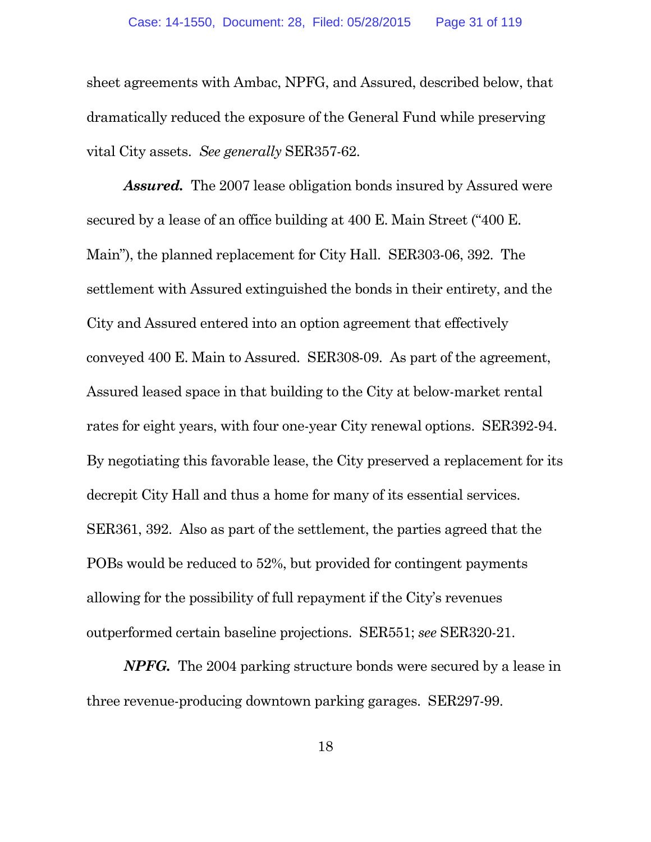sheet agreements with Ambac, NPFG, and Assured, described below, that dramatically reduced the exposure of the General Fund while preserving vital City assets. *See generally* SER357-62.

*Assured.* The 2007 lease obligation bonds insured by Assured were secured by a lease of an office building at 400 E. Main Street ("400 E. Main"), the planned replacement for City Hall. SER303-06, 392. The settlement with Assured extinguished the bonds in their entirety, and the City and Assured entered into an option agreement that effectively conveyed 400 E. Main to Assured. SER308-09. As part of the agreement, Assured leased space in that building to the City at below-market rental rates for eight years, with four one-year City renewal options. SER392-94. By negotiating this favorable lease, the City preserved a replacement for its decrepit City Hall and thus a home for many of its essential services. SER361, 392. Also as part of the settlement, the parties agreed that the POBs would be reduced to 52%, but provided for contingent payments allowing for the possibility of full repayment if the City's revenues outperformed certain baseline projections. SER551; *see* SER320-21.

*NPFG.* The 2004 parking structure bonds were secured by a lease in three revenue-producing downtown parking garages. SER297-99.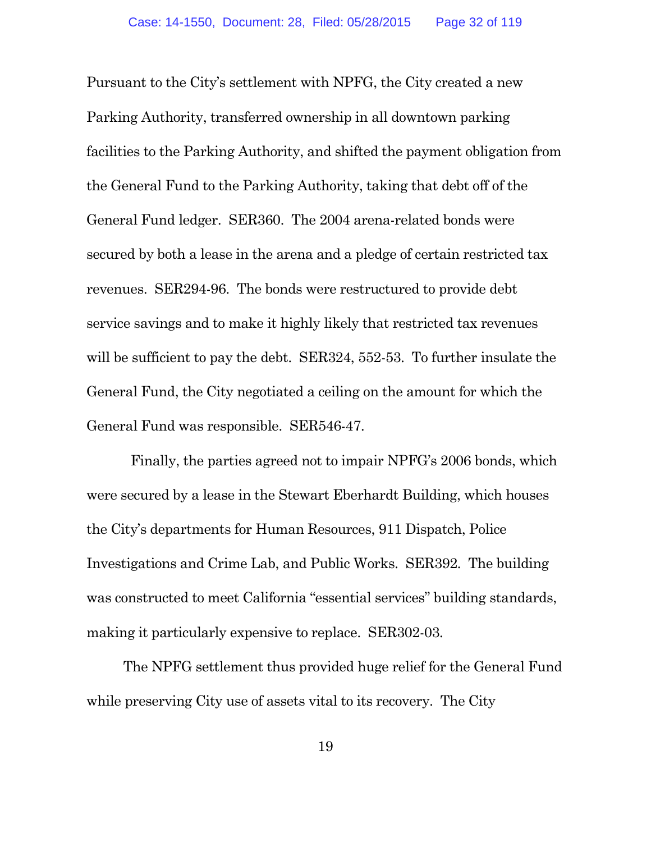Pursuant to the City's settlement with NPFG, the City created a new Parking Authority, transferred ownership in all downtown parking facilities to the Parking Authority, and shifted the payment obligation from the General Fund to the Parking Authority, taking that debt off of the General Fund ledger. SER360. The 2004 arena-related bonds were secured by both a lease in the arena and a pledge of certain restricted tax revenues. SER294-96. The bonds were restructured to provide debt service savings and to make it highly likely that restricted tax revenues will be sufficient to pay the debt. SER324, 552-53. To further insulate the General Fund, the City negotiated a ceiling on the amount for which the General Fund was responsible. SER546-47.

Finally, the parties agreed not to impair NPFG's 2006 bonds, which were secured by a lease in the Stewart Eberhardt Building, which houses the City's departments for Human Resources, 911 Dispatch, Police Investigations and Crime Lab, and Public Works. SER392. The building was constructed to meet California "essential services" building standards, making it particularly expensive to replace. SER302-03.

The NPFG settlement thus provided huge relief for the General Fund while preserving City use of assets vital to its recovery. The City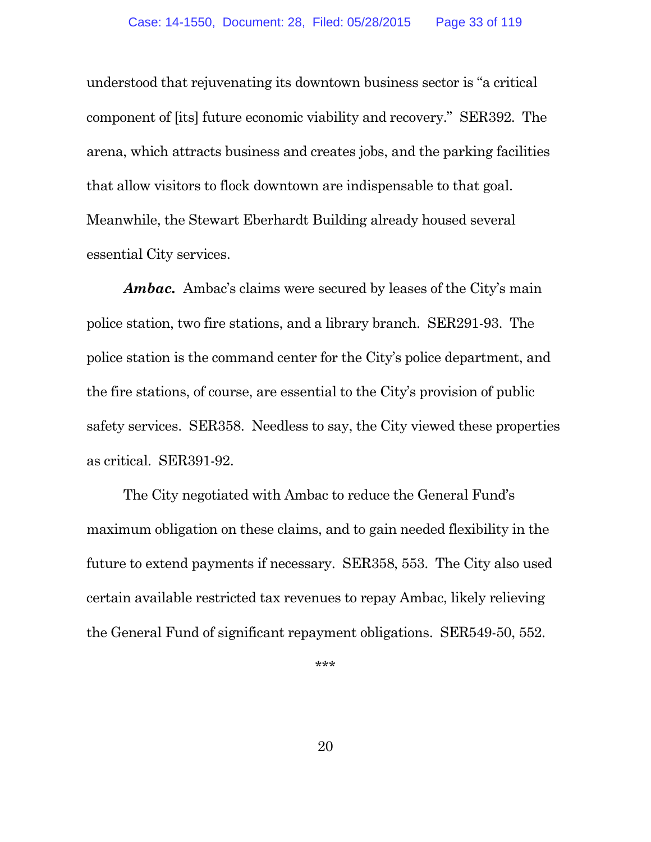understood that rejuvenating its downtown business sector is "a critical component of [its] future economic viability and recovery." SER392. The arena, which attracts business and creates jobs, and the parking facilities that allow visitors to flock downtown are indispensable to that goal. Meanwhile, the Stewart Eberhardt Building already housed several essential City services.

*Ambac.* Ambac's claims were secured by leases of the City's main police station, two fire stations, and a library branch. SER291-93. The police station is the command center for the City's police department, and the fire stations, of course, are essential to the City's provision of public safety services. SER358. Needless to say, the City viewed these properties as critical. SER391-92.

The City negotiated with Ambac to reduce the General Fund's maximum obligation on these claims, and to gain needed flexibility in the future to extend payments if necessary. SER358, 553. The City also used certain available restricted tax revenues to repay Ambac, likely relieving the General Fund of significant repayment obligations. SER549-50, 552.

\*\*\*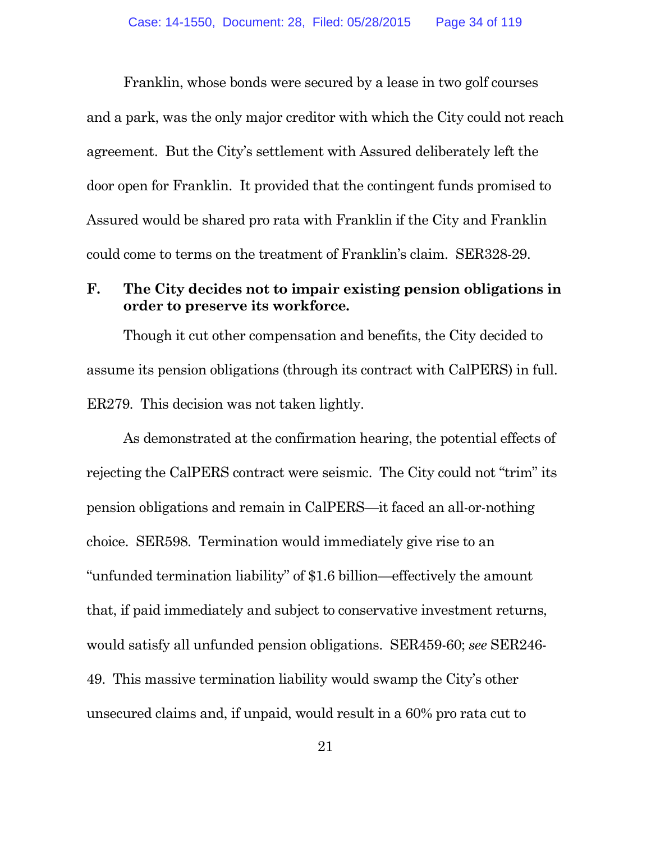Franklin, whose bonds were secured by a lease in two golf courses and a park, was the only major creditor with which the City could not reach agreement. But the City's settlement with Assured deliberately left the door open for Franklin. It provided that the contingent funds promised to Assured would be shared pro rata with Franklin if the City and Franklin could come to terms on the treatment of Franklin's claim. SER328-29.

### **F. The City decides not to impair existing pension obligations in order to preserve its workforce.**

Though it cut other compensation and benefits, the City decided to assume its pension obligations (through its contract with CalPERS) in full. ER279. This decision was not taken lightly.

As demonstrated at the confirmation hearing, the potential effects of rejecting the CalPERS contract were seismic. The City could not "trim" its pension obligations and remain in CalPERS—it faced an all-or-nothing choice. SER598. Termination would immediately give rise to an "unfunded termination liability" of \$1.6 billion—effectively the amount that, if paid immediately and subject to conservative investment returns, would satisfy all unfunded pension obligations. SER459-60; *see* SER246- 49. This massive termination liability would swamp the City's other unsecured claims and, if unpaid, would result in a 60% pro rata cut to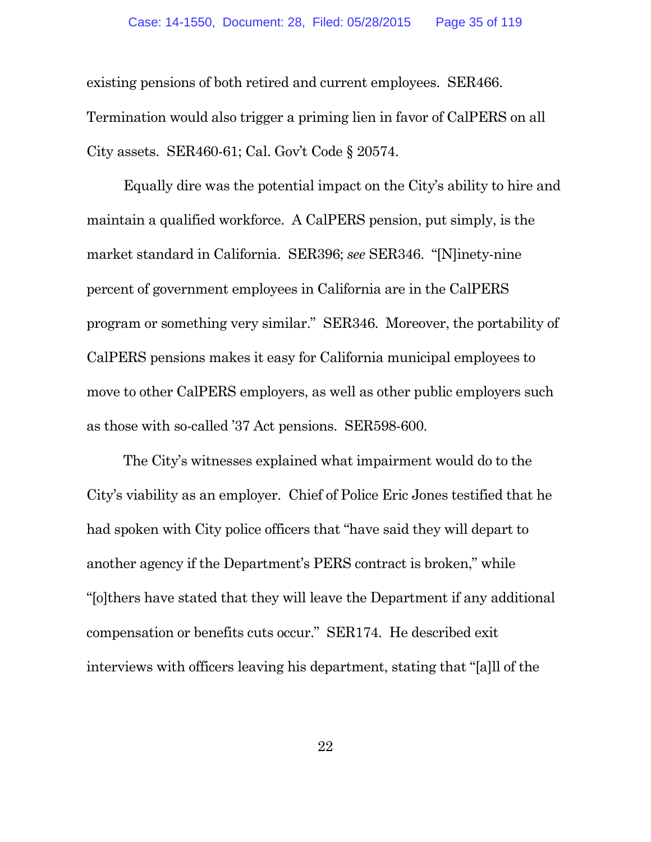existing pensions of both retired and current employees. SER466. Termination would also trigger a priming lien in favor of CalPERS on all City assets. SER460-61; Cal. Gov't Code § 20574.

Equally dire was the potential impact on the City's ability to hire and maintain a qualified workforce. A CalPERS pension, put simply, is the market standard in California. SER396; *see* SER346. "[N]inety-nine percent of government employees in California are in the CalPERS program or something very similar." SER346. Moreover, the portability of CalPERS pensions makes it easy for California municipal employees to move to other CalPERS employers, as well as other public employers such as those with so-called '37 Act pensions. SER598-600.

The City's witnesses explained what impairment would do to the City's viability as an employer. Chief of Police Eric Jones testified that he had spoken with City police officers that "have said they will depart to another agency if the Department's PERS contract is broken," while "[o]thers have stated that they will leave the Department if any additional compensation or benefits cuts occur." SER174. He described exit interviews with officers leaving his department, stating that "[a]ll of the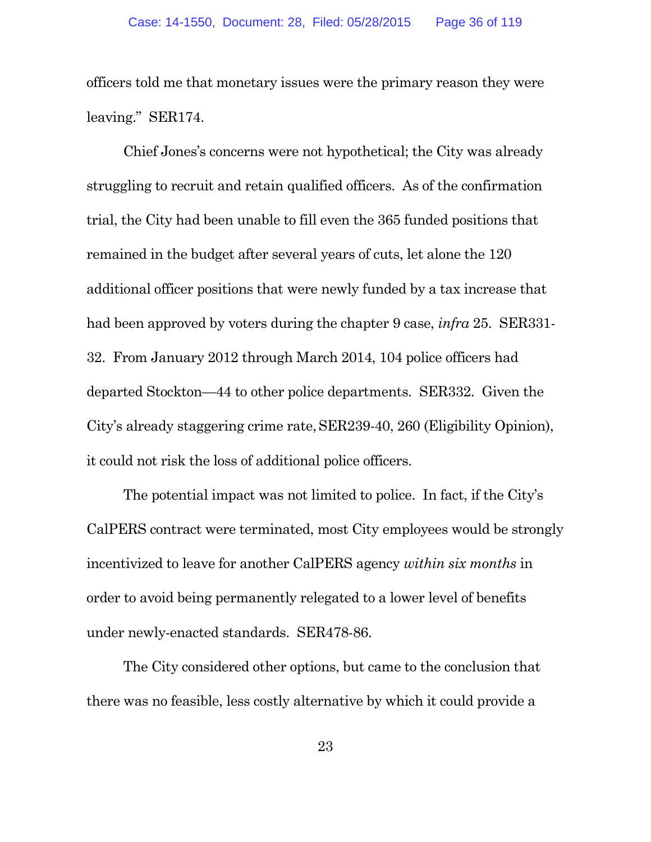officers told me that monetary issues were the primary reason they were leaving." SER174.

Chief Jones's concerns were not hypothetical; the City was already struggling to recruit and retain qualified officers. As of the confirmation trial, the City had been unable to fill even the 365 funded positions that remained in the budget after several years of cuts, let alone the 120 additional officer positions that were newly funded by a tax increase that had been approved by voters during the chapter 9 case, *infra* 25. SER331- 32. From January 2012 through March 2014, 104 police officers had departed Stockton—44 to other police departments. SER332. Given the City's already staggering crime rate,SER239-40, 260 (Eligibility Opinion), it could not risk the loss of additional police officers.

The potential impact was not limited to police. In fact, if the City's CalPERS contract were terminated, most City employees would be strongly incentivized to leave for another CalPERS agency *within six months* in order to avoid being permanently relegated to a lower level of benefits under newly-enacted standards. SER478-86.

The City considered other options, but came to the conclusion that there was no feasible, less costly alternative by which it could provide a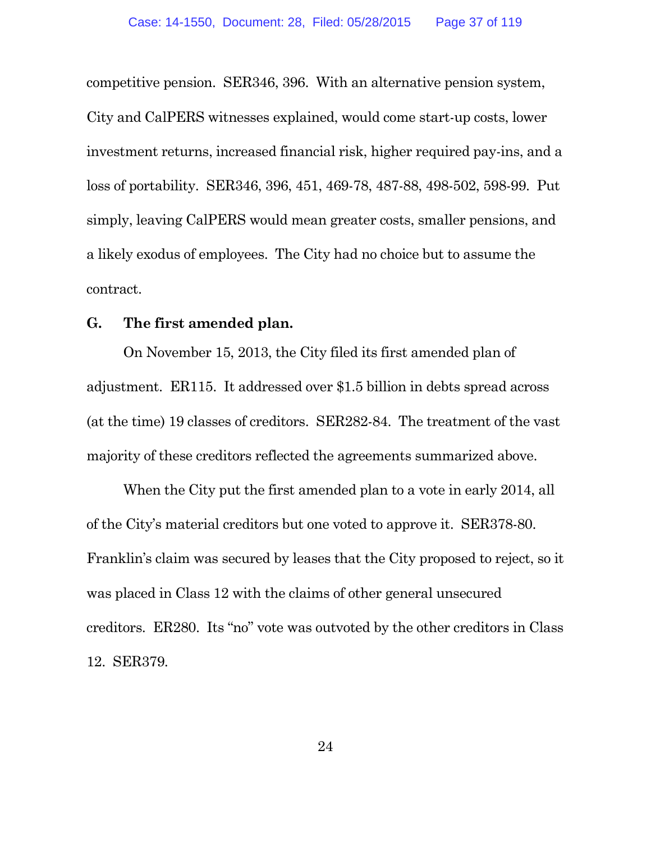competitive pension. SER346, 396. With an alternative pension system, City and CalPERS witnesses explained, would come start-up costs, lower investment returns, increased financial risk, higher required pay-ins, and a loss of portability. SER346, 396, 451, 469-78, 487-88, 498-502, 598-99. Put simply, leaving CalPERS would mean greater costs, smaller pensions, and a likely exodus of employees. The City had no choice but to assume the contract.

#### **G. The first amended plan.**

On November 15, 2013, the City filed its first amended plan of adjustment. ER115. It addressed over \$1.5 billion in debts spread across (at the time) 19 classes of creditors. SER282-84. The treatment of the vast majority of these creditors reflected the agreements summarized above.

When the City put the first amended plan to a vote in early 2014, all of the City's material creditors but one voted to approve it. SER378-80. Franklin's claim was secured by leases that the City proposed to reject, so it was placed in Class 12 with the claims of other general unsecured creditors. ER280. Its "no" vote was outvoted by the other creditors in Class 12. SER379.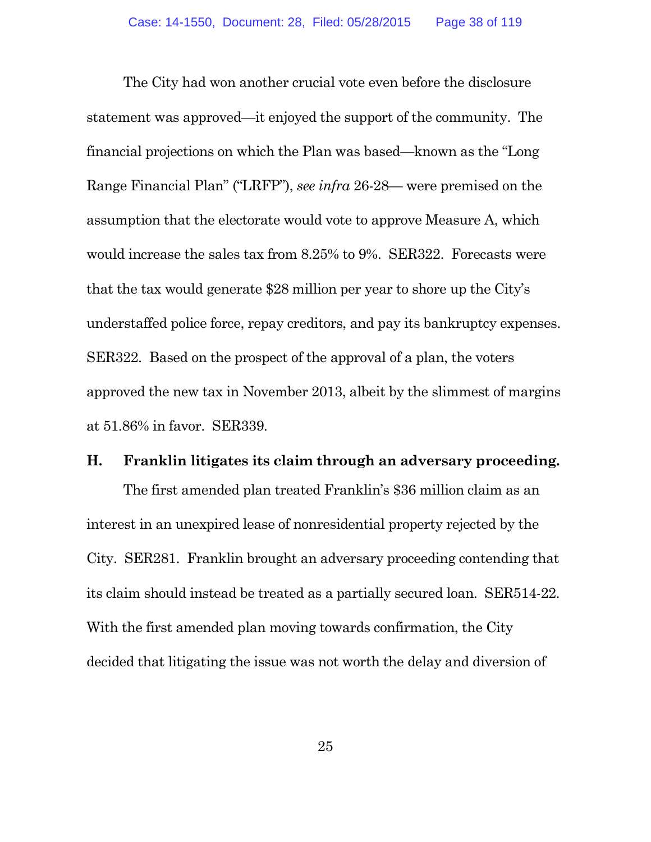The City had won another crucial vote even before the disclosure statement was approved—it enjoyed the support of the community. The financial projections on which the Plan was based—known as the "Long Range Financial Plan" ("LRFP"), *see infra* 26-28— were premised on the assumption that the electorate would vote to approve Measure A, which would increase the sales tax from 8.25% to 9%. SER322. Forecasts were that the tax would generate \$28 million per year to shore up the City's understaffed police force, repay creditors, and pay its bankruptcy expenses. SER322. Based on the prospect of the approval of a plan, the voters approved the new tax in November 2013, albeit by the slimmest of margins at 51.86% in favor. SER339.

#### **H. Franklin litigates its claim through an adversary proceeding.**

The first amended plan treated Franklin's \$36 million claim as an interest in an unexpired lease of nonresidential property rejected by the City. SER281. Franklin brought an adversary proceeding contending that its claim should instead be treated as a partially secured loan. SER514-22. With the first amended plan moving towards confirmation, the City decided that litigating the issue was not worth the delay and diversion of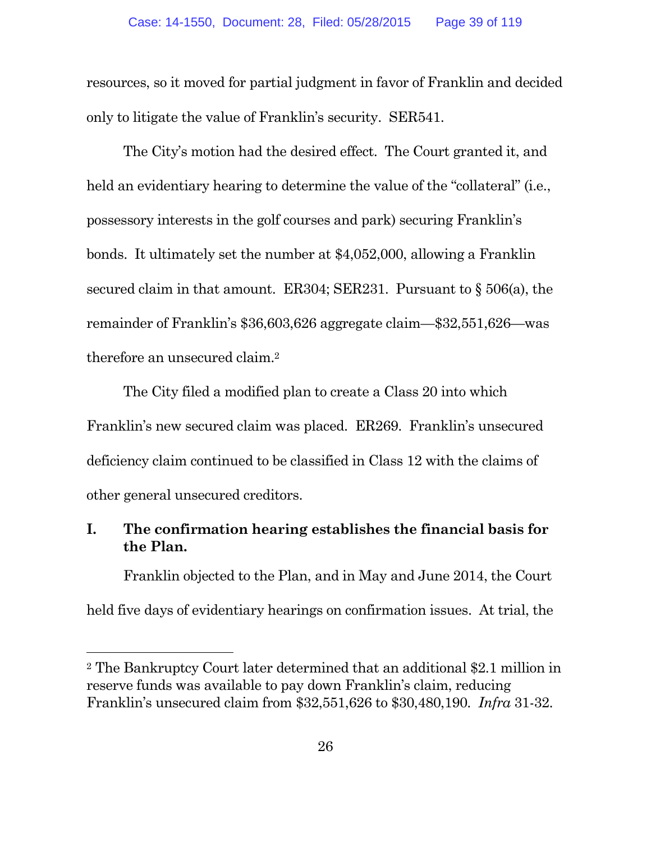resources, so it moved for partial judgment in favor of Franklin and decided only to litigate the value of Franklin's security. SER541.

The City's motion had the desired effect. The Court granted it, and held an evidentiary hearing to determine the value of the "collateral" (i.e., possessory interests in the golf courses and park) securing Franklin's bonds. It ultimately set the number at \$4,052,000, allowing a Franklin secured claim in that amount. ER304; SER231. Pursuant to § 506(a), the remainder of Franklin's \$36,603,626 aggregate claim—\$32,551,626—was therefore an unsecured claim.<sup>2</sup>

The City filed a modified plan to create a Class 20 into which Franklin's new secured claim was placed. ER269. Franklin's unsecured deficiency claim continued to be classified in Class 12 with the claims of other general unsecured creditors.

# **I. The confirmation hearing establishes the financial basis for the Plan.**

Franklin objected to the Plan, and in May and June 2014, the Court held five days of evidentiary hearings on confirmation issues. At trial, the

<sup>2</sup> The Bankruptcy Court later determined that an additional \$2.1 million in reserve funds was available to pay down Franklin's claim, reducing Franklin's unsecured claim from \$32,551,626 to \$30,480,190. *Infra* 31-32.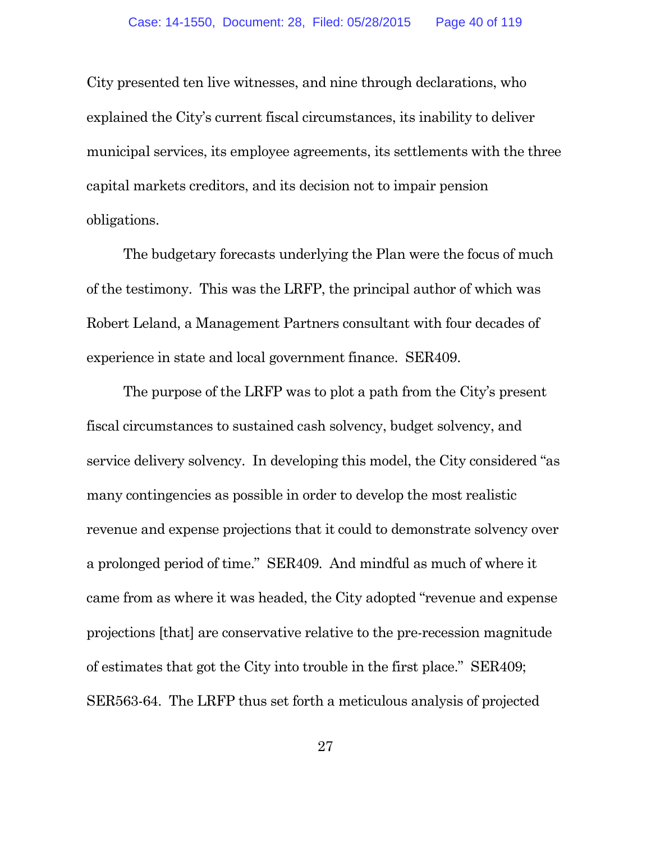City presented ten live witnesses, and nine through declarations, who explained the City's current fiscal circumstances, its inability to deliver municipal services, its employee agreements, its settlements with the three capital markets creditors, and its decision not to impair pension obligations.

The budgetary forecasts underlying the Plan were the focus of much of the testimony. This was the LRFP, the principal author of which was Robert Leland, a Management Partners consultant with four decades of experience in state and local government finance. SER409.

The purpose of the LRFP was to plot a path from the City's present fiscal circumstances to sustained cash solvency, budget solvency, and service delivery solvency. In developing this model, the City considered "as many contingencies as possible in order to develop the most realistic revenue and expense projections that it could to demonstrate solvency over a prolonged period of time." SER409. And mindful as much of where it came from as where it was headed, the City adopted "revenue and expense projections [that] are conservative relative to the pre-recession magnitude of estimates that got the City into trouble in the first place." SER409; SER563-64. The LRFP thus set forth a meticulous analysis of projected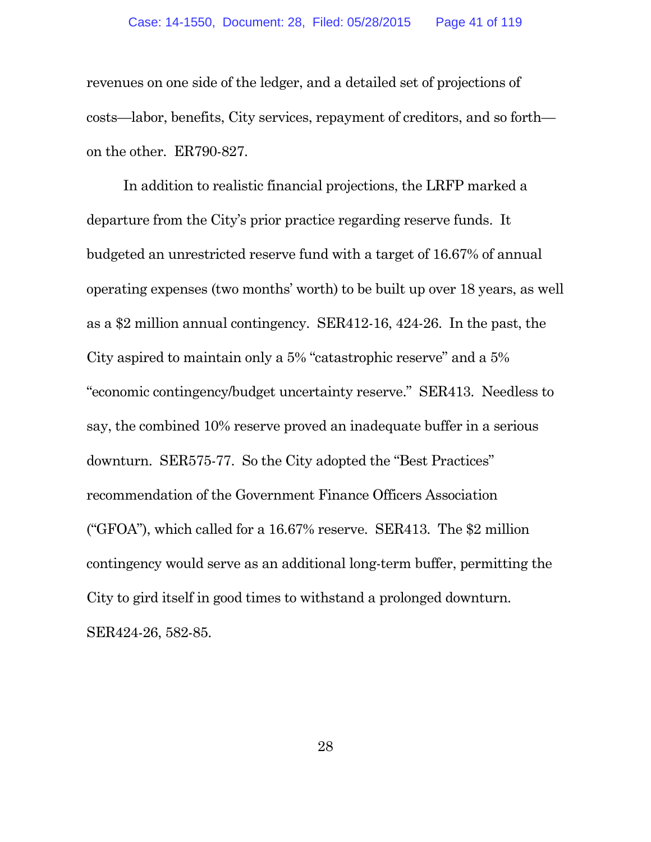revenues on one side of the ledger, and a detailed set of projections of costs—labor, benefits, City services, repayment of creditors, and so forth on the other. ER790-827.

In addition to realistic financial projections, the LRFP marked a departure from the City's prior practice regarding reserve funds. It budgeted an unrestricted reserve fund with a target of 16.67% of annual operating expenses (two months' worth) to be built up over 18 years, as well as a \$2 million annual contingency. SER412-16, 424-26. In the past, the City aspired to maintain only a 5% "catastrophic reserve" and a 5% "economic contingency/budget uncertainty reserve." SER413. Needless to say, the combined 10% reserve proved an inadequate buffer in a serious downturn. SER575-77. So the City adopted the "Best Practices" recommendation of the Government Finance Officers Association ("GFOA"), which called for a 16.67% reserve. SER413. The \$2 million contingency would serve as an additional long-term buffer, permitting the City to gird itself in good times to withstand a prolonged downturn. SER424-26, 582-85.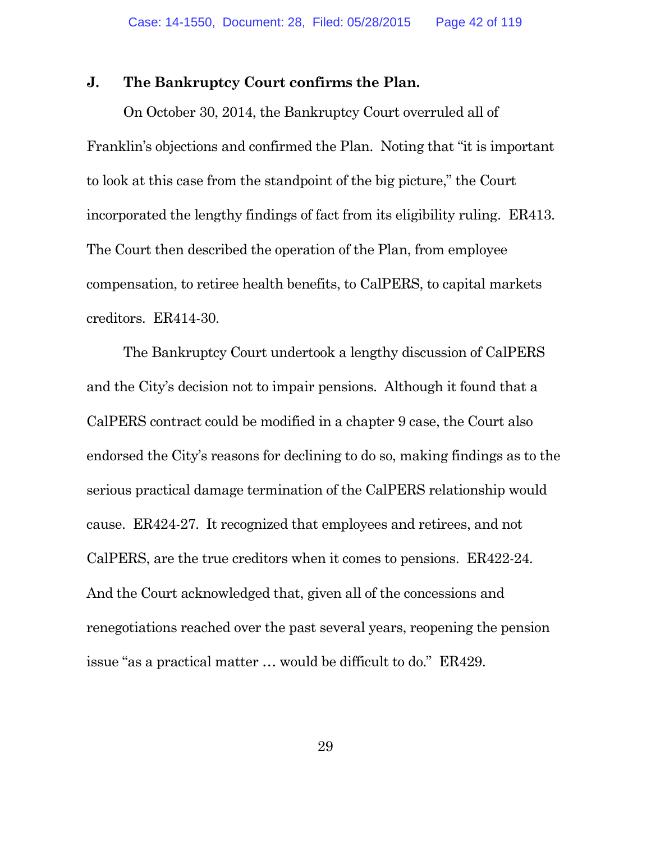#### **J. The Bankruptcy Court confirms the Plan.**

On October 30, 2014, the Bankruptcy Court overruled all of Franklin's objections and confirmed the Plan. Noting that "it is important to look at this case from the standpoint of the big picture," the Court incorporated the lengthy findings of fact from its eligibility ruling. ER413. The Court then described the operation of the Plan, from employee compensation, to retiree health benefits, to CalPERS, to capital markets creditors. ER414-30.

The Bankruptcy Court undertook a lengthy discussion of CalPERS and the City's decision not to impair pensions. Although it found that a CalPERS contract could be modified in a chapter 9 case, the Court also endorsed the City's reasons for declining to do so, making findings as to the serious practical damage termination of the CalPERS relationship would cause. ER424-27. It recognized that employees and retirees, and not CalPERS, are the true creditors when it comes to pensions. ER422-24. And the Court acknowledged that, given all of the concessions and renegotiations reached over the past several years, reopening the pension issue "as a practical matter … would be difficult to do." ER429.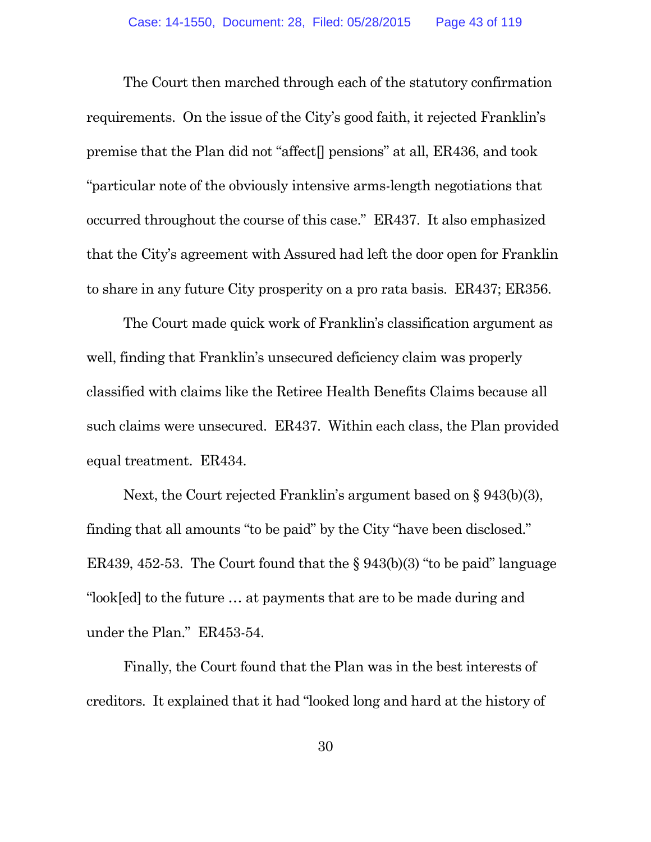The Court then marched through each of the statutory confirmation requirements. On the issue of the City's good faith, it rejected Franklin's premise that the Plan did not "affect[] pensions" at all, ER436, and took "particular note of the obviously intensive arms-length negotiations that occurred throughout the course of this case." ER437. It also emphasized that the City's agreement with Assured had left the door open for Franklin to share in any future City prosperity on a pro rata basis. ER437; ER356.

The Court made quick work of Franklin's classification argument as well, finding that Franklin's unsecured deficiency claim was properly classified with claims like the Retiree Health Benefits Claims because all such claims were unsecured. ER437. Within each class, the Plan provided equal treatment. ER434.

Next, the Court rejected Franklin's argument based on § 943(b)(3), finding that all amounts "to be paid" by the City "have been disclosed." ER439, 452-53. The Court found that the  $\S 943(b)(3)$  "to be paid" language "look[ed] to the future … at payments that are to be made during and under the Plan." ER453-54.

Finally, the Court found that the Plan was in the best interests of creditors. It explained that it had "looked long and hard at the history of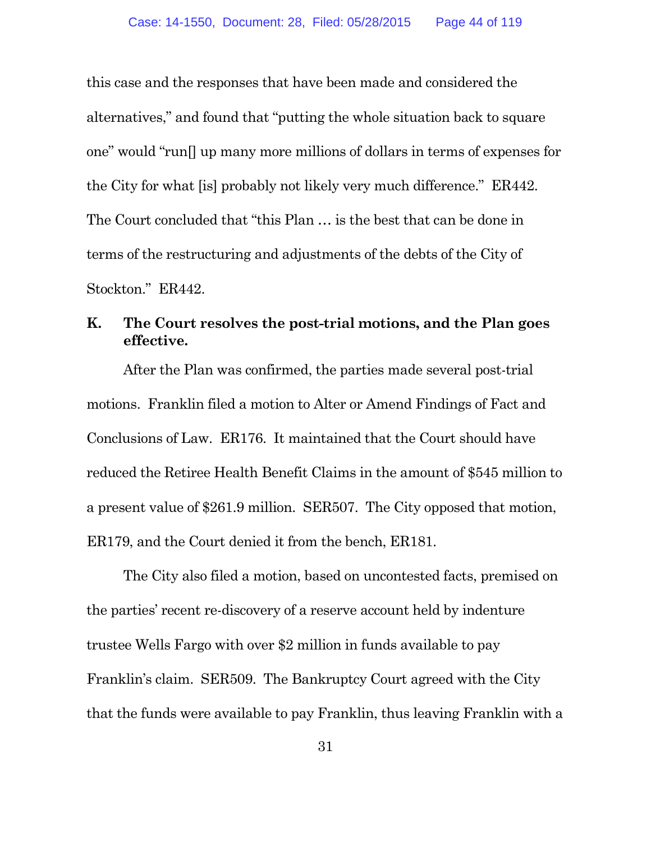this case and the responses that have been made and considered the alternatives," and found that "putting the whole situation back to square one" would "run[] up many more millions of dollars in terms of expenses for the City for what [is] probably not likely very much difference." ER442. The Court concluded that "this Plan … is the best that can be done in terms of the restructuring and adjustments of the debts of the City of Stockton." ER442.

# **K. The Court resolves the post-trial motions, and the Plan goes effective.**

After the Plan was confirmed, the parties made several post-trial motions. Franklin filed a motion to Alter or Amend Findings of Fact and Conclusions of Law. ER176. It maintained that the Court should have reduced the Retiree Health Benefit Claims in the amount of \$545 million to a present value of \$261.9 million. SER507. The City opposed that motion, ER179, and the Court denied it from the bench, ER181.

The City also filed a motion, based on uncontested facts, premised on the parties' recent re-discovery of a reserve account held by indenture trustee Wells Fargo with over \$2 million in funds available to pay Franklin's claim. SER509. The Bankruptcy Court agreed with the City that the funds were available to pay Franklin, thus leaving Franklin with a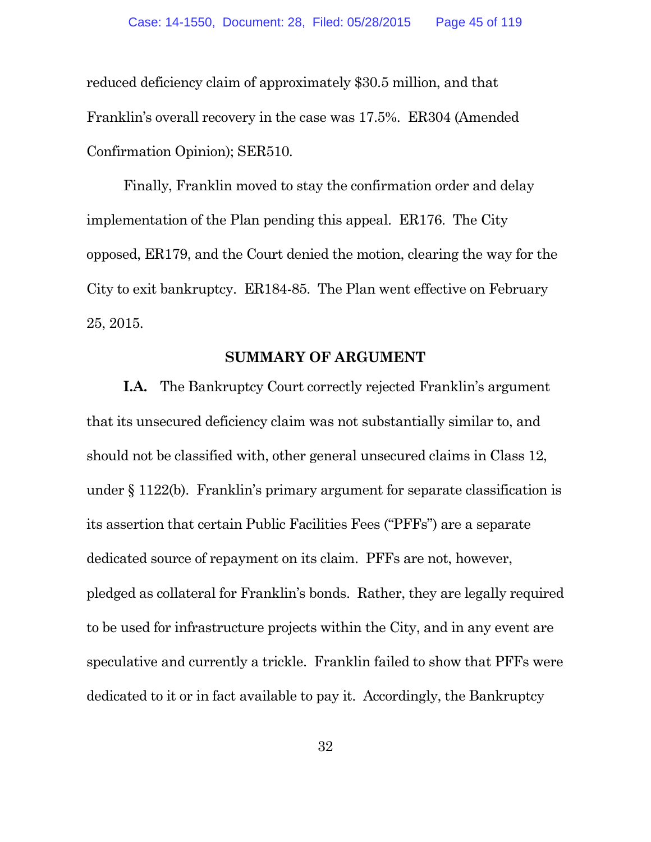reduced deficiency claim of approximately \$30.5 million, and that Franklin's overall recovery in the case was 17.5%. ER304 (Amended Confirmation Opinion); SER510.

Finally, Franklin moved to stay the confirmation order and delay implementation of the Plan pending this appeal. ER176. The City opposed, ER179, and the Court denied the motion, clearing the way for the City to exit bankruptcy. ER184-85. The Plan went effective on February 25, 2015.

#### **SUMMARY OF ARGUMENT**

**I.A.** The Bankruptcy Court correctly rejected Franklin's argument that its unsecured deficiency claim was not substantially similar to, and should not be classified with, other general unsecured claims in Class 12, under § 1122(b). Franklin's primary argument for separate classification is its assertion that certain Public Facilities Fees ("PFFs") are a separate dedicated source of repayment on its claim. PFFs are not, however, pledged as collateral for Franklin's bonds. Rather, they are legally required to be used for infrastructure projects within the City, and in any event are speculative and currently a trickle. Franklin failed to show that PFFs were dedicated to it or in fact available to pay it. Accordingly, the Bankruptcy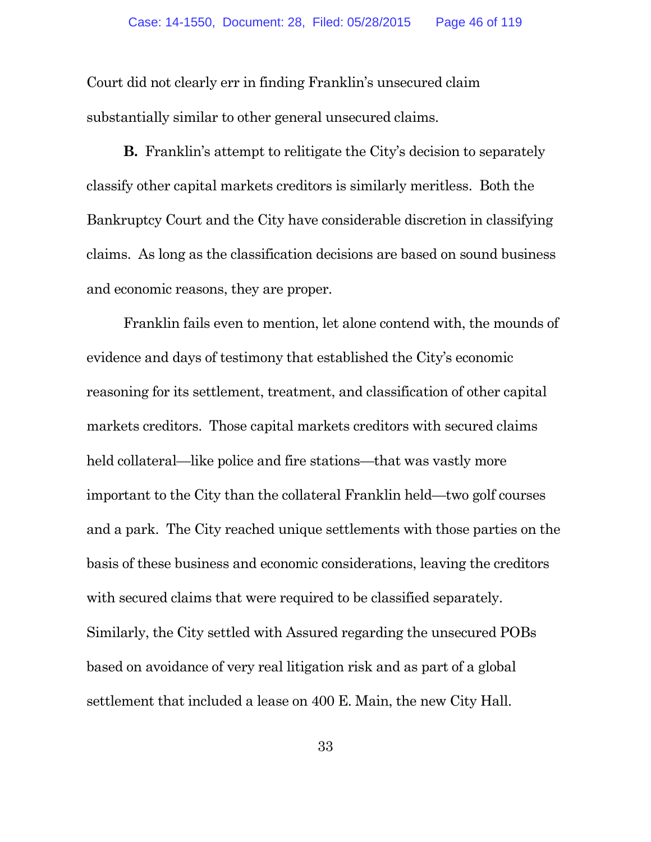Court did not clearly err in finding Franklin's unsecured claim substantially similar to other general unsecured claims.

**B.** Franklin's attempt to relitigate the City's decision to separately classify other capital markets creditors is similarly meritless. Both the Bankruptcy Court and the City have considerable discretion in classifying claims. As long as the classification decisions are based on sound business and economic reasons, they are proper.

Franklin fails even to mention, let alone contend with, the mounds of evidence and days of testimony that established the City's economic reasoning for its settlement, treatment, and classification of other capital markets creditors. Those capital markets creditors with secured claims held collateral—like police and fire stations—that was vastly more important to the City than the collateral Franklin held—two golf courses and a park. The City reached unique settlements with those parties on the basis of these business and economic considerations, leaving the creditors with secured claims that were required to be classified separately. Similarly, the City settled with Assured regarding the unsecured POBs based on avoidance of very real litigation risk and as part of a global settlement that included a lease on 400 E. Main, the new City Hall.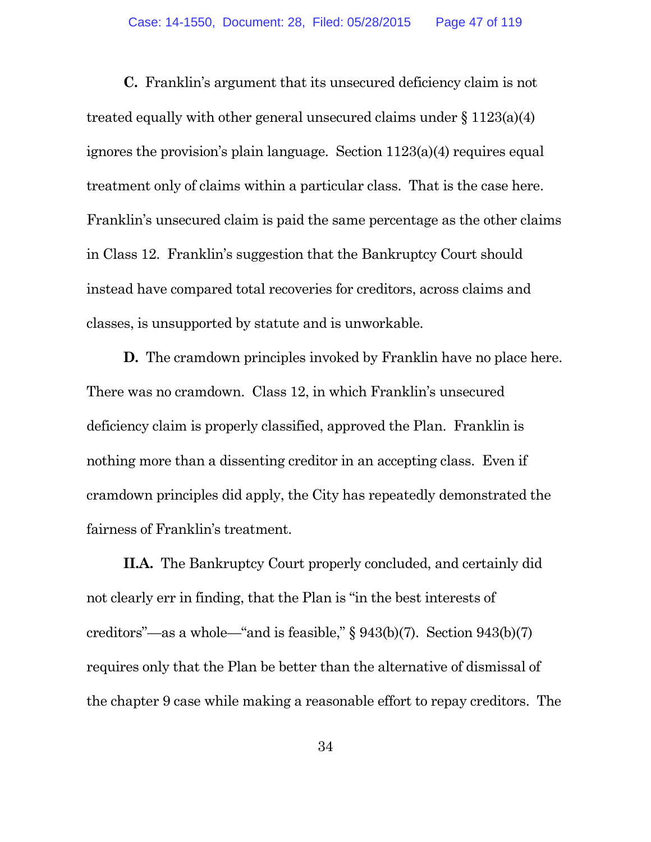**C.** Franklin's argument that its unsecured deficiency claim is not treated equally with other general unsecured claims under § 1123(a)(4) ignores the provision's plain language. Section 1123(a)(4) requires equal treatment only of claims within a particular class. That is the case here. Franklin's unsecured claim is paid the same percentage as the other claims in Class 12. Franklin's suggestion that the Bankruptcy Court should instead have compared total recoveries for creditors, across claims and classes, is unsupported by statute and is unworkable.

**D.** The cramdown principles invoked by Franklin have no place here. There was no cramdown. Class 12, in which Franklin's unsecured deficiency claim is properly classified, approved the Plan. Franklin is nothing more than a dissenting creditor in an accepting class. Even if cramdown principles did apply, the City has repeatedly demonstrated the fairness of Franklin's treatment.

**II.A.** The Bankruptcy Court properly concluded, and certainly did not clearly err in finding, that the Plan is "in the best interests of creditors"—as a whole—"and is feasible," § 943(b)(7). Section 943(b)(7) requires only that the Plan be better than the alternative of dismissal of the chapter 9 case while making a reasonable effort to repay creditors. The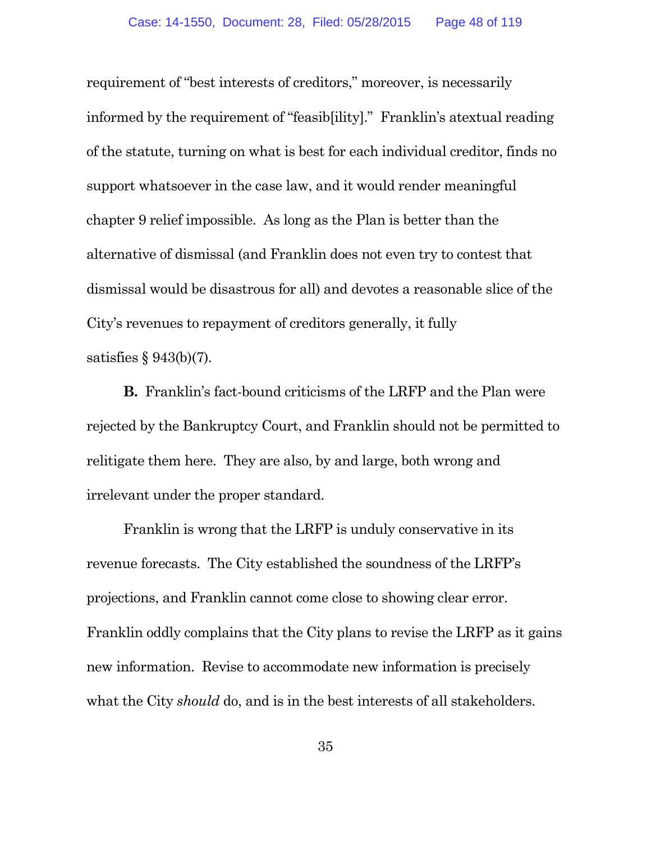requirement of "best interests of creditors," moreover, is necessarily informed by the requirement of "feasib[ility]." Franklin's atextual reading of the statute, turning on what is best for each individual creditor, finds no support whatsoever in the case law, and it would render meaningful chapter 9 relief impossible. As long as the Plan is better than the alternative of dismissal (and Franklin does not even try to contest that dismissal would be disastrous for all) and devotes a reasonable slice of the City's revenues to repayment of creditors generally, it fully satisfies § 943(b)(7).

**B.** Franklin's fact-bound criticisms of the LRFP and the Plan were rejected by the Bankruptcy Court, and Franklin should not be permitted to relitigate them here. They are also, by and large, both wrong and irrelevant under the proper standard.

Franklin is wrong that the LRFP is unduly conservative in its revenue forecasts. The City established the soundness of the LRFP's projections, and Franklin cannot come close to showing clear error. Franklin oddly complains that the City plans to revise the LRFP as it gains new information. Revise to accommodate new information is precisely what the City *should* do, and is in the best interests of all stakeholders.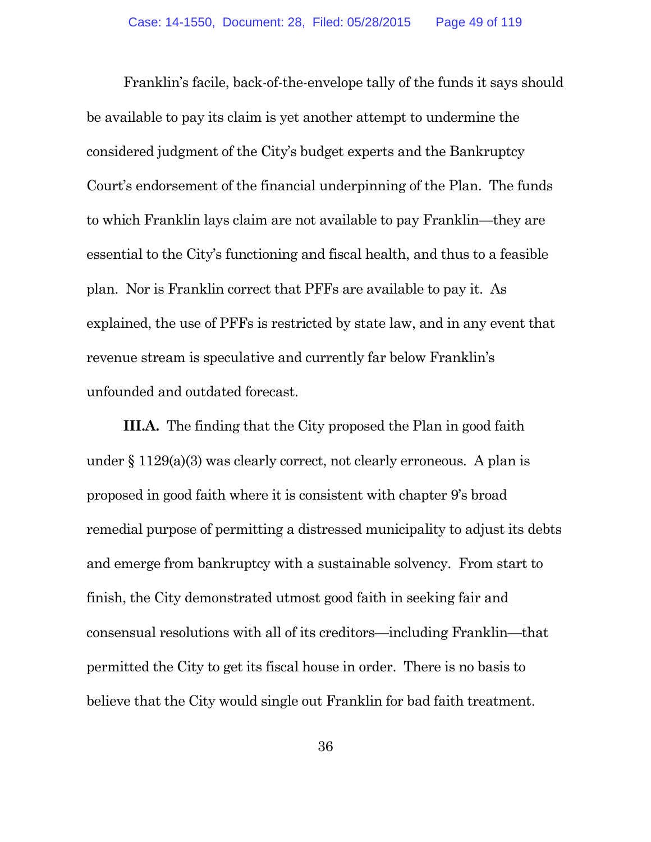Franklin's facile, back-of-the-envelope tally of the funds it says should be available to pay its claim is yet another attempt to undermine the considered judgment of the City's budget experts and the Bankruptcy Court's endorsement of the financial underpinning of the Plan. The funds to which Franklin lays claim are not available to pay Franklin—they are essential to the City's functioning and fiscal health, and thus to a feasible plan. Nor is Franklin correct that PFFs are available to pay it. As explained, the use of PFFs is restricted by state law, and in any event that revenue stream is speculative and currently far below Franklin's unfounded and outdated forecast.

**III.A.** The finding that the City proposed the Plan in good faith under § 1129(a)(3) was clearly correct, not clearly erroneous. A plan is proposed in good faith where it is consistent with chapter 9's broad remedial purpose of permitting a distressed municipality to adjust its debts and emerge from bankruptcy with a sustainable solvency. From start to finish, the City demonstrated utmost good faith in seeking fair and consensual resolutions with all of its creditors—including Franklin—that permitted the City to get its fiscal house in order. There is no basis to believe that the City would single out Franklin for bad faith treatment.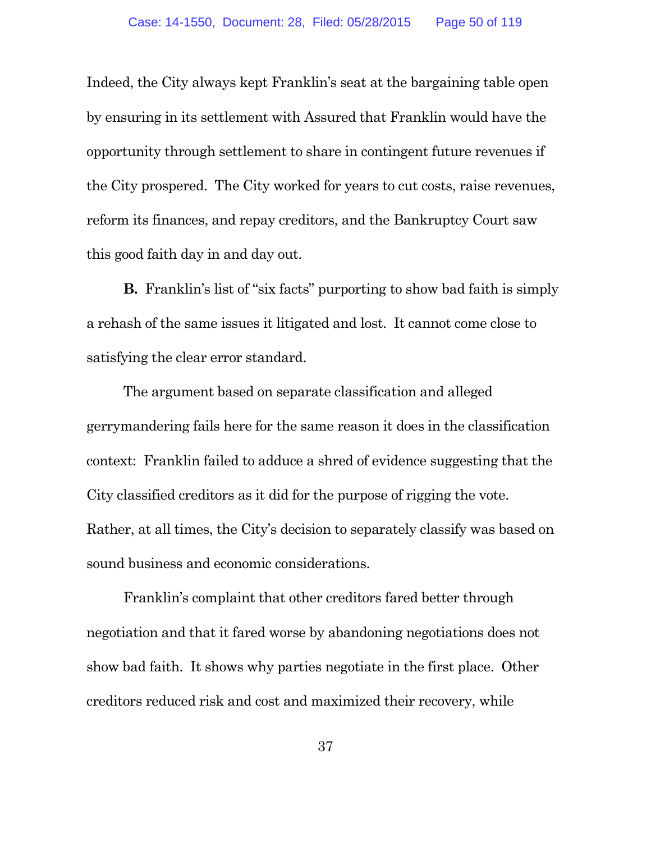Indeed, the City always kept Franklin's seat at the bargaining table open by ensuring in its settlement with Assured that Franklin would have the opportunity through settlement to share in contingent future revenues if the City prospered. The City worked for years to cut costs, raise revenues, reform its finances, and repay creditors, and the Bankruptcy Court saw this good faith day in and day out.

**B.** Franklin's list of "six facts" purporting to show bad faith is simply a rehash of the same issues it litigated and lost. It cannot come close to satisfying the clear error standard.

The argument based on separate classification and alleged gerrymandering fails here for the same reason it does in the classification context: Franklin failed to adduce a shred of evidence suggesting that the City classified creditors as it did for the purpose of rigging the vote. Rather, at all times, the City's decision to separately classify was based on sound business and economic considerations.

Franklin's complaint that other creditors fared better through negotiation and that it fared worse by abandoning negotiations does not show bad faith. It shows why parties negotiate in the first place. Other creditors reduced risk and cost and maximized their recovery, while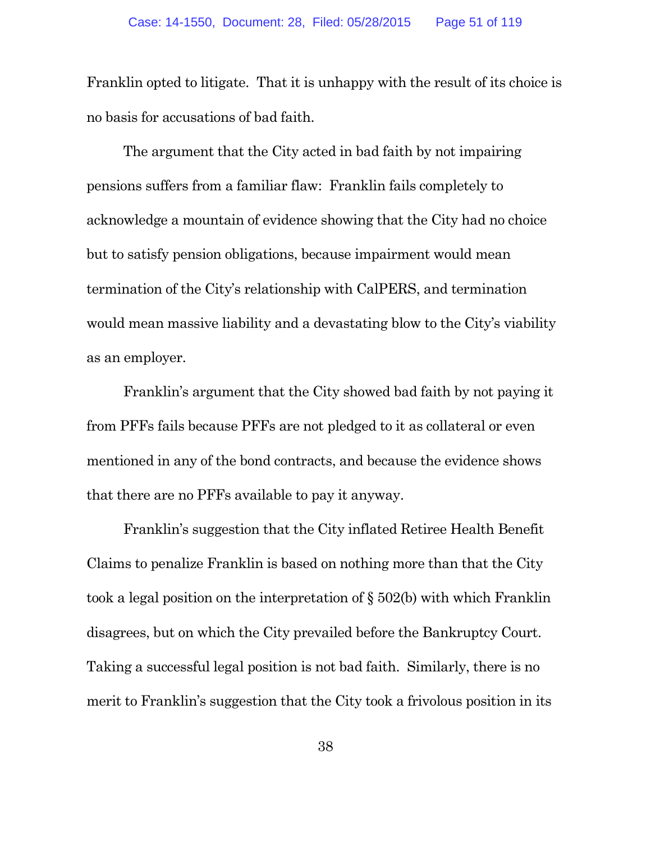Franklin opted to litigate. That it is unhappy with the result of its choice is no basis for accusations of bad faith.

The argument that the City acted in bad faith by not impairing pensions suffers from a familiar flaw: Franklin fails completely to acknowledge a mountain of evidence showing that the City had no choice but to satisfy pension obligations, because impairment would mean termination of the City's relationship with CalPERS, and termination would mean massive liability and a devastating blow to the City's viability as an employer.

Franklin's argument that the City showed bad faith by not paying it from PFFs fails because PFFs are not pledged to it as collateral or even mentioned in any of the bond contracts, and because the evidence shows that there are no PFFs available to pay it anyway.

Franklin's suggestion that the City inflated Retiree Health Benefit Claims to penalize Franklin is based on nothing more than that the City took a legal position on the interpretation of § 502(b) with which Franklin disagrees, but on which the City prevailed before the Bankruptcy Court. Taking a successful legal position is not bad faith. Similarly, there is no merit to Franklin's suggestion that the City took a frivolous position in its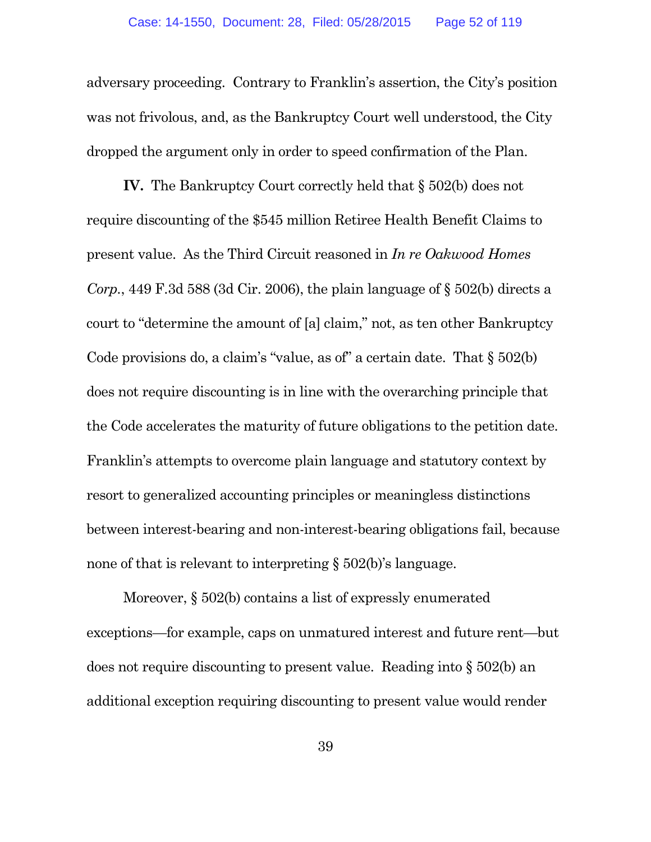adversary proceeding. Contrary to Franklin's assertion, the City's position was not frivolous, and, as the Bankruptcy Court well understood, the City dropped the argument only in order to speed confirmation of the Plan.

**IV.** The Bankruptcy Court correctly held that § 502(b) does not require discounting of the \$545 million Retiree Health Benefit Claims to present value. As the Third Circuit reasoned in *In re Oakwood Homes Corp.*, 449 F.3d 588 (3d Cir. 2006), the plain language of  $\S$  502(b) directs a court to "determine the amount of [a] claim," not, as ten other Bankruptcy Code provisions do, a claim's "value, as of" a certain date. That § 502(b) does not require discounting is in line with the overarching principle that the Code accelerates the maturity of future obligations to the petition date. Franklin's attempts to overcome plain language and statutory context by resort to generalized accounting principles or meaningless distinctions between interest-bearing and non-interest-bearing obligations fail, because none of that is relevant to interpreting § 502(b)'s language.

Moreover, § 502(b) contains a list of expressly enumerated exceptions—for example, caps on unmatured interest and future rent—but does not require discounting to present value. Reading into § 502(b) an additional exception requiring discounting to present value would render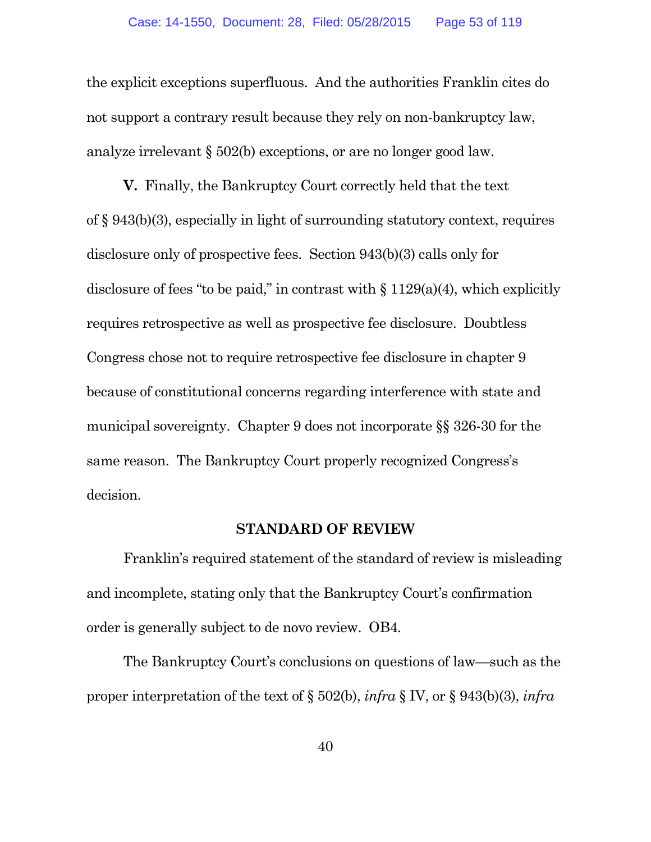the explicit exceptions superfluous. And the authorities Franklin cites do not support a contrary result because they rely on non-bankruptcy law, analyze irrelevant § 502(b) exceptions, or are no longer good law.

**V.** Finally, the Bankruptcy Court correctly held that the text of § 943(b)(3), especially in light of surrounding statutory context, requires disclosure only of prospective fees. Section 943(b)(3) calls only for disclosure of fees "to be paid," in contrast with  $\S 1129(a)(4)$ , which explicitly requires retrospective as well as prospective fee disclosure. Doubtless Congress chose not to require retrospective fee disclosure in chapter 9 because of constitutional concerns regarding interference with state and municipal sovereignty. Chapter 9 does not incorporate §§ 326-30 for the same reason. The Bankruptcy Court properly recognized Congress's decision.

#### **STANDARD OF REVIEW**

Franklin's required statement of the standard of review is misleading and incomplete, stating only that the Bankruptcy Court's confirmation order is generally subject to de novo review. OB4.

The Bankruptcy Court's conclusions on questions of law—such as the proper interpretation of the text of § 502(b), *infra* § IV, or § 943(b)(3), *infra*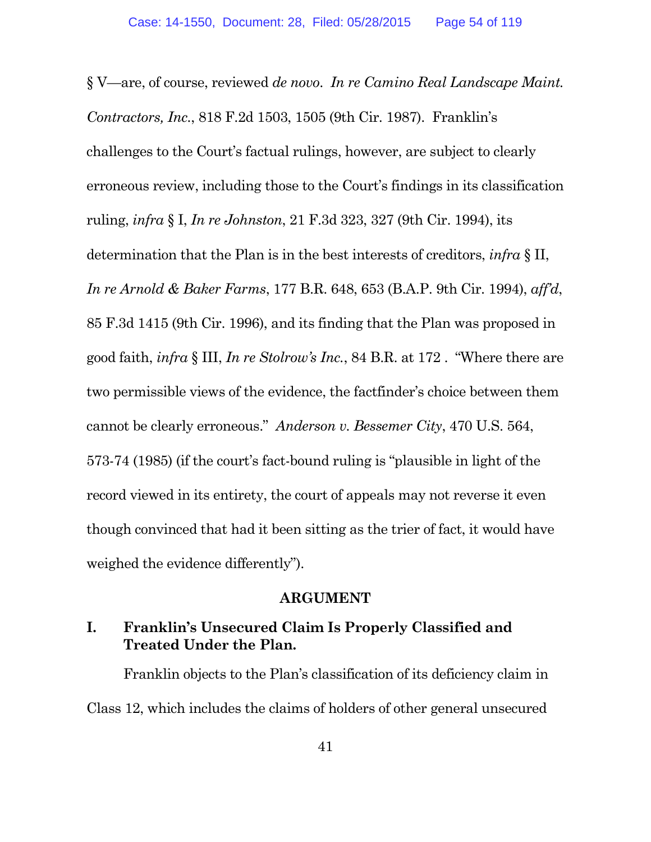§ V—are, of course, reviewed *de novo*. *In re Camino Real Landscape Maint. Contractors, Inc.*, 818 F.2d 1503, 1505 (9th Cir. 1987). Franklin's challenges to the Court's factual rulings, however, are subject to clearly erroneous review, including those to the Court's findings in its classification ruling, *infra* § I, *In re Johnston*, 21 F.3d 323, 327 (9th Cir. 1994), its determination that the Plan is in the best interests of creditors, *infra* § II, *In re Arnold & Baker Farms*, 177 B.R. 648, 653 (B.A.P. 9th Cir. 1994), *aff'd*, 85 F.3d 1415 (9th Cir. 1996), and its finding that the Plan was proposed in good faith, *infra* § III, *In re Stolrow's Inc.*, 84 B.R. at 172 . "Where there are two permissible views of the evidence, the factfinder's choice between them cannot be clearly erroneous." *Anderson v. Bessemer City*, 470 U.S. 564, 573-74 (1985) (if the court's fact-bound ruling is "plausible in light of the record viewed in its entirety, the court of appeals may not reverse it even though convinced that had it been sitting as the trier of fact, it would have weighed the evidence differently").

#### **ARGUMENT**

# **I. Franklin's Unsecured Claim Is Properly Classified and Treated Under the Plan.**

Franklin objects to the Plan's classification of its deficiency claim in Class 12, which includes the claims of holders of other general unsecured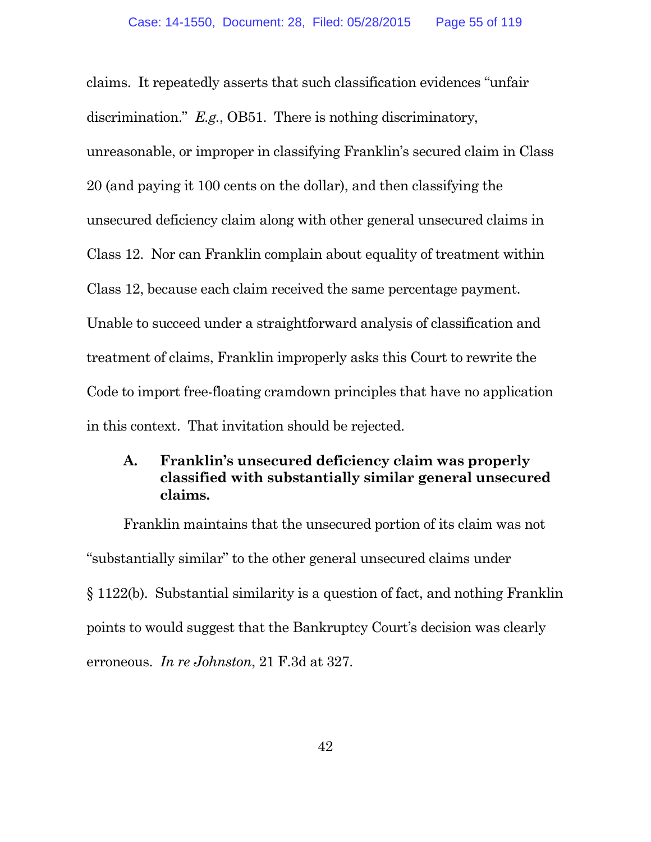claims. It repeatedly asserts that such classification evidences "unfair discrimination." *E.g.*, OB51. There is nothing discriminatory, unreasonable, or improper in classifying Franklin's secured claim in Class 20 (and paying it 100 cents on the dollar), and then classifying the unsecured deficiency claim along with other general unsecured claims in Class 12. Nor can Franklin complain about equality of treatment within Class 12, because each claim received the same percentage payment. Unable to succeed under a straightforward analysis of classification and treatment of claims, Franklin improperly asks this Court to rewrite the Code to import free-floating cramdown principles that have no application in this context. That invitation should be rejected.

## **A. Franklin's unsecured deficiency claim was properly classified with substantially similar general unsecured claims.**

Franklin maintains that the unsecured portion of its claim was not "substantially similar" to the other general unsecured claims under § 1122(b). Substantial similarity is a question of fact, and nothing Franklin points to would suggest that the Bankruptcy Court's decision was clearly erroneous. *In re Johnston*, 21 F.3d at 327.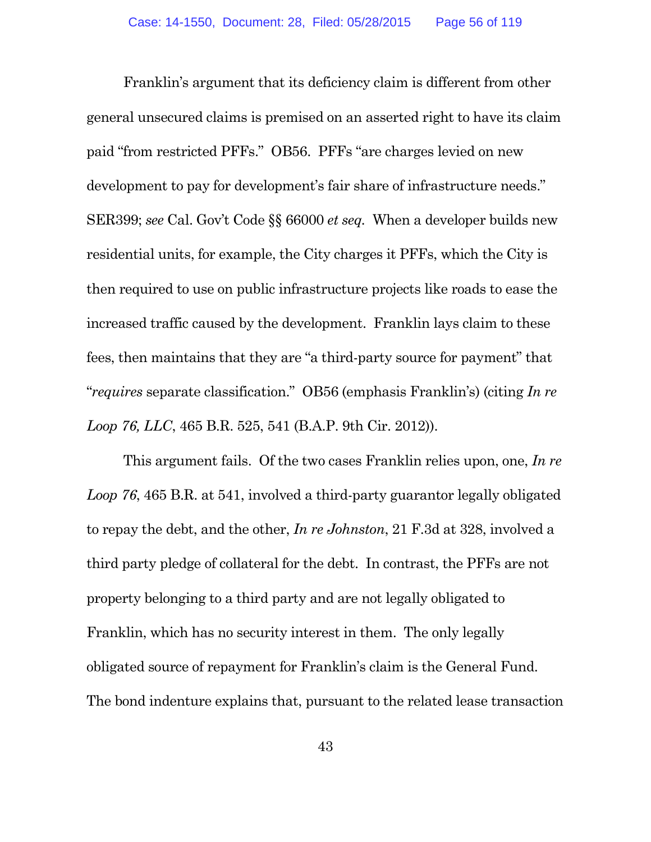Franklin's argument that its deficiency claim is different from other general unsecured claims is premised on an asserted right to have its claim paid "from restricted PFFs." OB56. PFFs "are charges levied on new development to pay for development's fair share of infrastructure needs." SER399; *see* Cal. Gov't Code §§ 66000 *et seq.* When a developer builds new residential units, for example, the City charges it PFFs, which the City is then required to use on public infrastructure projects like roads to ease the increased traffic caused by the development. Franklin lays claim to these fees, then maintains that they are "a third-party source for payment" that "*requires* separate classification." OB56 (emphasis Franklin's) (citing *In re Loop 76, LLC*, 465 B.R. 525, 541 (B.A.P. 9th Cir. 2012)).

This argument fails. Of the two cases Franklin relies upon, one, *In re Loop 76*, 465 B.R. at 541, involved a third-party guarantor legally obligated to repay the debt, and the other, *In re Johnston*, 21 F.3d at 328, involved a third party pledge of collateral for the debt. In contrast, the PFFs are not property belonging to a third party and are not legally obligated to Franklin, which has no security interest in them. The only legally obligated source of repayment for Franklin's claim is the General Fund. The bond indenture explains that, pursuant to the related lease transaction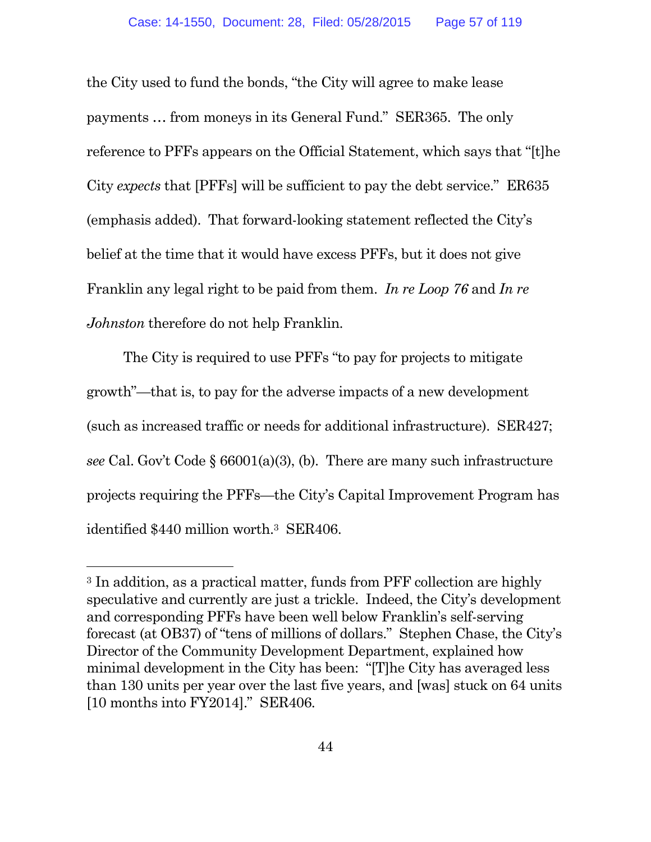the City used to fund the bonds, "the City will agree to make lease payments … from moneys in its General Fund." SER365. The only reference to PFFs appears on the Official Statement, which says that "[t]he City *expects* that [PFFs] will be sufficient to pay the debt service." ER635 (emphasis added). That forward-looking statement reflected the City's belief at the time that it would have excess PFFs, but it does not give Franklin any legal right to be paid from them. *In re Loop 76* and *In re Johnston* therefore do not help Franklin.

The City is required to use PFFs "to pay for projects to mitigate growth"—that is, to pay for the adverse impacts of a new development (such as increased traffic or needs for additional infrastructure). SER427; *see* Cal. Gov't Code § 66001(a)(3), (b). There are many such infrastructure projects requiring the PFFs—the City's Capital Improvement Program has identified \$440 million worth.<sup>3</sup> SER406.

<sup>3</sup> In addition, as a practical matter, funds from PFF collection are highly speculative and currently are just a trickle. Indeed, the City's development and corresponding PFFs have been well below Franklin's self-serving forecast (at OB37) of "tens of millions of dollars." Stephen Chase, the City's Director of the Community Development Department, explained how minimal development in the City has been: "[T]he City has averaged less than 130 units per year over the last five years, and [was] stuck on 64 units [10 months into FY2014]." SER406.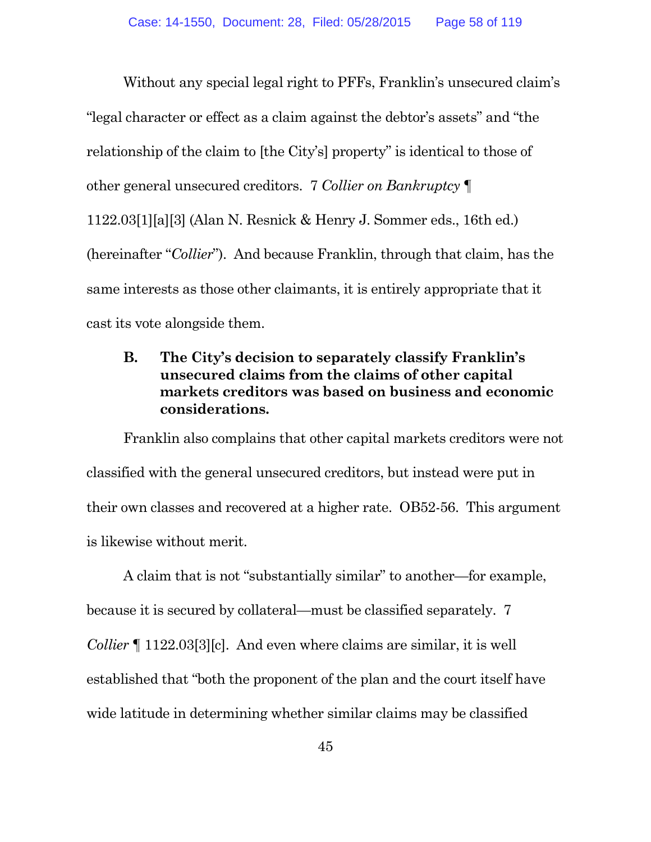Without any special legal right to PFFs, Franklin's unsecured claim's "legal character or effect as a claim against the debtor's assets" and "the relationship of the claim to [the City's] property" is identical to those of other general unsecured creditors. 7 *Collier on Bankruptcy* ¶ 1122.03[1][a][3] (Alan N. Resnick & Henry J. Sommer eds., 16th ed.) (hereinafter "*Collier*"). And because Franklin, through that claim, has the same interests as those other claimants, it is entirely appropriate that it cast its vote alongside them.

# **B. The City's decision to separately classify Franklin's unsecured claims from the claims of other capital markets creditors was based on business and economic considerations.**

Franklin also complains that other capital markets creditors were not classified with the general unsecured creditors, but instead were put in their own classes and recovered at a higher rate. OB52-56. This argument is likewise without merit.

A claim that is not "substantially similar" to another—for example, because it is secured by collateral—must be classified separately. 7 *Collier* ¶ 1122.03[3][c]. And even where claims are similar, it is well established that "both the proponent of the plan and the court itself have wide latitude in determining whether similar claims may be classified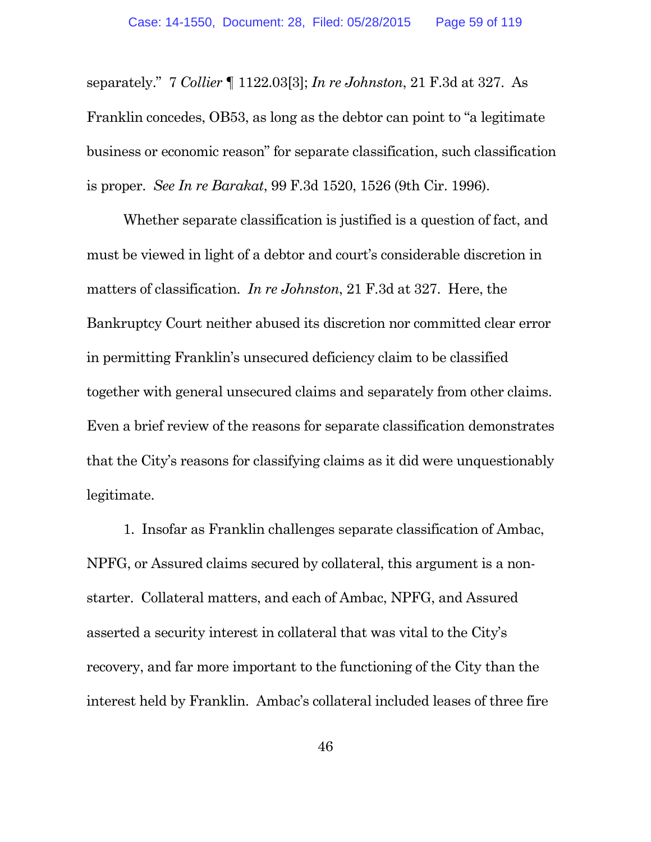separately." 7 *Collier* ¶ 1122.03[3]; *In re Johnston*, 21 F.3d at 327. As Franklin concedes, OB53, as long as the debtor can point to "a legitimate business or economic reason" for separate classification, such classification is proper. *See In re Barakat*, 99 F.3d 1520, 1526 (9th Cir. 1996).

Whether separate classification is justified is a question of fact, and must be viewed in light of a debtor and court's considerable discretion in matters of classification. *In re Johnston*, 21 F.3d at 327. Here, the Bankruptcy Court neither abused its discretion nor committed clear error in permitting Franklin's unsecured deficiency claim to be classified together with general unsecured claims and separately from other claims. Even a brief review of the reasons for separate classification demonstrates that the City's reasons for classifying claims as it did were unquestionably legitimate.

1. Insofar as Franklin challenges separate classification of Ambac, NPFG, or Assured claims secured by collateral, this argument is a nonstarter. Collateral matters, and each of Ambac, NPFG, and Assured asserted a security interest in collateral that was vital to the City's recovery, and far more important to the functioning of the City than the interest held by Franklin. Ambac's collateral included leases of three fire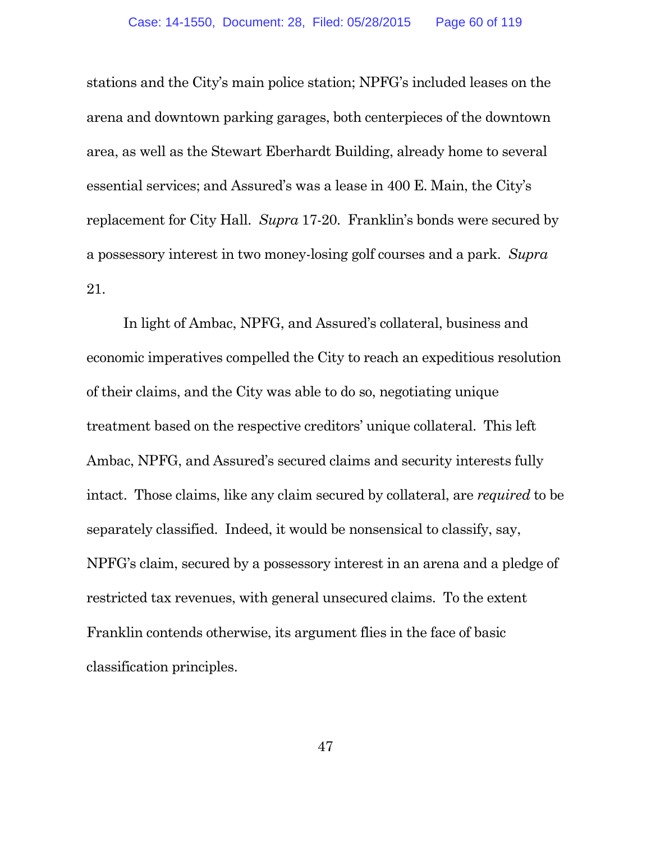stations and the City's main police station; NPFG's included leases on the arena and downtown parking garages, both centerpieces of the downtown area, as well as the Stewart Eberhardt Building, already home to several essential services; and Assured's was a lease in 400 E. Main, the City's replacement for City Hall. *Supra* 17-20. Franklin's bonds were secured by a possessory interest in two money-losing golf courses and a park. *Supra* 21.

In light of Ambac, NPFG, and Assured's collateral, business and economic imperatives compelled the City to reach an expeditious resolution of their claims, and the City was able to do so, negotiating unique treatment based on the respective creditors' unique collateral. This left Ambac, NPFG, and Assured's secured claims and security interests fully intact. Those claims, like any claim secured by collateral, are *required* to be separately classified. Indeed, it would be nonsensical to classify, say, NPFG's claim, secured by a possessory interest in an arena and a pledge of restricted tax revenues, with general unsecured claims. To the extent Franklin contends otherwise, its argument flies in the face of basic classification principles.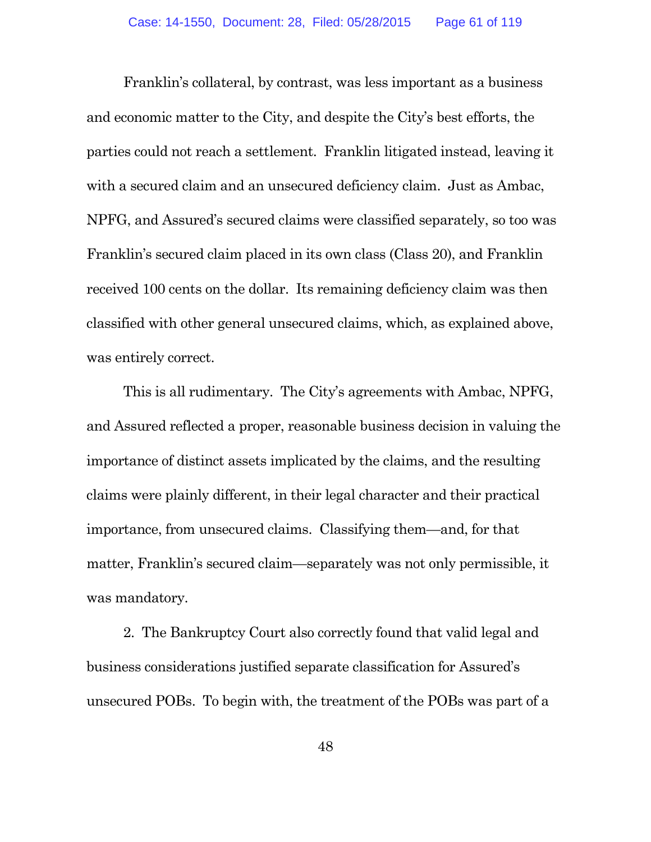Franklin's collateral, by contrast, was less important as a business and economic matter to the City, and despite the City's best efforts, the parties could not reach a settlement. Franklin litigated instead, leaving it with a secured claim and an unsecured deficiency claim. Just as Ambac, NPFG, and Assured's secured claims were classified separately, so too was Franklin's secured claim placed in its own class (Class 20), and Franklin received 100 cents on the dollar. Its remaining deficiency claim was then classified with other general unsecured claims, which, as explained above, was entirely correct.

This is all rudimentary. The City's agreements with Ambac, NPFG, and Assured reflected a proper, reasonable business decision in valuing the importance of distinct assets implicated by the claims, and the resulting claims were plainly different, in their legal character and their practical importance, from unsecured claims. Classifying them—and, for that matter, Franklin's secured claim—separately was not only permissible, it was mandatory.

2. The Bankruptcy Court also correctly found that valid legal and business considerations justified separate classification for Assured's unsecured POBs. To begin with, the treatment of the POBs was part of a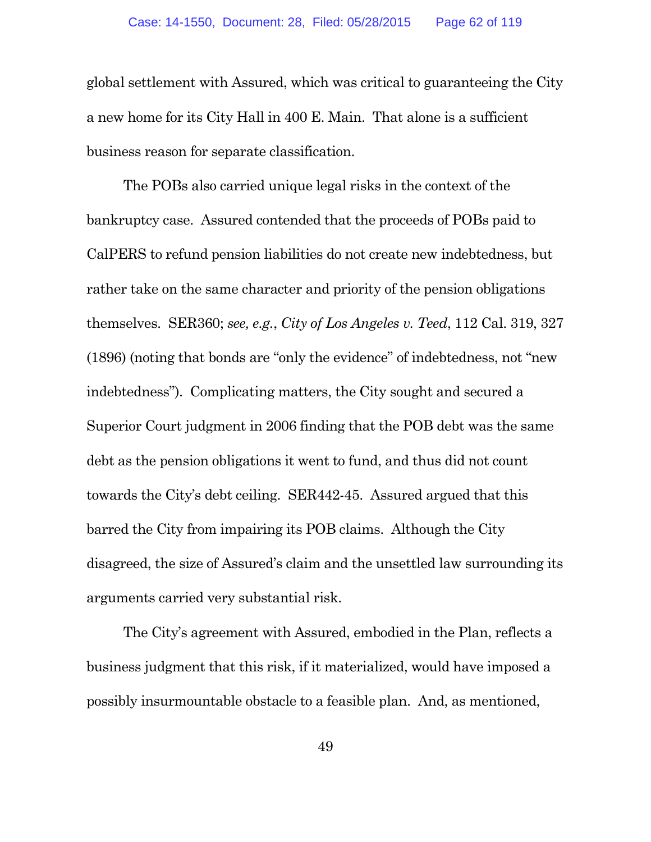global settlement with Assured, which was critical to guaranteeing the City a new home for its City Hall in 400 E. Main. That alone is a sufficient business reason for separate classification.

The POBs also carried unique legal risks in the context of the bankruptcy case. Assured contended that the proceeds of POBs paid to CalPERS to refund pension liabilities do not create new indebtedness, but rather take on the same character and priority of the pension obligations themselves. SER360; *see, e.g.*, *City of Los Angeles v. Teed*, 112 Cal. 319, 327 (1896) (noting that bonds are "only the evidence" of indebtedness, not "new indebtedness"). Complicating matters, the City sought and secured a Superior Court judgment in 2006 finding that the POB debt was the same debt as the pension obligations it went to fund, and thus did not count towards the City's debt ceiling. SER442-45. Assured argued that this barred the City from impairing its POB claims. Although the City disagreed, the size of Assured's claim and the unsettled law surrounding its arguments carried very substantial risk.

The City's agreement with Assured, embodied in the Plan, reflects a business judgment that this risk, if it materialized, would have imposed a possibly insurmountable obstacle to a feasible plan. And, as mentioned,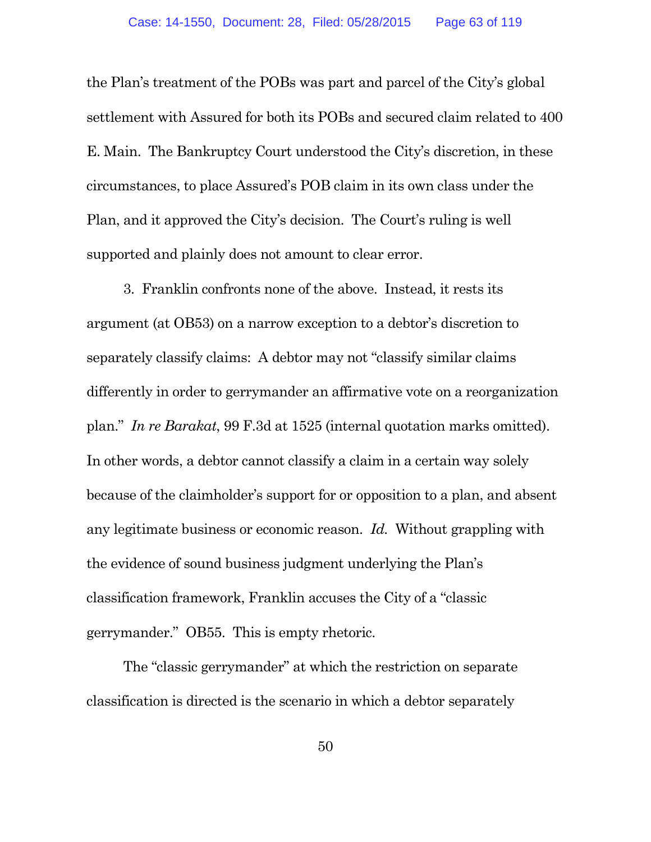the Plan's treatment of the POBs was part and parcel of the City's global settlement with Assured for both its POBs and secured claim related to 400 E. Main. The Bankruptcy Court understood the City's discretion, in these circumstances, to place Assured's POB claim in its own class under the Plan, and it approved the City's decision. The Court's ruling is well supported and plainly does not amount to clear error.

3. Franklin confronts none of the above. Instead, it rests its argument (at OB53) on a narrow exception to a debtor's discretion to separately classify claims: A debtor may not "classify similar claims differently in order to gerrymander an affirmative vote on a reorganization plan." *In re Barakat*, 99 F.3d at 1525 (internal quotation marks omitted). In other words, a debtor cannot classify a claim in a certain way solely because of the claimholder's support for or opposition to a plan, and absent any legitimate business or economic reason. *Id.* Without grappling with the evidence of sound business judgment underlying the Plan's classification framework, Franklin accuses the City of a "classic gerrymander." OB55. This is empty rhetoric.

The "classic gerrymander" at which the restriction on separate classification is directed is the scenario in which a debtor separately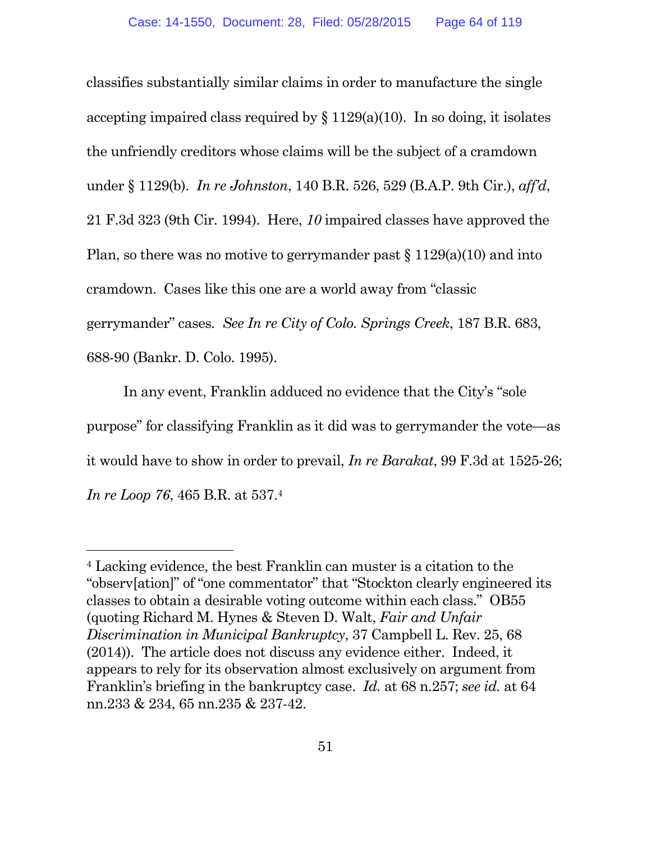classifies substantially similar claims in order to manufacture the single accepting impaired class required by  $\S 1129(a)(10)$ . In so doing, it isolates the unfriendly creditors whose claims will be the subject of a cramdown under § 1129(b). *In re Johnston*, 140 B.R. 526, 529 (B.A.P. 9th Cir.), *aff'd*, 21 F.3d 323 (9th Cir. 1994). Here, *10* impaired classes have approved the Plan, so there was no motive to gerrymander past  $\S 1129(a)(10)$  and into cramdown. Cases like this one are a world away from "classic gerrymander" cases*. See In re City of Colo. Springs Creek*, 187 B.R. 683, 688-90 (Bankr. D. Colo. 1995).

In any event, Franklin adduced no evidence that the City's "sole purpose" for classifying Franklin as it did was to gerrymander the vote—as it would have to show in order to prevail, *In re Barakat*, 99 F.3d at 1525-26; *In re Loop 76*, 465 B.R. at 537.<sup>4</sup>

<sup>4</sup> Lacking evidence, the best Franklin can muster is a citation to the "observ[ation]" of "one commentator" that "Stockton clearly engineered its classes to obtain a desirable voting outcome within each class." OB55 (quoting Richard M. Hynes & Steven D. Walt, *Fair and Unfair Discrimination in Municipal Bankruptcy*, 37 Campbell L. Rev. 25, 68 (2014)). The article does not discuss any evidence either. Indeed, it appears to rely for its observation almost exclusively on argument from Franklin's briefing in the bankruptcy case. *Id.* at 68 n.257; *see id.* at 64 nn.233 & 234, 65 nn.235 & 237-42.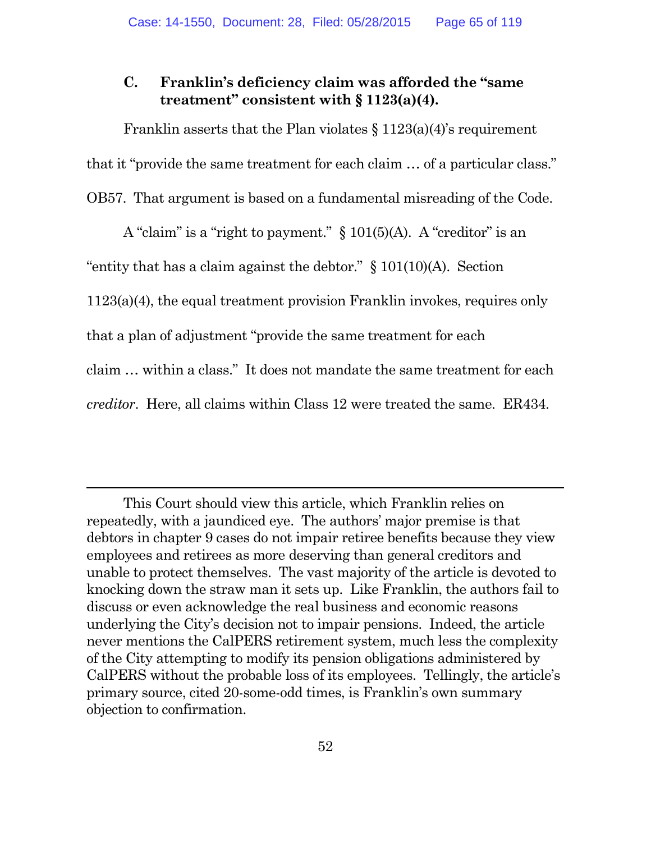### **C. Franklin's deficiency claim was afforded the "same treatment" consistent with § 1123(a)(4).**

Franklin asserts that the Plan violates  $\S 1123(a)(4)$ 's requirement that it "provide the same treatment for each claim … of a particular class." OB57. That argument is based on a fundamental misreading of the Code.

A "claim" is a "right to payment." § 101(5)(A). A "creditor" is an "entity that has a claim against the debtor."  $\S$  101(10)(A). Section 1123(a)(4), the equal treatment provision Franklin invokes, requires only that a plan of adjustment "provide the same treatment for each claim … within a class." It does not mandate the same treatment for each *creditor*. Here, all claims within Class 12 were treated the same. ER434.

This Court should view this article, which Franklin relies on repeatedly, with a jaundiced eye. The authors' major premise is that debtors in chapter 9 cases do not impair retiree benefits because they view employees and retirees as more deserving than general creditors and unable to protect themselves. The vast majority of the article is devoted to knocking down the straw man it sets up. Like Franklin, the authors fail to discuss or even acknowledge the real business and economic reasons underlying the City's decision not to impair pensions. Indeed, the article never mentions the CalPERS retirement system, much less the complexity of the City attempting to modify its pension obligations administered by CalPERS without the probable loss of its employees. Tellingly, the article's primary source, cited 20-some-odd times, is Franklin's own summary objection to confirmation.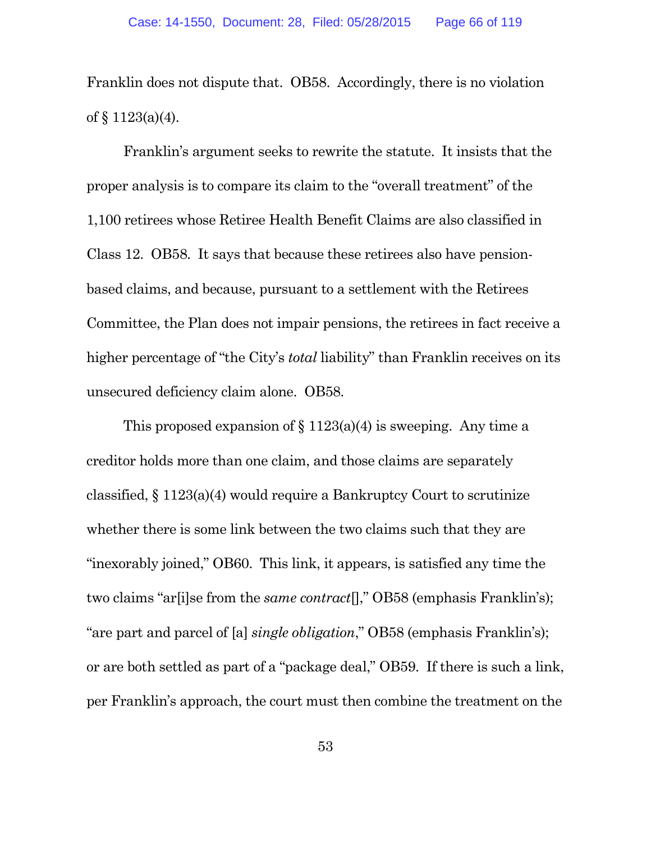Franklin does not dispute that. OB58. Accordingly, there is no violation of § 1123(a)(4).

Franklin's argument seeks to rewrite the statute. It insists that the proper analysis is to compare its claim to the "overall treatment" of the 1,100 retirees whose Retiree Health Benefit Claims are also classified in Class 12. OB58. It says that because these retirees also have pensionbased claims, and because, pursuant to a settlement with the Retirees Committee, the Plan does not impair pensions, the retirees in fact receive a higher percentage of "the City's *total* liability" than Franklin receives on its unsecured deficiency claim alone. OB58.

This proposed expansion of  $\S 1123(a)(4)$  is sweeping. Any time a creditor holds more than one claim, and those claims are separately classified, § 1123(a)(4) would require a Bankruptcy Court to scrutinize whether there is some link between the two claims such that they are "inexorably joined," OB60. This link, it appears, is satisfied any time the two claims "ar[i]se from the *same contract*[]," OB58 (emphasis Franklin's); "are part and parcel of [a] *single obligation*," OB58 (emphasis Franklin's); or are both settled as part of a "package deal," OB59. If there is such a link, per Franklin's approach, the court must then combine the treatment on the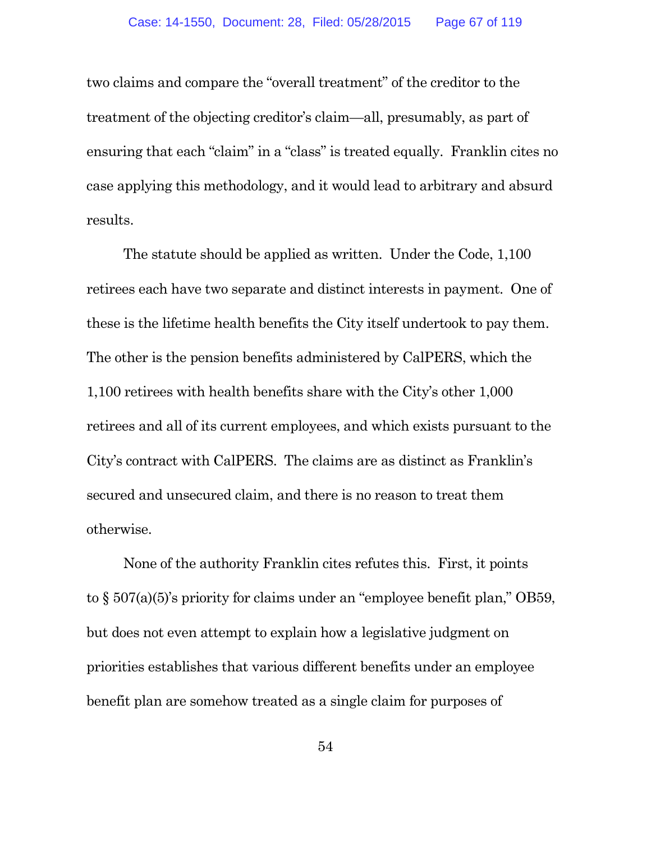two claims and compare the "overall treatment" of the creditor to the treatment of the objecting creditor's claim—all, presumably, as part of ensuring that each "claim" in a "class" is treated equally. Franklin cites no case applying this methodology, and it would lead to arbitrary and absurd results.

The statute should be applied as written. Under the Code, 1,100 retirees each have two separate and distinct interests in payment. One of these is the lifetime health benefits the City itself undertook to pay them. The other is the pension benefits administered by CalPERS, which the 1,100 retirees with health benefits share with the City's other 1,000 retirees and all of its current employees, and which exists pursuant to the City's contract with CalPERS. The claims are as distinct as Franklin's secured and unsecured claim, and there is no reason to treat them otherwise.

None of the authority Franklin cites refutes this. First, it points to § 507(a)(5)'s priority for claims under an "employee benefit plan," OB59, but does not even attempt to explain how a legislative judgment on priorities establishes that various different benefits under an employee benefit plan are somehow treated as a single claim for purposes of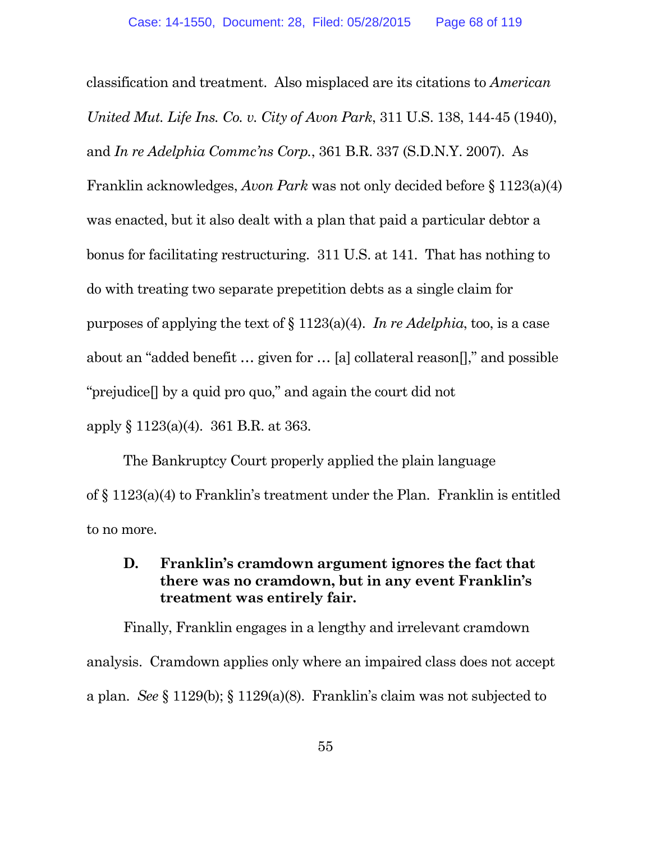classification and treatment. Also misplaced are its citations to *American United Mut. Life Ins. Co. v. City of Avon Park*, 311 U.S. 138, 144-45 (1940), and *In re Adelphia Commc'ns Corp.*, 361 B.R. 337 (S.D.N.Y. 2007). As Franklin acknowledges, *Avon Park* was not only decided before § 1123(a)(4) was enacted, but it also dealt with a plan that paid a particular debtor a bonus for facilitating restructuring. 311 U.S. at 141. That has nothing to do with treating two separate prepetition debts as a single claim for purposes of applying the text of § 1123(a)(4). *In re Adelphia*, too, is a case about an "added benefit … given for … [a] collateral reason[]," and possible "prejudice[] by a quid pro quo," and again the court did not apply § 1123(a)(4). 361 B.R. at 363.

The Bankruptcy Court properly applied the plain language of § 1123(a)(4) to Franklin's treatment under the Plan. Franklin is entitled to no more.

# **D. Franklin's cramdown argument ignores the fact that there was no cramdown, but in any event Franklin's treatment was entirely fair.**

Finally, Franklin engages in a lengthy and irrelevant cramdown analysis. Cramdown applies only where an impaired class does not accept a plan. *See* § 1129(b); § 1129(a)(8). Franklin's claim was not subjected to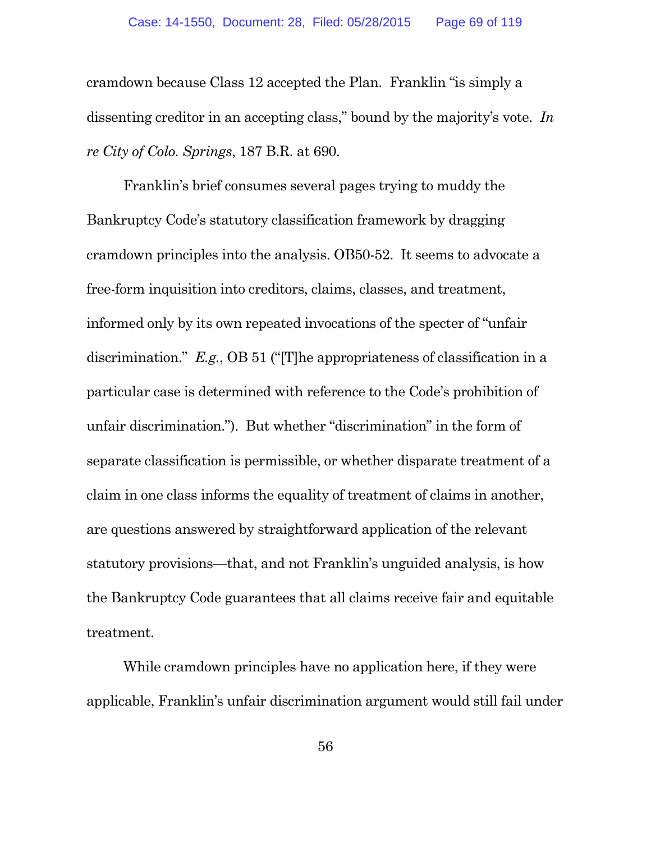cramdown because Class 12 accepted the Plan. Franklin "is simply a dissenting creditor in an accepting class," bound by the majority's vote. *In re City of Colo. Springs*, 187 B.R. at 690.

Franklin's brief consumes several pages trying to muddy the Bankruptcy Code's statutory classification framework by dragging cramdown principles into the analysis. OB50-52. It seems to advocate a free-form inquisition into creditors, claims, classes, and treatment, informed only by its own repeated invocations of the specter of "unfair discrimination." *E.g.*, OB 51 ("[T]he appropriateness of classification in a particular case is determined with reference to the Code's prohibition of unfair discrimination."). But whether "discrimination" in the form of separate classification is permissible, or whether disparate treatment of a claim in one class informs the equality of treatment of claims in another, are questions answered by straightforward application of the relevant statutory provisions—that, and not Franklin's unguided analysis, is how the Bankruptcy Code guarantees that all claims receive fair and equitable treatment.

While cramdown principles have no application here, if they were applicable, Franklin's unfair discrimination argument would still fail under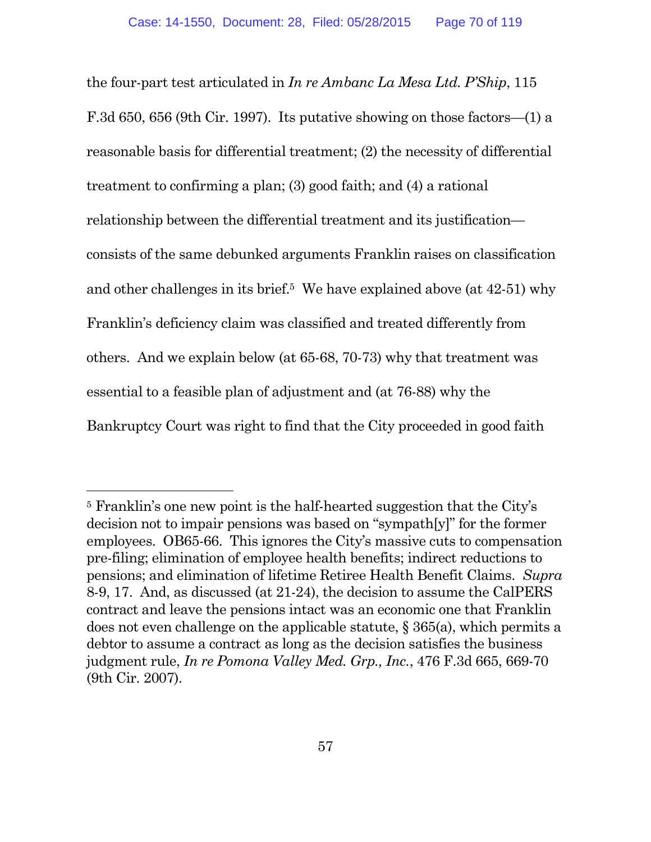the four-part test articulated in *In re Ambanc La Mesa Ltd. P'Ship*, 115 F.3d 650, 656 (9th Cir. 1997). Its putative showing on those factors—(1) a reasonable basis for differential treatment; (2) the necessity of differential treatment to confirming a plan; (3) good faith; and (4) a rational relationship between the differential treatment and its justification consists of the same debunked arguments Franklin raises on classification and other challenges in its brief.<sup>5</sup> We have explained above (at 42-51) why Franklin's deficiency claim was classified and treated differently from others. And we explain below (at 65-68, 70-73) why that treatment was essential to a feasible plan of adjustment and (at 76-88) why the Bankruptcy Court was right to find that the City proceeded in good faith

<sup>5</sup> Franklin's one new point is the half-hearted suggestion that the City's decision not to impair pensions was based on "sympath[y]" for the former employees. OB65-66. This ignores the City's massive cuts to compensation pre-filing; elimination of employee health benefits; indirect reductions to pensions; and elimination of lifetime Retiree Health Benefit Claims. *Supra* 8-9, 17. And, as discussed (at 21-24), the decision to assume the CalPERS contract and leave the pensions intact was an economic one that Franklin does not even challenge on the applicable statute, § 365(a), which permits a debtor to assume a contract as long as the decision satisfies the business judgment rule, *In re Pomona Valley Med. Grp., Inc.*, 476 F.3d 665, 669-70 (9th Cir. 2007).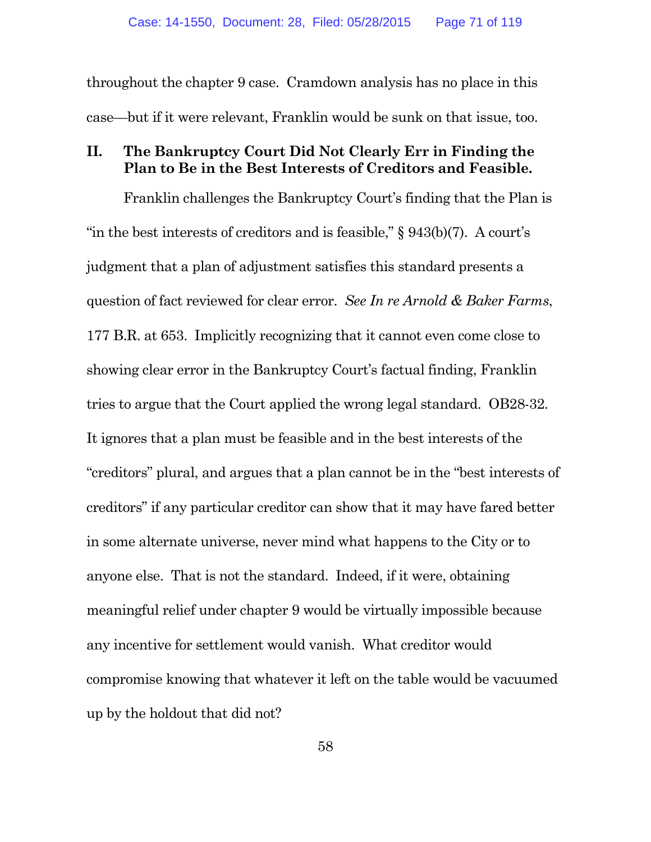throughout the chapter 9 case. Cramdown analysis has no place in this case—but if it were relevant, Franklin would be sunk on that issue, too.

### **II. The Bankruptcy Court Did Not Clearly Err in Finding the Plan to Be in the Best Interests of Creditors and Feasible.**

Franklin challenges the Bankruptcy Court's finding that the Plan is "in the best interests of creditors and is feasible,"  $\S 943(b)(7)$ . A court's judgment that a plan of adjustment satisfies this standard presents a question of fact reviewed for clear error. *See In re Arnold & Baker Farms*, 177 B.R. at 653. Implicitly recognizing that it cannot even come close to showing clear error in the Bankruptcy Court's factual finding, Franklin tries to argue that the Court applied the wrong legal standard. OB28-32. It ignores that a plan must be feasible and in the best interests of the "creditors" plural, and argues that a plan cannot be in the "best interests of creditors" if any particular creditor can show that it may have fared better in some alternate universe, never mind what happens to the City or to anyone else. That is not the standard. Indeed, if it were, obtaining meaningful relief under chapter 9 would be virtually impossible because any incentive for settlement would vanish. What creditor would compromise knowing that whatever it left on the table would be vacuumed up by the holdout that did not?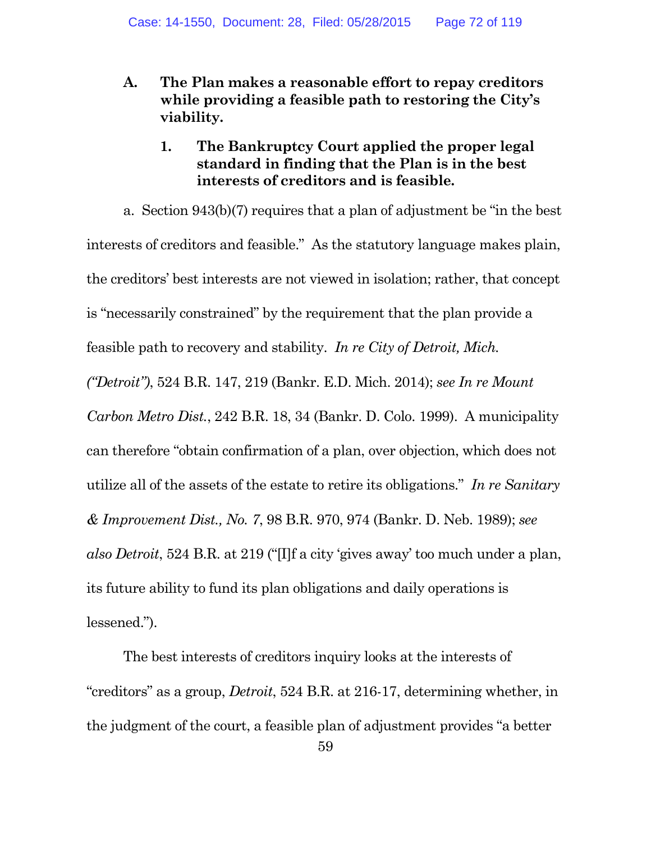- **A. The Plan makes a reasonable effort to repay creditors while providing a feasible path to restoring the City's viability.**
	- **1. The Bankruptcy Court applied the proper legal standard in finding that the Plan is in the best interests of creditors and is feasible.**

a. Section 943(b)(7) requires that a plan of adjustment be "in the best interests of creditors and feasible." As the statutory language makes plain, the creditors' best interests are not viewed in isolation; rather, that concept is "necessarily constrained" by the requirement that the plan provide a feasible path to recovery and stability. *In re City of Detroit, Mich. ("Detroit")*, 524 B.R. 147, 219 (Bankr. E.D. Mich. 2014); *see In re Mount Carbon Metro Dist.*, 242 B.R. 18, 34 (Bankr. D. Colo. 1999). A municipality can therefore "obtain confirmation of a plan, over objection, which does not utilize all of the assets of the estate to retire its obligations." *In re Sanitary & Improvement Dist., No. 7*, 98 B.R. 970, 974 (Bankr. D. Neb. 1989); *see also Detroit*, 524 B.R. at 219 ("[I]f a city 'gives away' too much under a plan, its future ability to fund its plan obligations and daily operations is lessened.").

The best interests of creditors inquiry looks at the interests of "creditors" as a group, *Detroit*, 524 B.R. at 216-17, determining whether, in the judgment of the court, a feasible plan of adjustment provides "a better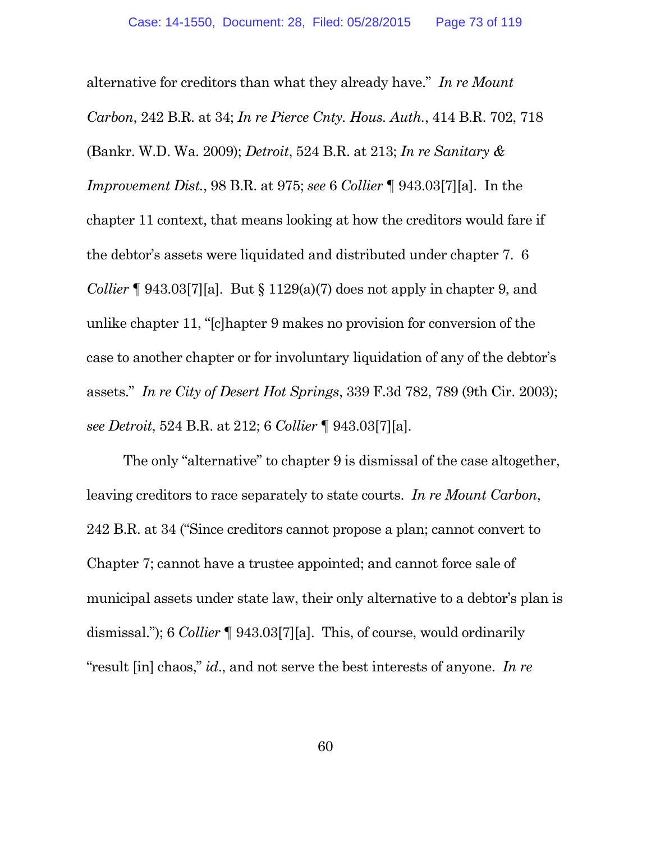alternative for creditors than what they already have." *In re Mount Carbon*, 242 B.R. at 34; *In re Pierce Cnty. Hous. Auth.*, 414 B.R. 702, 718 (Bankr. W.D. Wa. 2009); *Detroit*, 524 B.R. at 213; *In re Sanitary & Improvement Dist.*, 98 B.R. at 975; *see* 6 *Collier* ¶ 943.03[7][a]. In the chapter 11 context, that means looking at how the creditors would fare if the debtor's assets were liquidated and distributed under chapter 7. 6 *Collier*  $\lceil 943.037 \rceil$ [a]. But  $\lceil 129(a)/7 \rceil$  does not apply in chapter 9, and unlike chapter 11, "[c]hapter 9 makes no provision for conversion of the case to another chapter or for involuntary liquidation of any of the debtor's assets." *In re City of Desert Hot Springs*, 339 F.3d 782, 789 (9th Cir. 2003); *see Detroit*, 524 B.R. at 212; 6 *Collier* ¶ 943.03[7][a].

The only "alternative" to chapter 9 is dismissal of the case altogether, leaving creditors to race separately to state courts. *In re Mount Carbon*, 242 B.R. at 34 ("Since creditors cannot propose a plan; cannot convert to Chapter 7; cannot have a trustee appointed; and cannot force sale of municipal assets under state law, their only alternative to a debtor's plan is dismissal."); 6 *Collier* ¶ 943.03[7][a]. This, of course, would ordinarily "result [in] chaos," *id*., and not serve the best interests of anyone. *In re*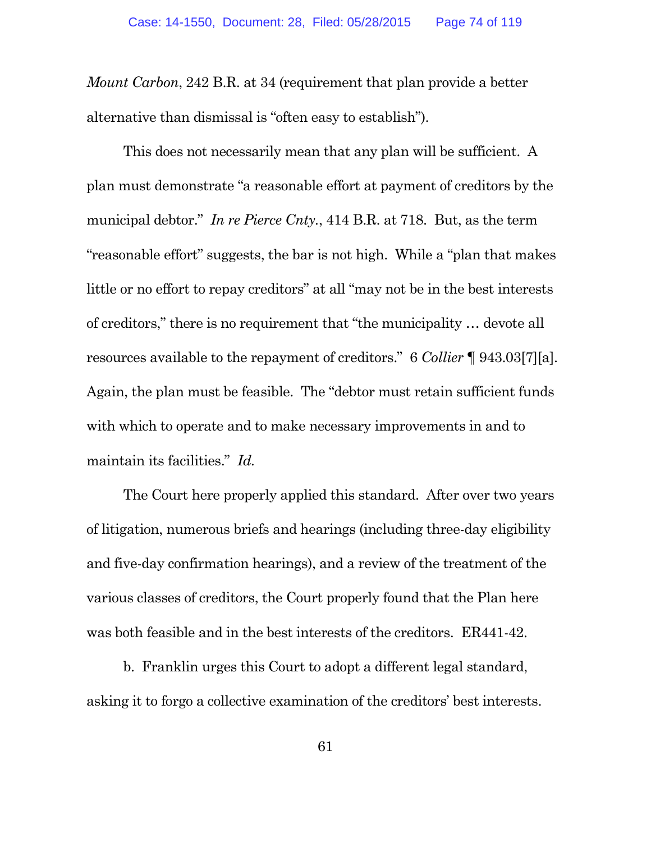*Mount Carbon*, 242 B.R. at 34 (requirement that plan provide a better alternative than dismissal is "often easy to establish").

This does not necessarily mean that any plan will be sufficient. A plan must demonstrate "a reasonable effort at payment of creditors by the municipal debtor." *In re Pierce Cnty.*, 414 B.R. at 718. But, as the term "reasonable effort" suggests, the bar is not high. While a "plan that makes little or no effort to repay creditors" at all "may not be in the best interests of creditors," there is no requirement that "the municipality … devote all resources available to the repayment of creditors." 6 *Collier* ¶ 943.03[7][a]. Again, the plan must be feasible. The "debtor must retain sufficient funds with which to operate and to make necessary improvements in and to maintain its facilities." *Id.*

The Court here properly applied this standard. After over two years of litigation, numerous briefs and hearings (including three-day eligibility and five-day confirmation hearings), and a review of the treatment of the various classes of creditors, the Court properly found that the Plan here was both feasible and in the best interests of the creditors. ER441-42.

b. Franklin urges this Court to adopt a different legal standard, asking it to forgo a collective examination of the creditors' best interests.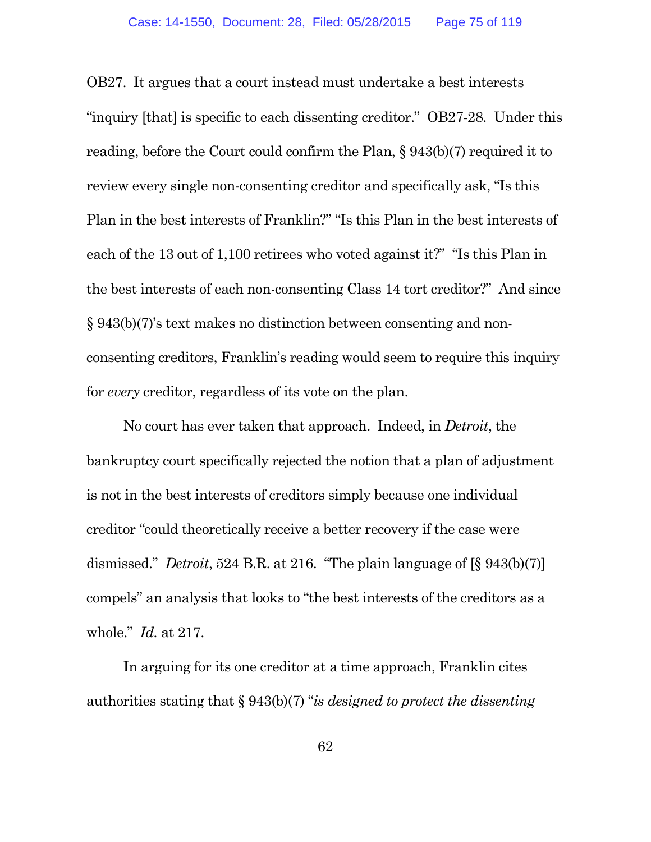OB27. It argues that a court instead must undertake a best interests "inquiry [that] is specific to each dissenting creditor." OB27-28. Under this reading, before the Court could confirm the Plan, § 943(b)(7) required it to review every single non-consenting creditor and specifically ask, "Is this Plan in the best interests of Franklin?" "Is this Plan in the best interests of each of the 13 out of 1,100 retirees who voted against it?" "Is this Plan in the best interests of each non-consenting Class 14 tort creditor?" And since § 943(b)(7)'s text makes no distinction between consenting and nonconsenting creditors, Franklin's reading would seem to require this inquiry for *every* creditor, regardless of its vote on the plan.

No court has ever taken that approach. Indeed, in *Detroit*, the bankruptcy court specifically rejected the notion that a plan of adjustment is not in the best interests of creditors simply because one individual creditor "could theoretically receive a better recovery if the case were dismissed." *Detroit*, 524 B.R. at 216. "The plain language of [§ 943(b)(7)] compels" an analysis that looks to "the best interests of the creditors as a whole." *Id.* at 217.

In arguing for its one creditor at a time approach, Franklin cites authorities stating that § 943(b)(7) "*is designed to protect the dissenting*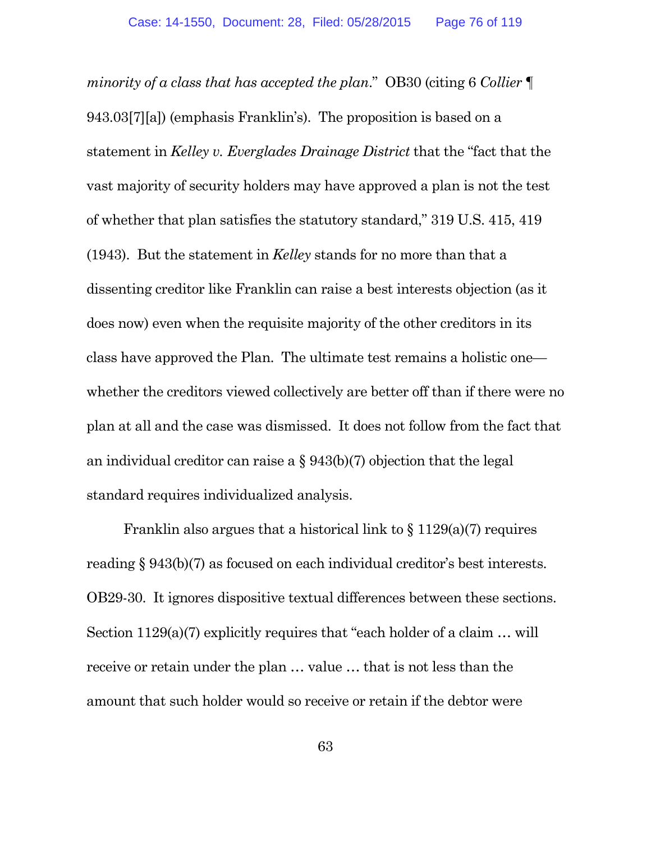*minority of a class that has accepted the plan*." OB30 (citing 6 *Collier* ¶ 943.03[7][a]) (emphasis Franklin's). The proposition is based on a statement in *Kelley v. Everglades Drainage District* that the "fact that the vast majority of security holders may have approved a plan is not the test of whether that plan satisfies the statutory standard," 319 U.S. 415, 419 (1943). But the statement in *Kelley* stands for no more than that a dissenting creditor like Franklin can raise a best interests objection (as it does now) even when the requisite majority of the other creditors in its class have approved the Plan. The ultimate test remains a holistic one whether the creditors viewed collectively are better off than if there were no plan at all and the case was dismissed. It does not follow from the fact that an individual creditor can raise a § 943(b)(7) objection that the legal standard requires individualized analysis.

Franklin also argues that a historical link to  $\S 1129(a)(7)$  requires reading § 943(b)(7) as focused on each individual creditor's best interests. OB29-30. It ignores dispositive textual differences between these sections. Section 1129(a)(7) explicitly requires that "each holder of a claim … will receive or retain under the plan … value … that is not less than the amount that such holder would so receive or retain if the debtor were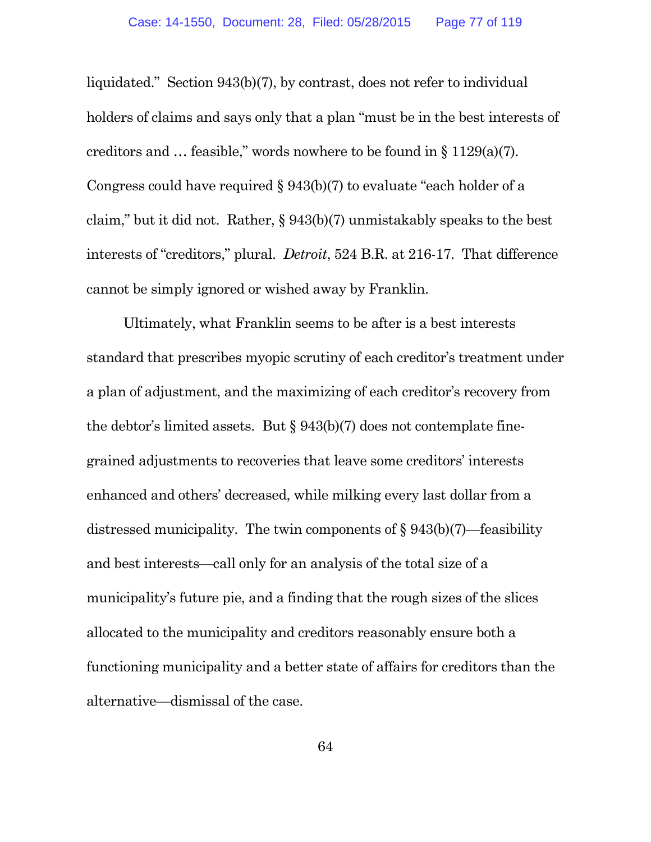liquidated." Section 943(b)(7), by contrast, does not refer to individual holders of claims and says only that a plan "must be in the best interests of creditors and  $\ldots$  feasible," words nowhere to be found in § 1129(a)(7). Congress could have required § 943(b)(7) to evaluate "each holder of a claim," but it did not. Rather, § 943(b)(7) unmistakably speaks to the best interests of "creditors," plural. *Detroit*, 524 B.R. at 216-17. That difference cannot be simply ignored or wished away by Franklin.

Ultimately, what Franklin seems to be after is a best interests standard that prescribes myopic scrutiny of each creditor's treatment under a plan of adjustment, and the maximizing of each creditor's recovery from the debtor's limited assets. But § 943(b)(7) does not contemplate finegrained adjustments to recoveries that leave some creditors' interests enhanced and others' decreased, while milking every last dollar from a distressed municipality. The twin components of § 943(b)(7)—feasibility and best interests—call only for an analysis of the total size of a municipality's future pie, and a finding that the rough sizes of the slices allocated to the municipality and creditors reasonably ensure both a functioning municipality and a better state of affairs for creditors than the alternative—dismissal of the case.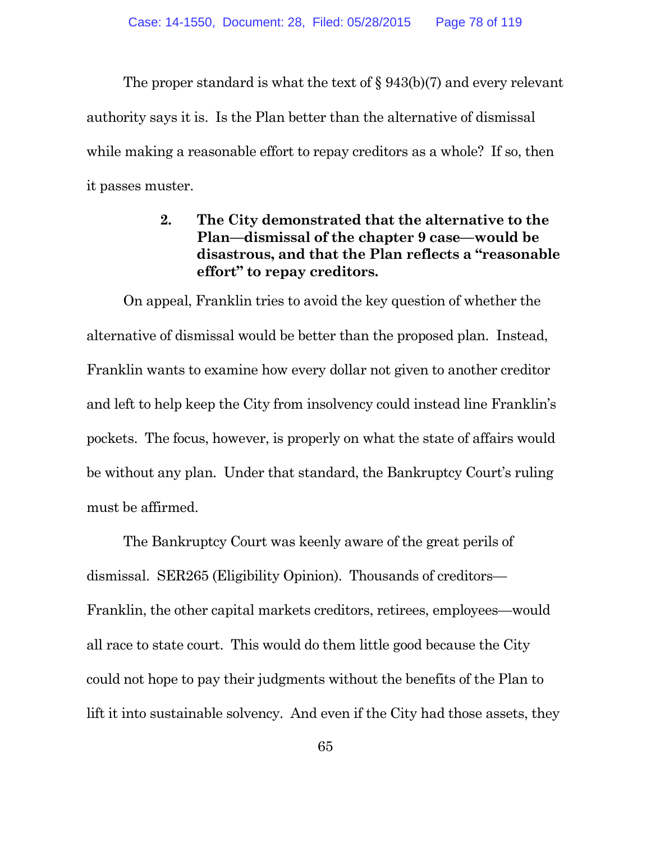The proper standard is what the text of § 943(b)(7) and every relevant authority says it is. Is the Plan better than the alternative of dismissal while making a reasonable effort to repay creditors as a whole? If so, then it passes muster.

# **2. The City demonstrated that the alternative to the Plan—dismissal of the chapter 9 case—would be disastrous, and that the Plan reflects a "reasonable effort" to repay creditors.**

On appeal, Franklin tries to avoid the key question of whether the alternative of dismissal would be better than the proposed plan. Instead, Franklin wants to examine how every dollar not given to another creditor and left to help keep the City from insolvency could instead line Franklin's pockets. The focus, however, is properly on what the state of affairs would be without any plan. Under that standard, the Bankruptcy Court's ruling must be affirmed.

The Bankruptcy Court was keenly aware of the great perils of dismissal. SER265 (Eligibility Opinion). Thousands of creditors— Franklin, the other capital markets creditors, retirees, employees—would all race to state court. This would do them little good because the City could not hope to pay their judgments without the benefits of the Plan to lift it into sustainable solvency. And even if the City had those assets, they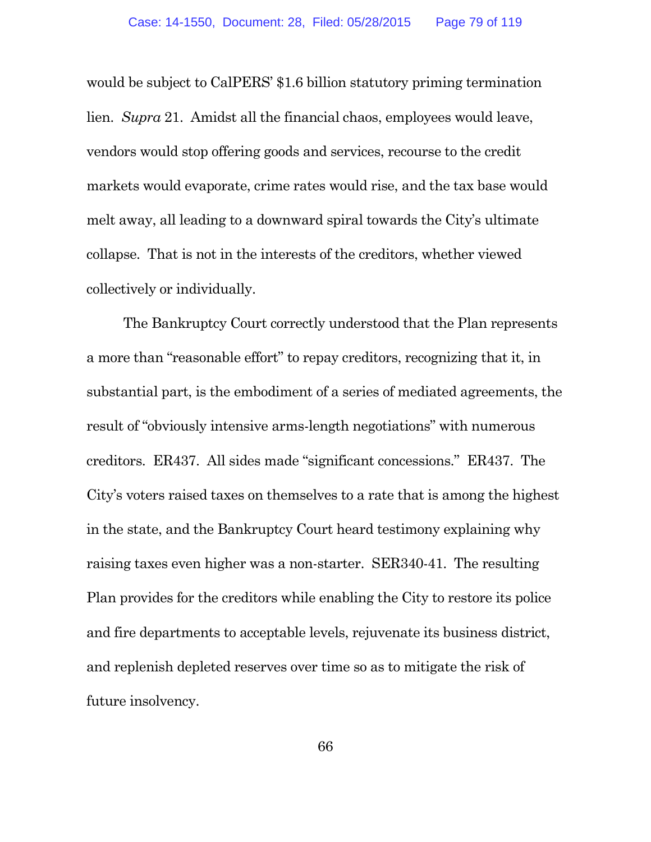would be subject to CalPERS' \$1.6 billion statutory priming termination lien. *Supra* 21. Amidst all the financial chaos, employees would leave, vendors would stop offering goods and services, recourse to the credit markets would evaporate, crime rates would rise, and the tax base would melt away, all leading to a downward spiral towards the City's ultimate collapse. That is not in the interests of the creditors, whether viewed collectively or individually.

The Bankruptcy Court correctly understood that the Plan represents a more than "reasonable effort" to repay creditors, recognizing that it, in substantial part, is the embodiment of a series of mediated agreements, the result of "obviously intensive arms-length negotiations" with numerous creditors. ER437. All sides made "significant concessions." ER437. The City's voters raised taxes on themselves to a rate that is among the highest in the state, and the Bankruptcy Court heard testimony explaining why raising taxes even higher was a non-starter. SER340-41. The resulting Plan provides for the creditors while enabling the City to restore its police and fire departments to acceptable levels, rejuvenate its business district, and replenish depleted reserves over time so as to mitigate the risk of future insolvency.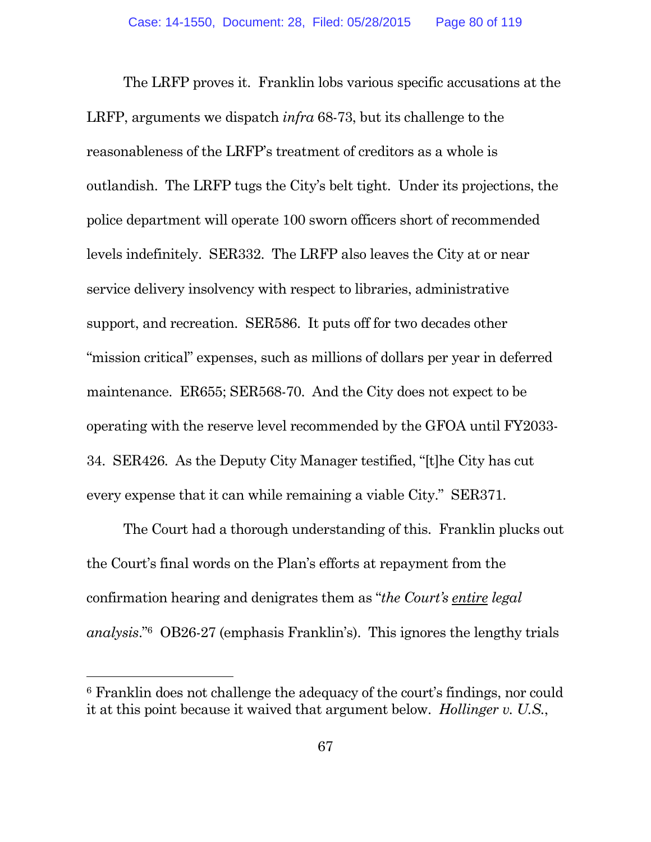The LRFP proves it. Franklin lobs various specific accusations at the LRFP, arguments we dispatch *infra* 68-73, but its challenge to the reasonableness of the LRFP's treatment of creditors as a whole is outlandish. The LRFP tugs the City's belt tight. Under its projections, the police department will operate 100 sworn officers short of recommended levels indefinitely. SER332. The LRFP also leaves the City at or near service delivery insolvency with respect to libraries, administrative support, and recreation. SER586. It puts off for two decades other "mission critical" expenses, such as millions of dollars per year in deferred maintenance. ER655; SER568-70. And the City does not expect to be operating with the reserve level recommended by the GFOA until FY2033- 34. SER426. As the Deputy City Manager testified, "[t]he City has cut every expense that it can while remaining a viable City." SER371.

The Court had a thorough understanding of this. Franklin plucks out the Court's final words on the Plan's efforts at repayment from the confirmation hearing and denigrates them as "*the Court's entire legal analysis*."<sup>6</sup> OB26-27 (emphasis Franklin's). This ignores the lengthy trials

<sup>6</sup> Franklin does not challenge the adequacy of the court's findings, nor could it at this point because it waived that argument below. *Hollinger v. U.S.*,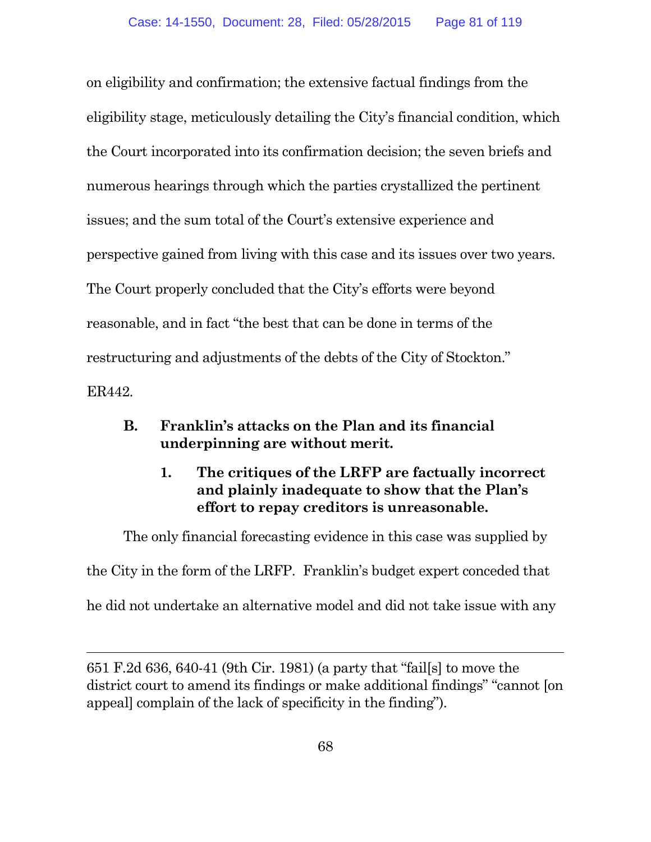on eligibility and confirmation; the extensive factual findings from the eligibility stage, meticulously detailing the City's financial condition, which the Court incorporated into its confirmation decision; the seven briefs and numerous hearings through which the parties crystallized the pertinent issues; and the sum total of the Court's extensive experience and perspective gained from living with this case and its issues over two years. The Court properly concluded that the City's efforts were beyond reasonable, and in fact "the best that can be done in terms of the restructuring and adjustments of the debts of the City of Stockton." ER442.

# **B. Franklin's attacks on the Plan and its financial underpinning are without merit.**

# **1. The critiques of the LRFP are factually incorrect and plainly inadequate to show that the Plan's effort to repay creditors is unreasonable.**

The only financial forecasting evidence in this case was supplied by

the City in the form of the LRFP. Franklin's budget expert conceded that

he did not undertake an alternative model and did not take issue with any

651 F.2d 636, 640-41 (9th Cir. 1981) (a party that "fail[s] to move the district court to amend its findings or make additional findings" "cannot [on appeal] complain of the lack of specificity in the finding").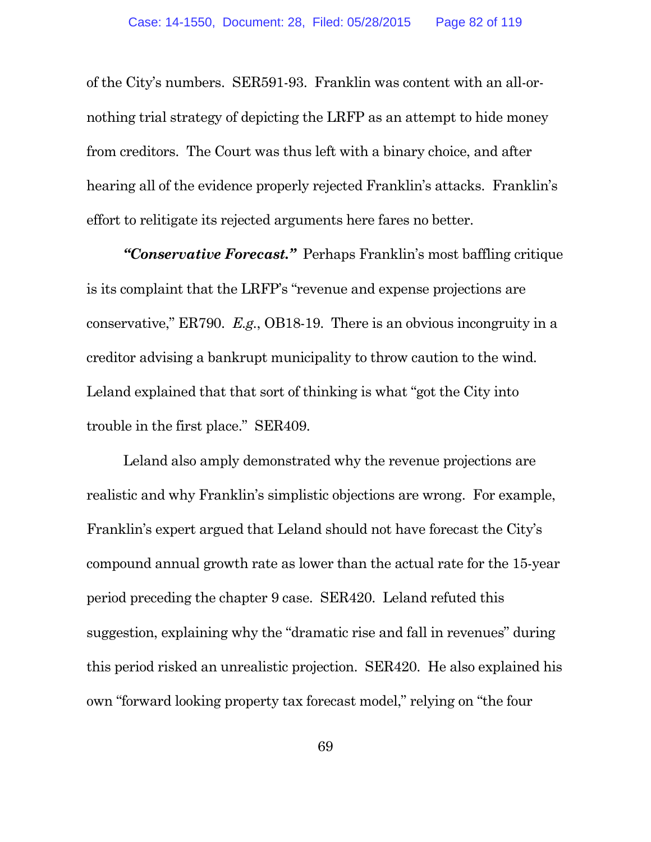of the City's numbers. SER591-93. Franklin was content with an all-ornothing trial strategy of depicting the LRFP as an attempt to hide money from creditors. The Court was thus left with a binary choice, and after hearing all of the evidence properly rejected Franklin's attacks. Franklin's effort to relitigate its rejected arguments here fares no better.

*"Conservative Forecast."* Perhaps Franklin's most baffling critique is its complaint that the LRFP's "revenue and expense projections are conservative," ER790. *E.g.*, OB18-19. There is an obvious incongruity in a creditor advising a bankrupt municipality to throw caution to the wind. Leland explained that that sort of thinking is what "got the City into trouble in the first place." SER409.

Leland also amply demonstrated why the revenue projections are realistic and why Franklin's simplistic objections are wrong. For example, Franklin's expert argued that Leland should not have forecast the City's compound annual growth rate as lower than the actual rate for the 15-year period preceding the chapter 9 case. SER420. Leland refuted this suggestion, explaining why the "dramatic rise and fall in revenues" during this period risked an unrealistic projection. SER420. He also explained his own "forward looking property tax forecast model," relying on "the four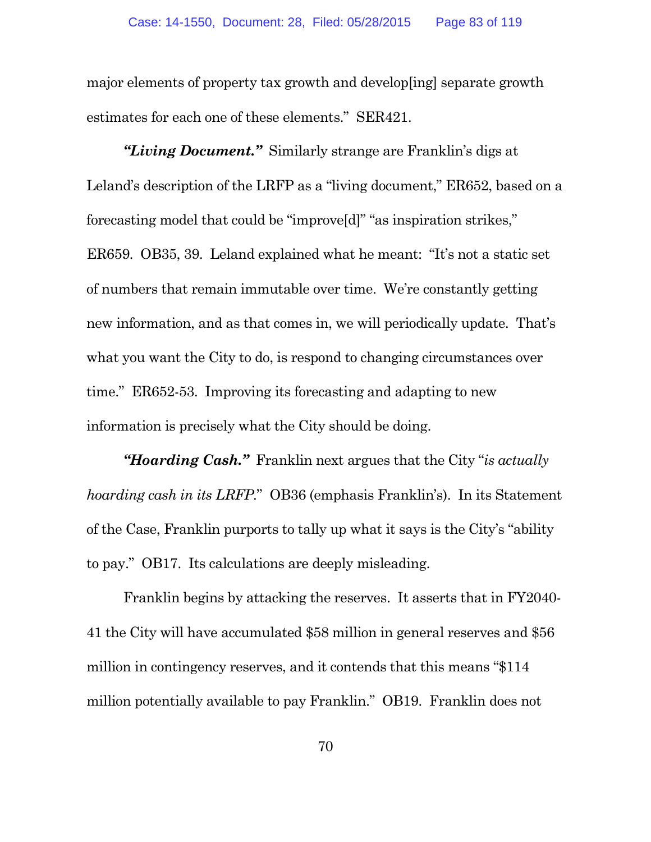major elements of property tax growth and develop[ing] separate growth estimates for each one of these elements." SER421.

*"Living Document."* Similarly strange are Franklin's digs at Leland's description of the LRFP as a "living document," ER652, based on a forecasting model that could be "improve[d]" "as inspiration strikes," ER659. OB35, 39. Leland explained what he meant: "It's not a static set of numbers that remain immutable over time. We're constantly getting new information, and as that comes in, we will periodically update. That's what you want the City to do, is respond to changing circumstances over time." ER652-53. Improving its forecasting and adapting to new information is precisely what the City should be doing.

*"Hoarding Cash."* Franklin next argues that the City "*is actually hoarding cash in its LRFP.*" OB36 (emphasis Franklin's). In its Statement of the Case, Franklin purports to tally up what it says is the City's "ability to pay." OB17. Its calculations are deeply misleading.

Franklin begins by attacking the reserves. It asserts that in FY2040- 41 the City will have accumulated \$58 million in general reserves and \$56 million in contingency reserves, and it contends that this means "\$114 million potentially available to pay Franklin." OB19. Franklin does not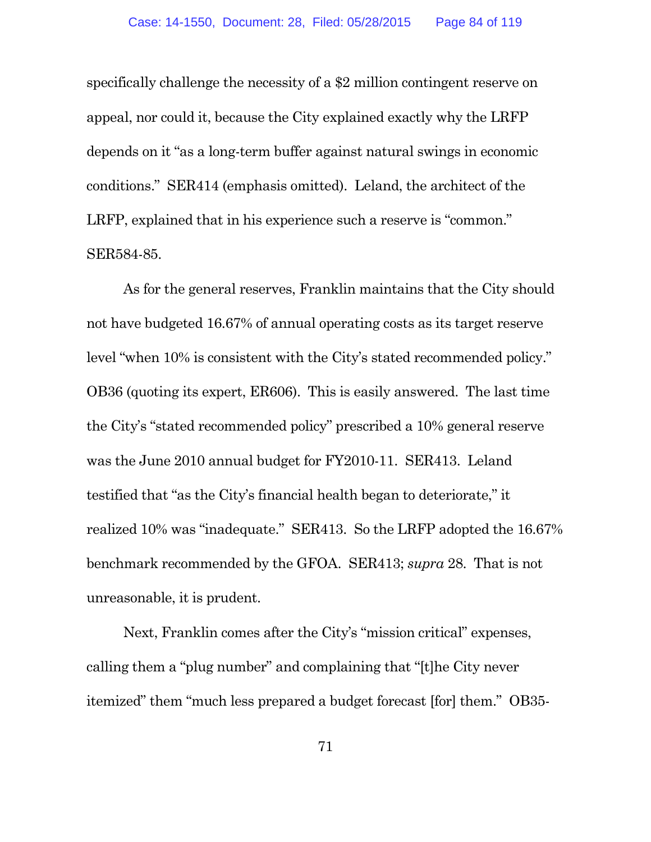specifically challenge the necessity of a \$2 million contingent reserve on appeal, nor could it, because the City explained exactly why the LRFP depends on it "as a long-term buffer against natural swings in economic conditions." SER414 (emphasis omitted). Leland, the architect of the LRFP, explained that in his experience such a reserve is "common." SER584-85.

As for the general reserves, Franklin maintains that the City should not have budgeted 16.67% of annual operating costs as its target reserve level "when 10% is consistent with the City's stated recommended policy." OB36 (quoting its expert, ER606). This is easily answered. The last time the City's "stated recommended policy" prescribed a 10% general reserve was the June 2010 annual budget for FY2010-11. SER413. Leland testified that "as the City's financial health began to deteriorate," it realized 10% was "inadequate." SER413. So the LRFP adopted the 16.67% benchmark recommended by the GFOA. SER413; *supra* 28. That is not unreasonable, it is prudent.

Next, Franklin comes after the City's "mission critical" expenses, calling them a "plug number" and complaining that "[t]he City never itemized" them "much less prepared a budget forecast [for] them." OB35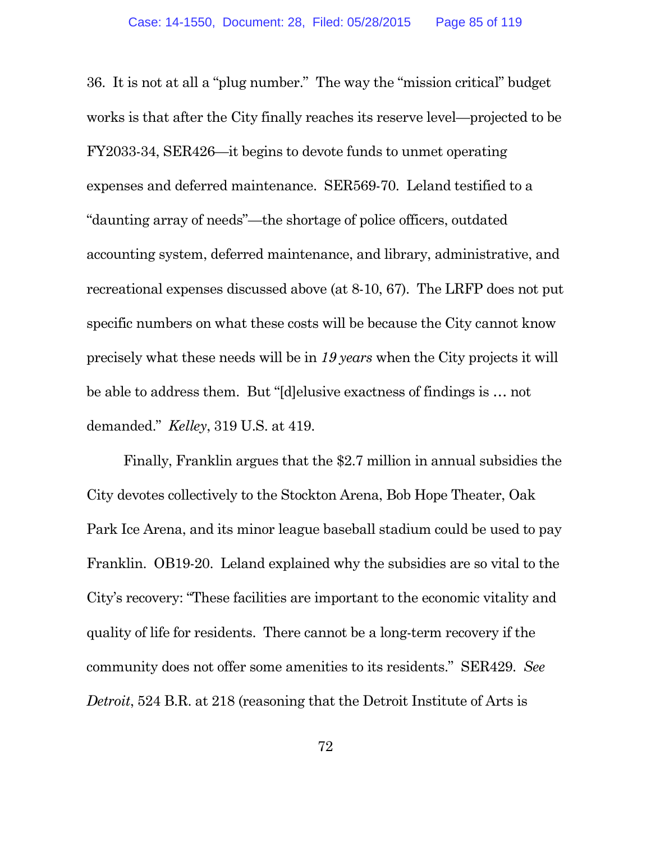36. It is not at all a "plug number." The way the "mission critical" budget works is that after the City finally reaches its reserve level—projected to be FY2033-34, SER426—it begins to devote funds to unmet operating expenses and deferred maintenance. SER569-70. Leland testified to a "daunting array of needs"—the shortage of police officers, outdated accounting system, deferred maintenance, and library, administrative, and recreational expenses discussed above (at 8-10, 67). The LRFP does not put specific numbers on what these costs will be because the City cannot know precisely what these needs will be in *19 years* when the City projects it will be able to address them. But "[d]elusive exactness of findings is … not demanded." *Kelley*, 319 U.S. at 419.

Finally, Franklin argues that the \$2.7 million in annual subsidies the City devotes collectively to the Stockton Arena, Bob Hope Theater, Oak Park Ice Arena, and its minor league baseball stadium could be used to pay Franklin. OB19-20. Leland explained why the subsidies are so vital to the City's recovery: "These facilities are important to the economic vitality and quality of life for residents. There cannot be a long-term recovery if the community does not offer some amenities to its residents." SER429. *See Detroit*, 524 B.R. at 218 (reasoning that the Detroit Institute of Arts is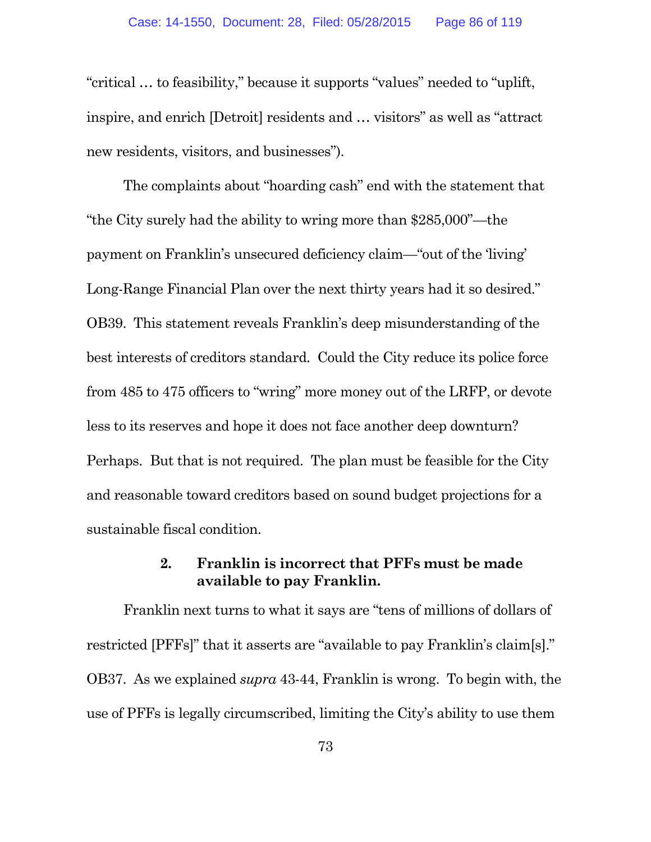"critical … to feasibility," because it supports "values" needed to "uplift, inspire, and enrich [Detroit] residents and … visitors" as well as "attract new residents, visitors, and businesses").

The complaints about "hoarding cash" end with the statement that "the City surely had the ability to wring more than \$285,000"—the payment on Franklin's unsecured deficiency claim—"out of the 'living' Long-Range Financial Plan over the next thirty years had it so desired." OB39. This statement reveals Franklin's deep misunderstanding of the best interests of creditors standard. Could the City reduce its police force from 485 to 475 officers to "wring" more money out of the LRFP, or devote less to its reserves and hope it does not face another deep downturn? Perhaps. But that is not required. The plan must be feasible for the City and reasonable toward creditors based on sound budget projections for a sustainable fiscal condition.

# **2. Franklin is incorrect that PFFs must be made available to pay Franklin.**

Franklin next turns to what it says are "tens of millions of dollars of restricted [PFFs]" that it asserts are "available to pay Franklin's claim[s]." OB37. As we explained *supra* 43-44, Franklin is wrong. To begin with, the use of PFFs is legally circumscribed, limiting the City's ability to use them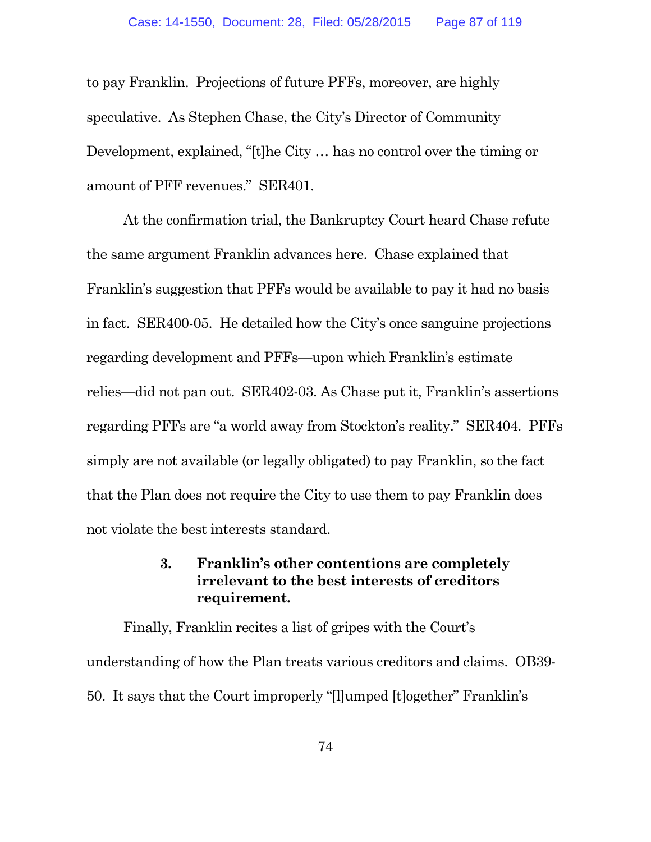to pay Franklin. Projections of future PFFs, moreover, are highly speculative. As Stephen Chase, the City's Director of Community Development, explained, "[t]he City … has no control over the timing or amount of PFF revenues." SER401.

At the confirmation trial, the Bankruptcy Court heard Chase refute the same argument Franklin advances here. Chase explained that Franklin's suggestion that PFFs would be available to pay it had no basis in fact. SER400-05. He detailed how the City's once sanguine projections regarding development and PFFs—upon which Franklin's estimate relies—did not pan out. SER402-03. As Chase put it, Franklin's assertions regarding PFFs are "a world away from Stockton's reality." SER404. PFFs simply are not available (or legally obligated) to pay Franklin, so the fact that the Plan does not require the City to use them to pay Franklin does not violate the best interests standard.

# **3. Franklin's other contentions are completely irrelevant to the best interests of creditors requirement.**

Finally, Franklin recites a list of gripes with the Court's understanding of how the Plan treats various creditors and claims. OB39- 50. It says that the Court improperly "[l]umped [t]ogether" Franklin's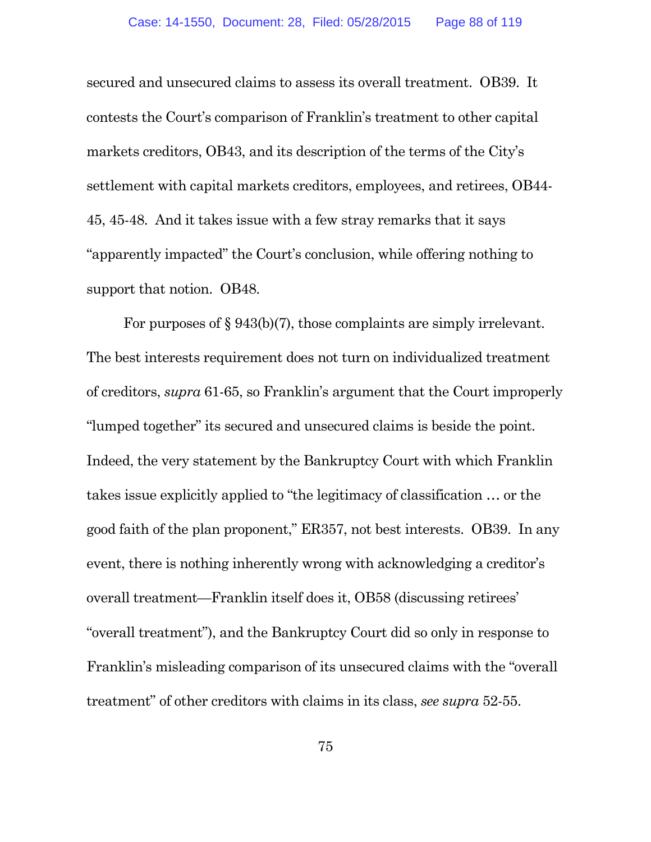secured and unsecured claims to assess its overall treatment. OB39. It contests the Court's comparison of Franklin's treatment to other capital markets creditors, OB43, and its description of the terms of the City's settlement with capital markets creditors, employees, and retirees, OB44- 45, 45-48. And it takes issue with a few stray remarks that it says "apparently impacted" the Court's conclusion, while offering nothing to support that notion. OB48.

For purposes of § 943(b)(7), those complaints are simply irrelevant. The best interests requirement does not turn on individualized treatment of creditors, *supra* 61-65, so Franklin's argument that the Court improperly "lumped together" its secured and unsecured claims is beside the point. Indeed, the very statement by the Bankruptcy Court with which Franklin takes issue explicitly applied to "the legitimacy of classification … or the good faith of the plan proponent," ER357, not best interests. OB39. In any event, there is nothing inherently wrong with acknowledging a creditor's overall treatment—Franklin itself does it, OB58 (discussing retirees' "overall treatment"), and the Bankruptcy Court did so only in response to Franklin's misleading comparison of its unsecured claims with the "overall treatment" of other creditors with claims in its class, *see supra* 52-55.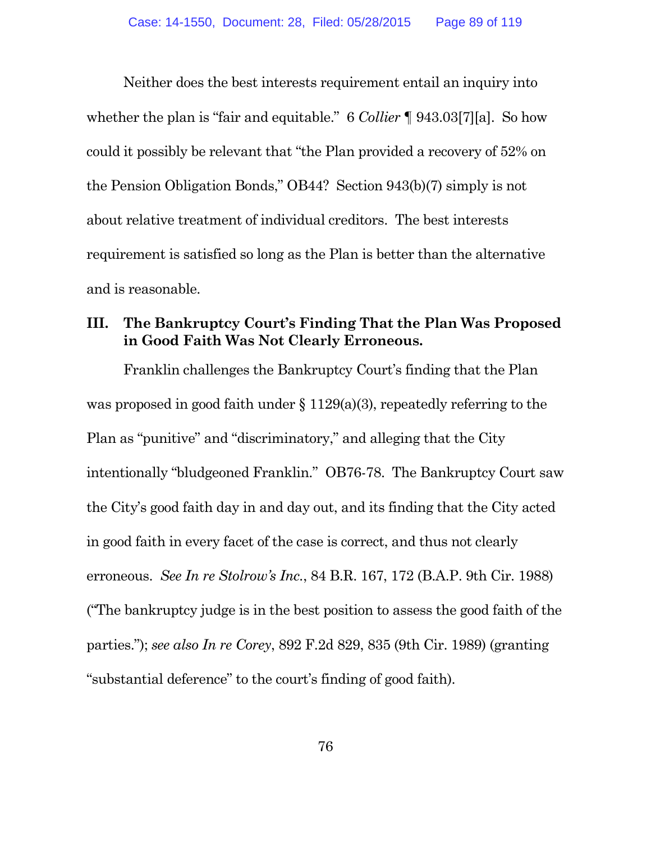Neither does the best interests requirement entail an inquiry into whether the plan is "fair and equitable." 6 *Collier* ¶ 943.03[7][a]. So how could it possibly be relevant that "the Plan provided a recovery of 52% on the Pension Obligation Bonds," OB44? Section 943(b)(7) simply is not about relative treatment of individual creditors. The best interests requirement is satisfied so long as the Plan is better than the alternative and is reasonable.

#### **III. The Bankruptcy Court's Finding That the Plan Was Proposed in Good Faith Was Not Clearly Erroneous.**

Franklin challenges the Bankruptcy Court's finding that the Plan was proposed in good faith under § 1129(a)(3), repeatedly referring to the Plan as "punitive" and "discriminatory," and alleging that the City intentionally "bludgeoned Franklin." OB76-78. The Bankruptcy Court saw the City's good faith day in and day out, and its finding that the City acted in good faith in every facet of the case is correct, and thus not clearly erroneous. *See In re Stolrow's Inc.*, 84 B.R. 167, 172 (B.A.P. 9th Cir. 1988) ("The bankruptcy judge is in the best position to assess the good faith of the parties."); *see also In re Corey*, 892 F.2d 829, 835 (9th Cir. 1989) (granting "substantial deference" to the court's finding of good faith).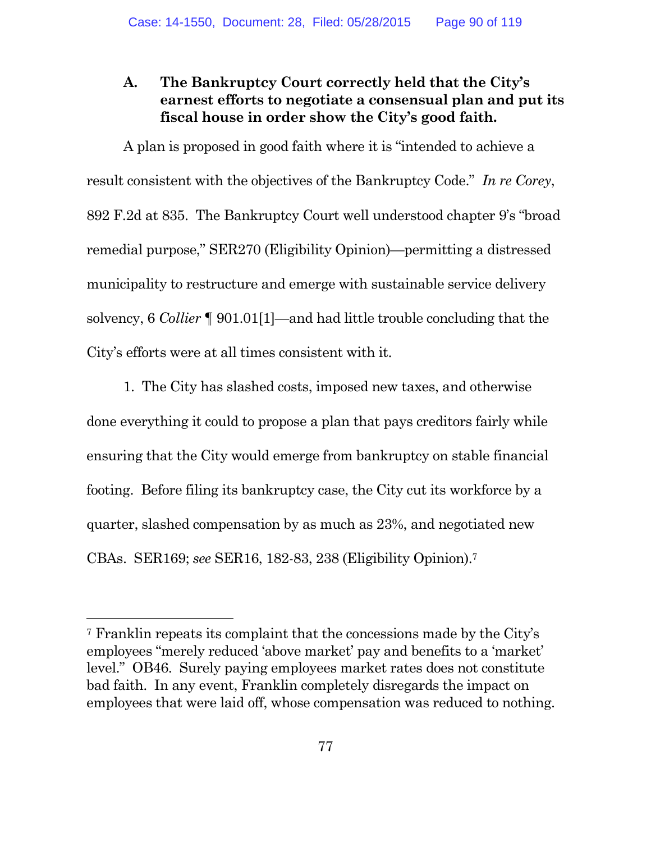## **A. The Bankruptcy Court correctly held that the City's earnest efforts to negotiate a consensual plan and put its fiscal house in order show the City's good faith.**

A plan is proposed in good faith where it is "intended to achieve a result consistent with the objectives of the Bankruptcy Code." *In re Corey*, 892 F.2d at 835. The Bankruptcy Court well understood chapter 9's "broad remedial purpose," SER270 (Eligibility Opinion)—permitting a distressed municipality to restructure and emerge with sustainable service delivery solvency, 6 *Collier* ¶ 901.01[1]—and had little trouble concluding that the City's efforts were at all times consistent with it.

1. The City has slashed costs, imposed new taxes, and otherwise done everything it could to propose a plan that pays creditors fairly while ensuring that the City would emerge from bankruptcy on stable financial footing. Before filing its bankruptcy case, the City cut its workforce by a quarter, slashed compensation by as much as 23%, and negotiated new CBAs. SER169; *see* SER16, 182-83, 238 (Eligibility Opinion).<sup>7</sup>

<sup>7</sup> Franklin repeats its complaint that the concessions made by the City's employees "merely reduced 'above market' pay and benefits to a 'market' level." OB46. Surely paying employees market rates does not constitute bad faith. In any event, Franklin completely disregards the impact on employees that were laid off, whose compensation was reduced to nothing.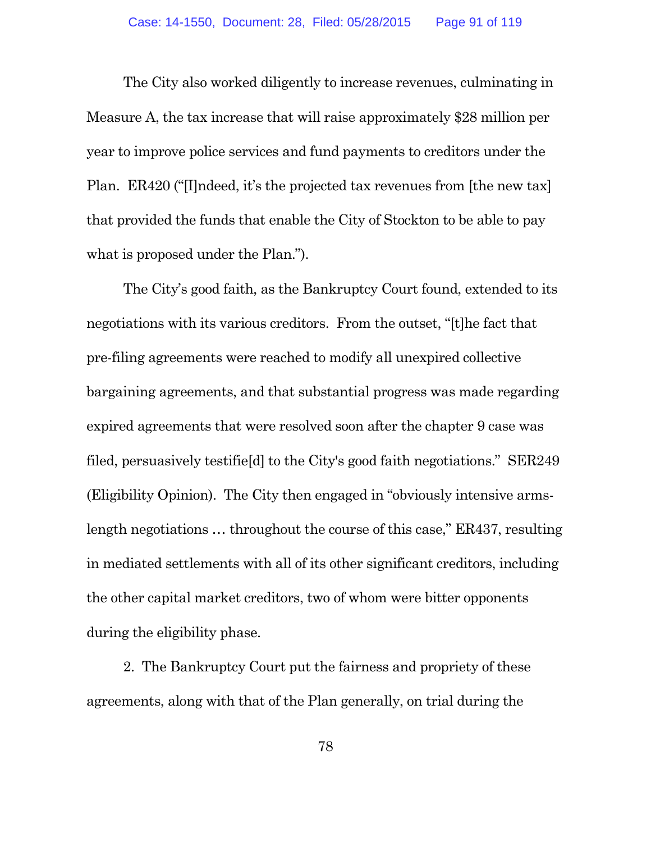The City also worked diligently to increase revenues, culminating in Measure A, the tax increase that will raise approximately \$28 million per year to improve police services and fund payments to creditors under the Plan. ER420 ("[I]ndeed, it's the projected tax revenues from [the new tax] that provided the funds that enable the City of Stockton to be able to pay what is proposed under the Plan.").

The City's good faith, as the Bankruptcy Court found, extended to its negotiations with its various creditors. From the outset, "[t]he fact that pre-filing agreements were reached to modify all unexpired collective bargaining agreements, and that substantial progress was made regarding expired agreements that were resolved soon after the chapter 9 case was filed, persuasively testifie[d] to the City's good faith negotiations." SER249 (Eligibility Opinion). The City then engaged in "obviously intensive armslength negotiations … throughout the course of this case," ER437, resulting in mediated settlements with all of its other significant creditors, including the other capital market creditors, two of whom were bitter opponents during the eligibility phase.

2. The Bankruptcy Court put the fairness and propriety of these agreements, along with that of the Plan generally, on trial during the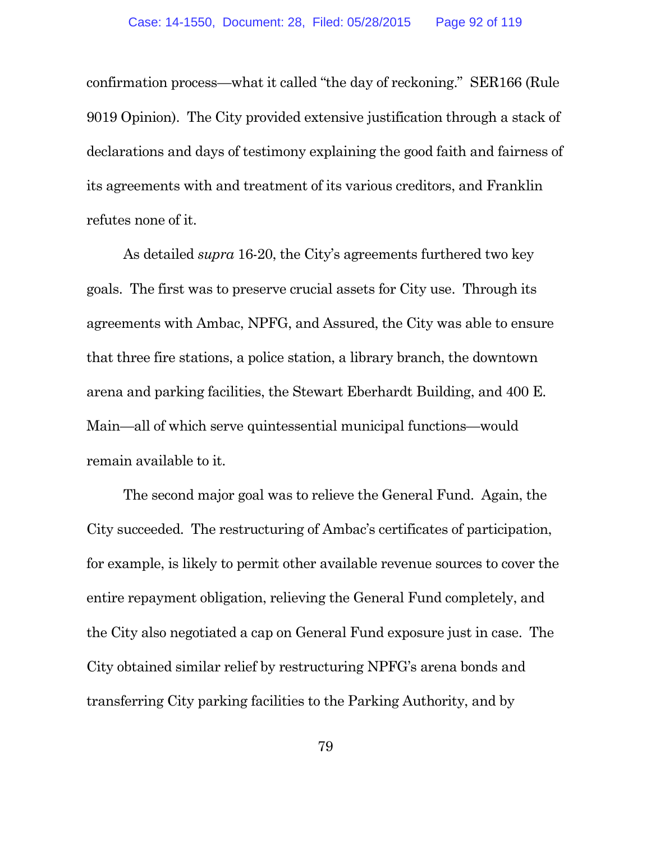confirmation process—what it called "the day of reckoning." SER166 (Rule 9019 Opinion). The City provided extensive justification through a stack of declarations and days of testimony explaining the good faith and fairness of its agreements with and treatment of its various creditors, and Franklin refutes none of it.

As detailed *supra* 16-20, the City's agreements furthered two key goals. The first was to preserve crucial assets for City use. Through its agreements with Ambac, NPFG, and Assured, the City was able to ensure that three fire stations, a police station, a library branch, the downtown arena and parking facilities, the Stewart Eberhardt Building, and 400 E. Main—all of which serve quintessential municipal functions—would remain available to it.

The second major goal was to relieve the General Fund. Again, the City succeeded. The restructuring of Ambac's certificates of participation, for example, is likely to permit other available revenue sources to cover the entire repayment obligation, relieving the General Fund completely, and the City also negotiated a cap on General Fund exposure just in case. The City obtained similar relief by restructuring NPFG's arena bonds and transferring City parking facilities to the Parking Authority, and by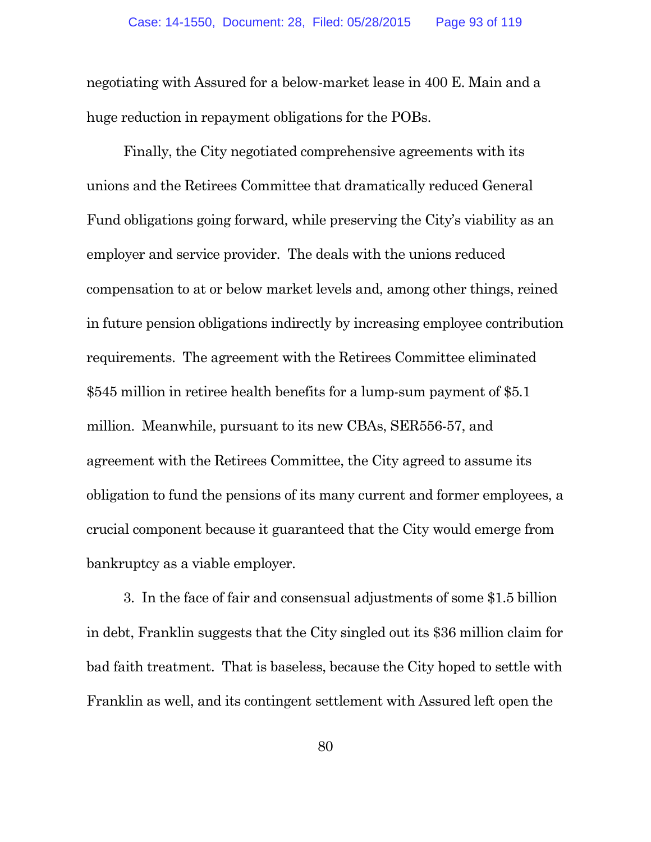negotiating with Assured for a below-market lease in 400 E. Main and a huge reduction in repayment obligations for the POBs.

Finally, the City negotiated comprehensive agreements with its unions and the Retirees Committee that dramatically reduced General Fund obligations going forward, while preserving the City's viability as an employer and service provider. The deals with the unions reduced compensation to at or below market levels and, among other things, reined in future pension obligations indirectly by increasing employee contribution requirements. The agreement with the Retirees Committee eliminated \$545 million in retiree health benefits for a lump-sum payment of \$5.1 million. Meanwhile, pursuant to its new CBAs, SER556-57, and agreement with the Retirees Committee, the City agreed to assume its obligation to fund the pensions of its many current and former employees, a crucial component because it guaranteed that the City would emerge from bankruptcy as a viable employer.

3. In the face of fair and consensual adjustments of some \$1.5 billion in debt, Franklin suggests that the City singled out its \$36 million claim for bad faith treatment. That is baseless, because the City hoped to settle with Franklin as well, and its contingent settlement with Assured left open the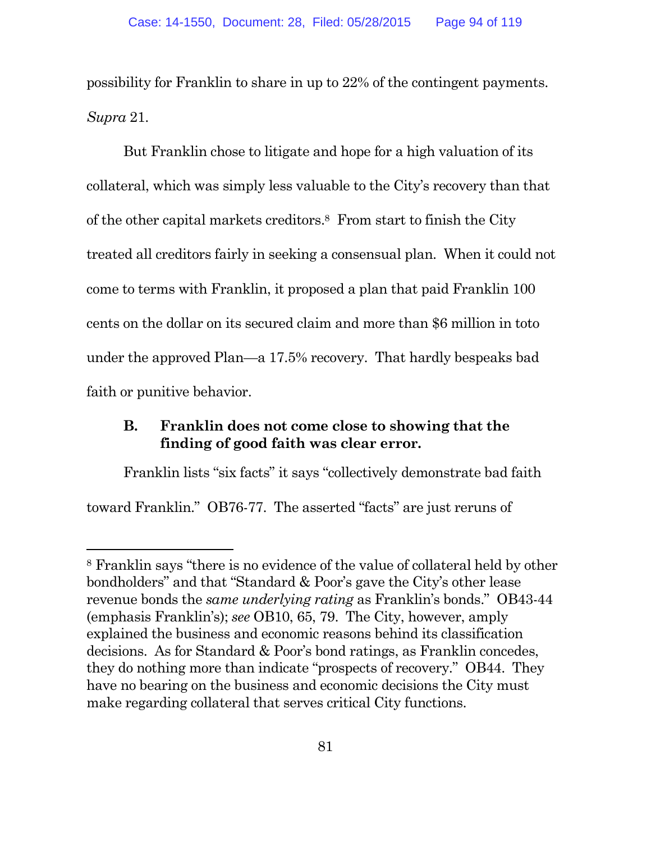possibility for Franklin to share in up to 22% of the contingent payments. *Supra* 21.

But Franklin chose to litigate and hope for a high valuation of its collateral, which was simply less valuable to the City's recovery than that of the other capital markets creditors.<sup>8</sup> From start to finish the City treated all creditors fairly in seeking a consensual plan. When it could not come to terms with Franklin, it proposed a plan that paid Franklin 100 cents on the dollar on its secured claim and more than \$6 million in toto under the approved Plan—a 17.5% recovery. That hardly bespeaks bad faith or punitive behavior.

#### **B. Franklin does not come close to showing that the finding of good faith was clear error.**

Franklin lists "six facts" it says "collectively demonstrate bad faith toward Franklin." OB76-77. The asserted "facts" are just reruns of

<sup>8</sup> Franklin says "there is no evidence of the value of collateral held by other bondholders" and that "Standard & Poor's gave the City's other lease revenue bonds the *same underlying rating* as Franklin's bonds." OB43-44 (emphasis Franklin's); *see* OB10, 65, 79. The City, however, amply explained the business and economic reasons behind its classification decisions. As for Standard & Poor's bond ratings, as Franklin concedes, they do nothing more than indicate "prospects of recovery." OB44. They have no bearing on the business and economic decisions the City must make regarding collateral that serves critical City functions.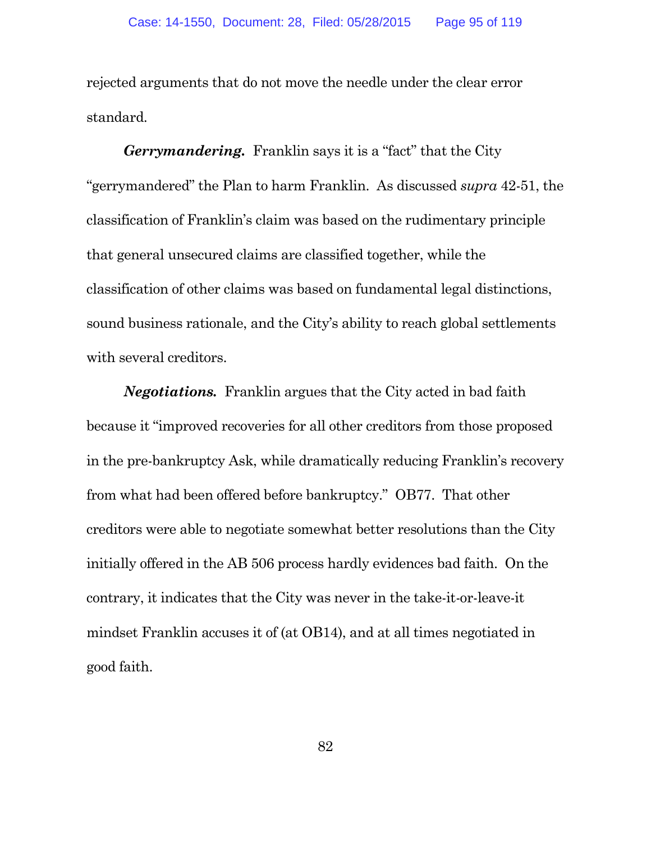rejected arguments that do not move the needle under the clear error standard.

*Gerrymandering.* Franklin says it is a "fact" that the City "gerrymandered" the Plan to harm Franklin. As discussed *supra* 42-51, the classification of Franklin's claim was based on the rudimentary principle that general unsecured claims are classified together, while the classification of other claims was based on fundamental legal distinctions, sound business rationale, and the City's ability to reach global settlements with several creditors.

*Negotiations.* Franklin argues that the City acted in bad faith because it "improved recoveries for all other creditors from those proposed in the pre-bankruptcy Ask, while dramatically reducing Franklin's recovery from what had been offered before bankruptcy." OB77. That other creditors were able to negotiate somewhat better resolutions than the City initially offered in the AB 506 process hardly evidences bad faith. On the contrary, it indicates that the City was never in the take-it-or-leave-it mindset Franklin accuses it of (at OB14), and at all times negotiated in good faith.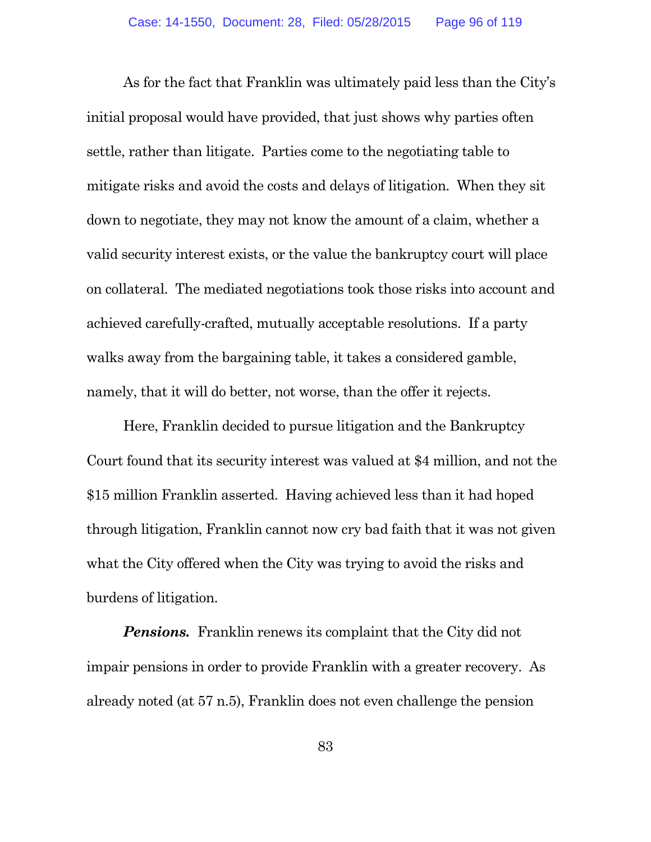As for the fact that Franklin was ultimately paid less than the City's initial proposal would have provided, that just shows why parties often settle, rather than litigate. Parties come to the negotiating table to mitigate risks and avoid the costs and delays of litigation. When they sit down to negotiate, they may not know the amount of a claim, whether a valid security interest exists, or the value the bankruptcy court will place on collateral. The mediated negotiations took those risks into account and achieved carefully-crafted, mutually acceptable resolutions. If a party walks away from the bargaining table, it takes a considered gamble, namely, that it will do better, not worse, than the offer it rejects.

Here, Franklin decided to pursue litigation and the Bankruptcy Court found that its security interest was valued at \$4 million, and not the \$15 million Franklin asserted. Having achieved less than it had hoped through litigation, Franklin cannot now cry bad faith that it was not given what the City offered when the City was trying to avoid the risks and burdens of litigation.

**Pensions.** Franklin renews its complaint that the City did not impair pensions in order to provide Franklin with a greater recovery. As already noted (at 57 n.5), Franklin does not even challenge the pension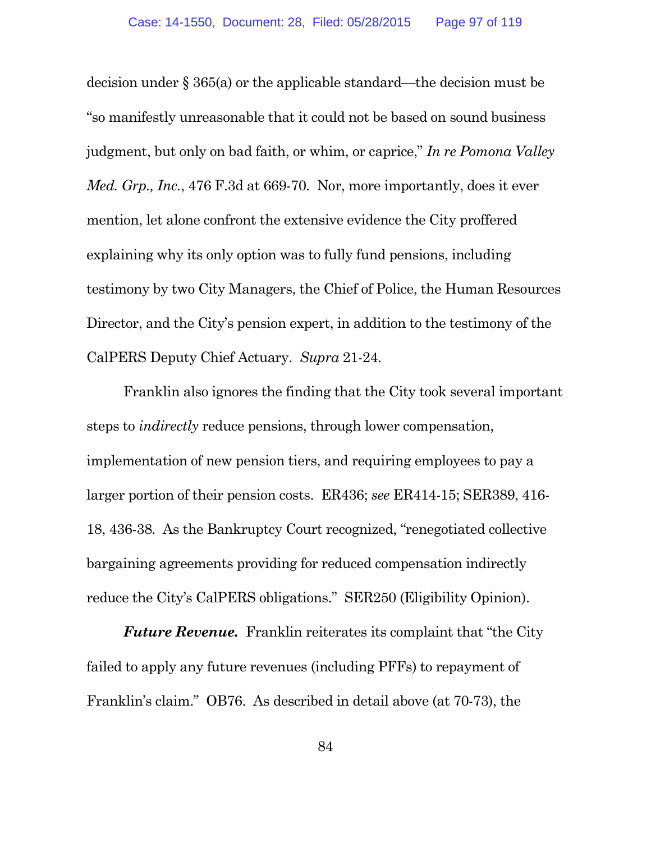decision under § 365(a) or the applicable standard—the decision must be "so manifestly unreasonable that it could not be based on sound business judgment, but only on bad faith, or whim, or caprice," *In re Pomona Valley Med. Grp., Inc.*, 476 F.3d at 669-70. Nor, more importantly, does it ever mention, let alone confront the extensive evidence the City proffered explaining why its only option was to fully fund pensions, including testimony by two City Managers, the Chief of Police, the Human Resources Director, and the City's pension expert, in addition to the testimony of the CalPERS Deputy Chief Actuary. *Supra* 21-24.

Franklin also ignores the finding that the City took several important steps to *indirectly* reduce pensions, through lower compensation, implementation of new pension tiers, and requiring employees to pay a larger portion of their pension costs. ER436; *see* ER414-15; SER389, 416- 18, 436-38. As the Bankruptcy Court recognized, "renegotiated collective bargaining agreements providing for reduced compensation indirectly reduce the City's CalPERS obligations." SER250 (Eligibility Opinion).

*Future Revenue.* Franklin reiterates its complaint that "the City failed to apply any future revenues (including PFFs) to repayment of Franklin's claim." OB76. As described in detail above (at 70-73), the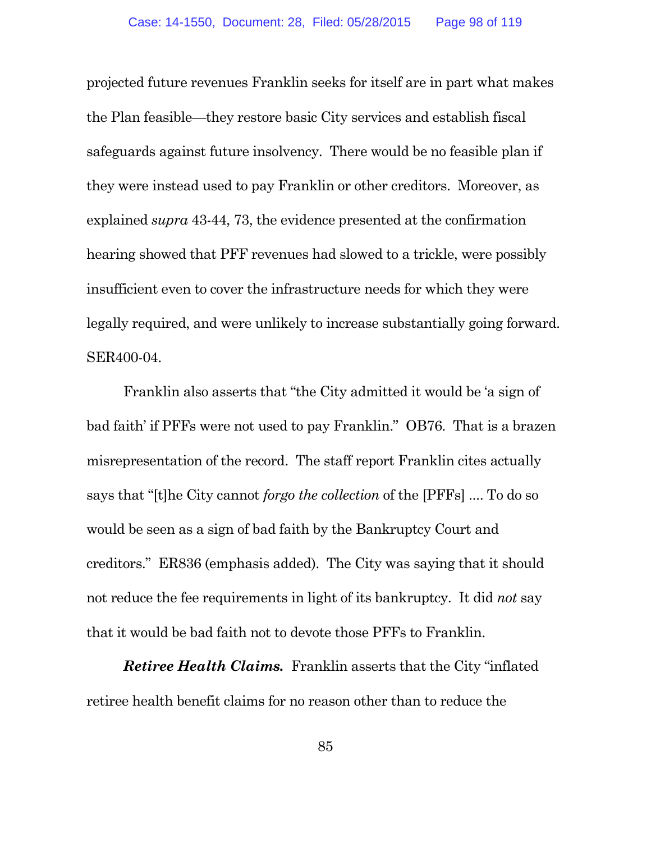projected future revenues Franklin seeks for itself are in part what makes the Plan feasible—they restore basic City services and establish fiscal safeguards against future insolvency. There would be no feasible plan if they were instead used to pay Franklin or other creditors. Moreover, as explained *supra* 43-44, 73, the evidence presented at the confirmation hearing showed that PFF revenues had slowed to a trickle, were possibly insufficient even to cover the infrastructure needs for which they were legally required, and were unlikely to increase substantially going forward. SER400-04.

Franklin also asserts that "the City admitted it would be 'a sign of bad faith' if PFFs were not used to pay Franklin." OB76. That is a brazen misrepresentation of the record. The staff report Franklin cites actually says that "[t]he City cannot *forgo the collection* of the [PFFs] .... To do so would be seen as a sign of bad faith by the Bankruptcy Court and creditors." ER836 (emphasis added). The City was saying that it should not reduce the fee requirements in light of its bankruptcy. It did *not* say that it would be bad faith not to devote those PFFs to Franklin.

*Retiree Health Claims.* Franklin asserts that the City "inflated retiree health benefit claims for no reason other than to reduce the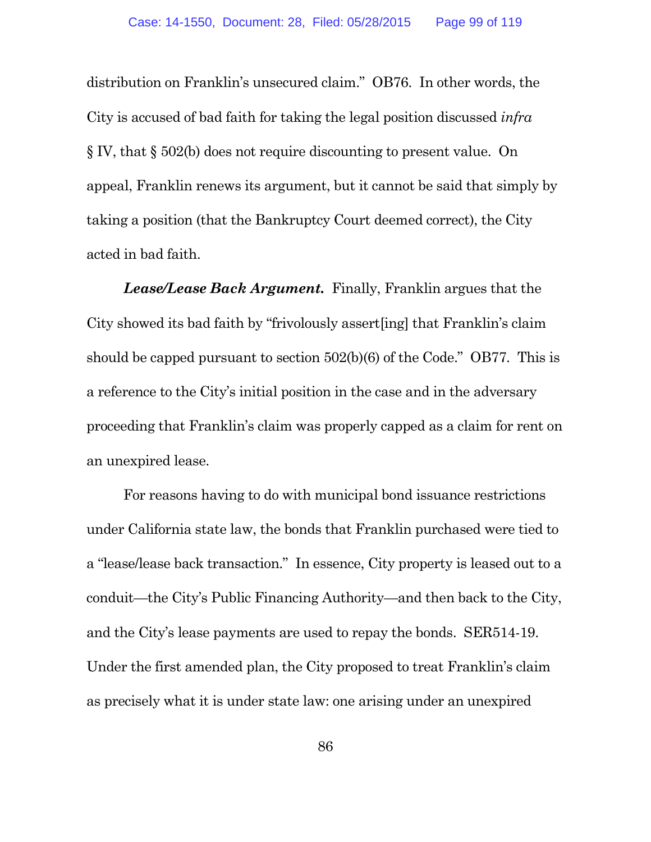distribution on Franklin's unsecured claim." OB76. In other words, the City is accused of bad faith for taking the legal position discussed *infra* § IV, that § 502(b) does not require discounting to present value. On appeal, Franklin renews its argument, but it cannot be said that simply by taking a position (that the Bankruptcy Court deemed correct), the City acted in bad faith.

*Lease/Lease Back Argument.* Finally, Franklin argues that the City showed its bad faith by "frivolously assert[ing] that Franklin's claim should be capped pursuant to section 502(b)(6) of the Code." OB77. This is a reference to the City's initial position in the case and in the adversary proceeding that Franklin's claim was properly capped as a claim for rent on an unexpired lease.

For reasons having to do with municipal bond issuance restrictions under California state law, the bonds that Franklin purchased were tied to a "lease/lease back transaction." In essence, City property is leased out to a conduit—the City's Public Financing Authority—and then back to the City, and the City's lease payments are used to repay the bonds. SER514-19. Under the first amended plan, the City proposed to treat Franklin's claim as precisely what it is under state law: one arising under an unexpired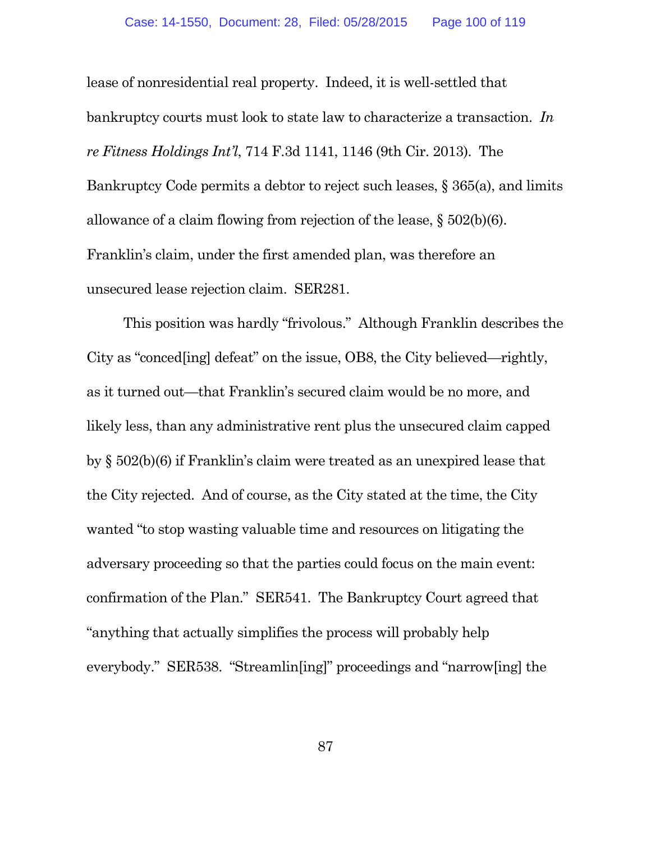lease of nonresidential real property. Indeed, it is well-settled that bankruptcy courts must look to state law to characterize a transaction. *In re Fitness Holdings Int'l*, 714 F.3d 1141, 1146 (9th Cir. 2013). The Bankruptcy Code permits a debtor to reject such leases, § 365(a), and limits allowance of a claim flowing from rejection of the lease, § 502(b)(6). Franklin's claim, under the first amended plan, was therefore an unsecured lease rejection claim. SER281.

This position was hardly "frivolous." Although Franklin describes the City as "conced[ing] defeat" on the issue, OB8, the City believed—rightly, as it turned out—that Franklin's secured claim would be no more, and likely less, than any administrative rent plus the unsecured claim capped by § 502(b)(6) if Franklin's claim were treated as an unexpired lease that the City rejected. And of course, as the City stated at the time, the City wanted "to stop wasting valuable time and resources on litigating the adversary proceeding so that the parties could focus on the main event: confirmation of the Plan." SER541. The Bankruptcy Court agreed that "anything that actually simplifies the process will probably help everybody." SER538. "Streamlin[ing]" proceedings and "narrow[ing] the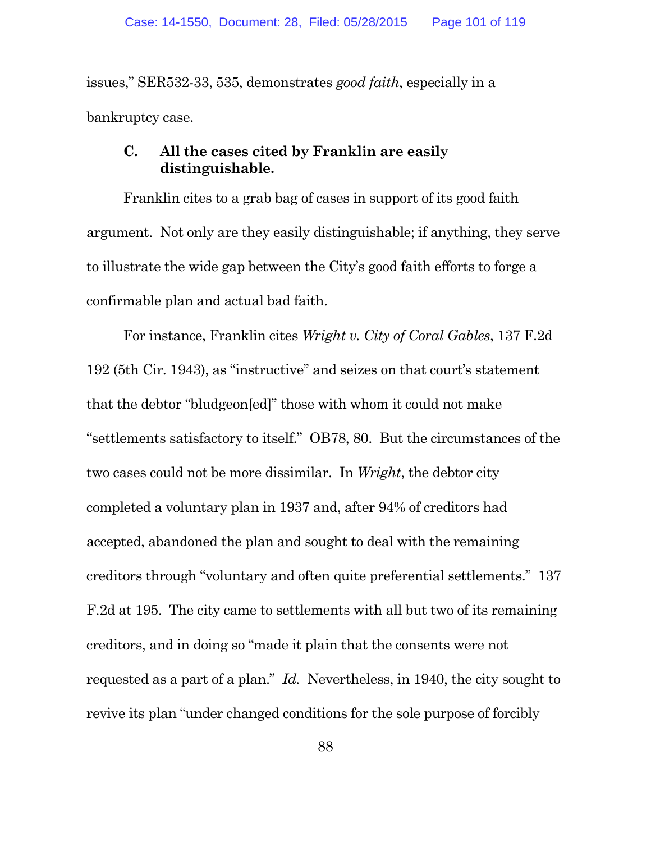issues," SER532-33, 535, demonstrates *good faith*, especially in a bankruptcy case.

#### **C. All the cases cited by Franklin are easily distinguishable.**

Franklin cites to a grab bag of cases in support of its good faith argument. Not only are they easily distinguishable; if anything, they serve to illustrate the wide gap between the City's good faith efforts to forge a confirmable plan and actual bad faith.

For instance, Franklin cites *Wright v. City of Coral Gables*, 137 F.2d 192 (5th Cir. 1943), as "instructive" and seizes on that court's statement that the debtor "bludgeon[ed]" those with whom it could not make "settlements satisfactory to itself." OB78, 80. But the circumstances of the two cases could not be more dissimilar. In *Wright*, the debtor city completed a voluntary plan in 1937 and, after 94% of creditors had accepted, abandoned the plan and sought to deal with the remaining creditors through "voluntary and often quite preferential settlements." 137 F.2d at 195. The city came to settlements with all but two of its remaining creditors, and in doing so "made it plain that the consents were not requested as a part of a plan." *Id.* Nevertheless, in 1940, the city sought to revive its plan "under changed conditions for the sole purpose of forcibly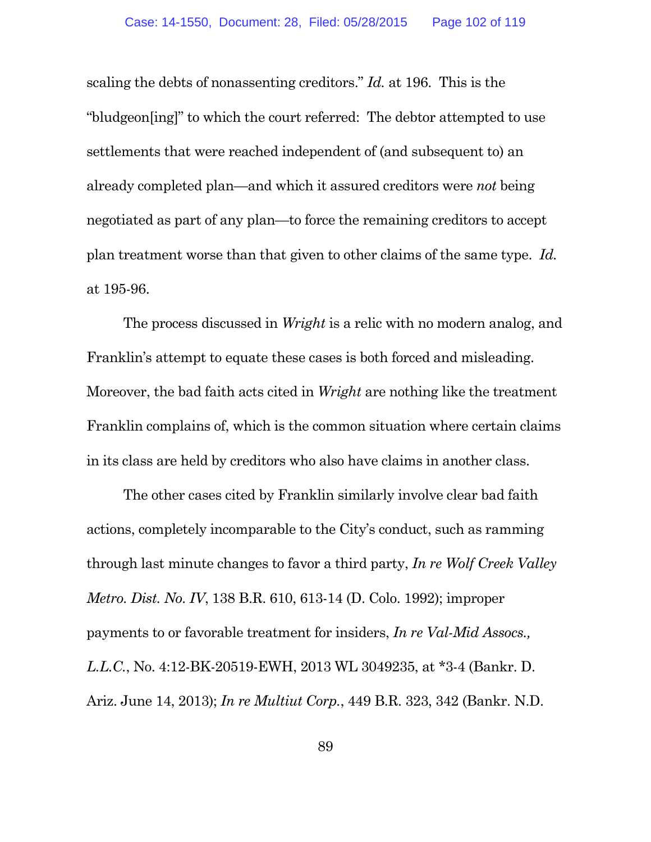scaling the debts of nonassenting creditors." *Id.* at 196. This is the "bludgeon[ing]" to which the court referred: The debtor attempted to use settlements that were reached independent of (and subsequent to) an already completed plan—and which it assured creditors were *not* being negotiated as part of any plan—to force the remaining creditors to accept plan treatment worse than that given to other claims of the same type. *Id.* at 195-96.

The process discussed in *Wright* is a relic with no modern analog, and Franklin's attempt to equate these cases is both forced and misleading. Moreover, the bad faith acts cited in *Wright* are nothing like the treatment Franklin complains of, which is the common situation where certain claims in its class are held by creditors who also have claims in another class.

The other cases cited by Franklin similarly involve clear bad faith actions, completely incomparable to the City's conduct, such as ramming through last minute changes to favor a third party, *In re Wolf Creek Valley Metro. Dist. No. IV*, 138 B.R. 610, 613-14 (D. Colo. 1992); improper payments to or favorable treatment for insiders, *In re Val-Mid Assocs., L.L.C.*, No. 4:12-BK-20519-EWH, 2013 WL 3049235, at \*3-4 (Bankr. D. Ariz. June 14, 2013); *In re Multiut Corp.*, 449 B.R. 323, 342 (Bankr. N.D.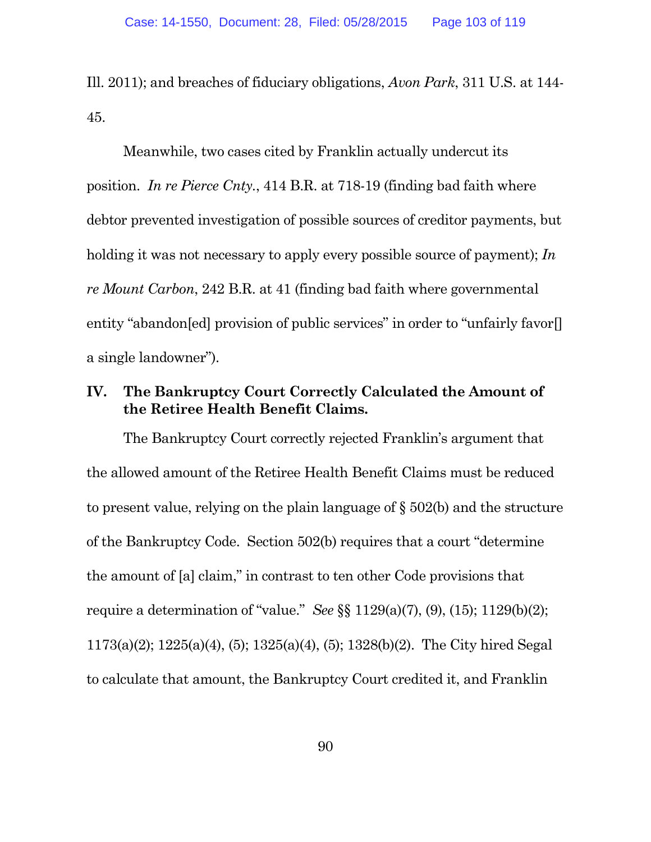Ill. 2011); and breaches of fiduciary obligations, *Avon Park*, 311 U.S. at 144- 45.

Meanwhile, two cases cited by Franklin actually undercut its position. *In re Pierce Cnty.*, 414 B.R. at 718-19 (finding bad faith where debtor prevented investigation of possible sources of creditor payments, but holding it was not necessary to apply every possible source of payment); *In re Mount Carbon*, 242 B.R. at 41 (finding bad faith where governmental entity "abandon[ed] provision of public services" in order to "unfairly favor[] a single landowner").

#### **IV. The Bankruptcy Court Correctly Calculated the Amount of the Retiree Health Benefit Claims.**

The Bankruptcy Court correctly rejected Franklin's argument that the allowed amount of the Retiree Health Benefit Claims must be reduced to present value, relying on the plain language of § 502(b) and the structure of the Bankruptcy Code. Section 502(b) requires that a court "determine the amount of [a] claim," in contrast to ten other Code provisions that require a determination of "value." *See* §§ 1129(a)(7), (9), (15); 1129(b)(2); 1173(a)(2); 1225(a)(4), (5); 1325(a)(4), (5); 1328(b)(2). The City hired Segal to calculate that amount, the Bankruptcy Court credited it, and Franklin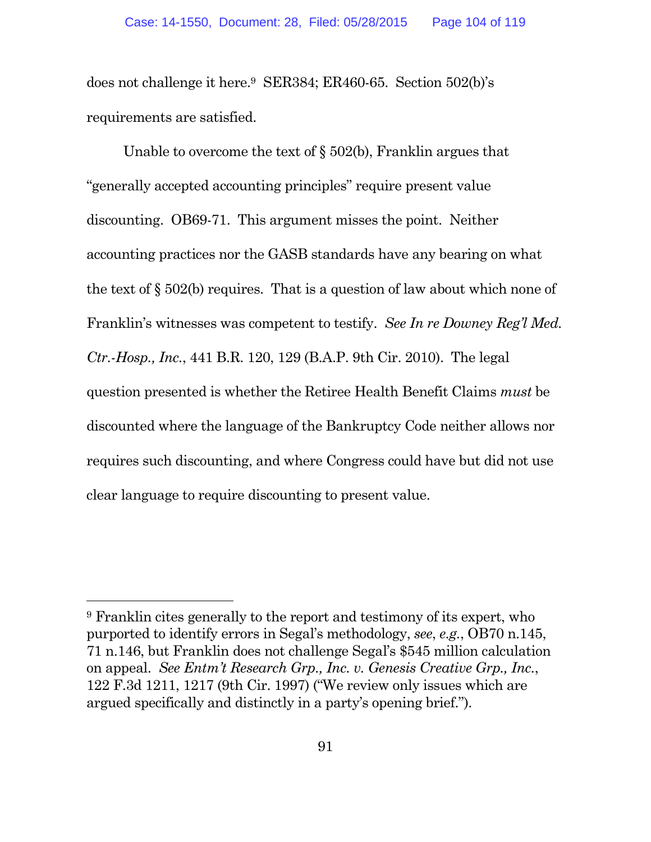does not challenge it here.<sup>9</sup> SER384; ER460-65. Section 502(b)'s requirements are satisfied.

Unable to overcome the text of  $\S$  502(b), Franklin argues that "generally accepted accounting principles" require present value discounting. OB69-71. This argument misses the point. Neither accounting practices nor the GASB standards have any bearing on what the text of § 502(b) requires. That is a question of law about which none of Franklin's witnesses was competent to testify. *See In re Downey Reg'l Med. Ctr.-Hosp., Inc.*, 441 B.R. 120, 129 (B.A.P. 9th Cir. 2010). The legal question presented is whether the Retiree Health Benefit Claims *must* be discounted where the language of the Bankruptcy Code neither allows nor requires such discounting, and where Congress could have but did not use clear language to require discounting to present value.

<sup>9</sup> Franklin cites generally to the report and testimony of its expert, who purported to identify errors in Segal's methodology, *see*, *e.g.*, OB70 n.145, 71 n.146, but Franklin does not challenge Segal's \$545 million calculation on appeal. *See Entm't Research Grp., Inc. v. Genesis Creative Grp., Inc.*, 122 F.3d 1211, 1217 (9th Cir. 1997) ("We review only issues which are argued specifically and distinctly in a party's opening brief.").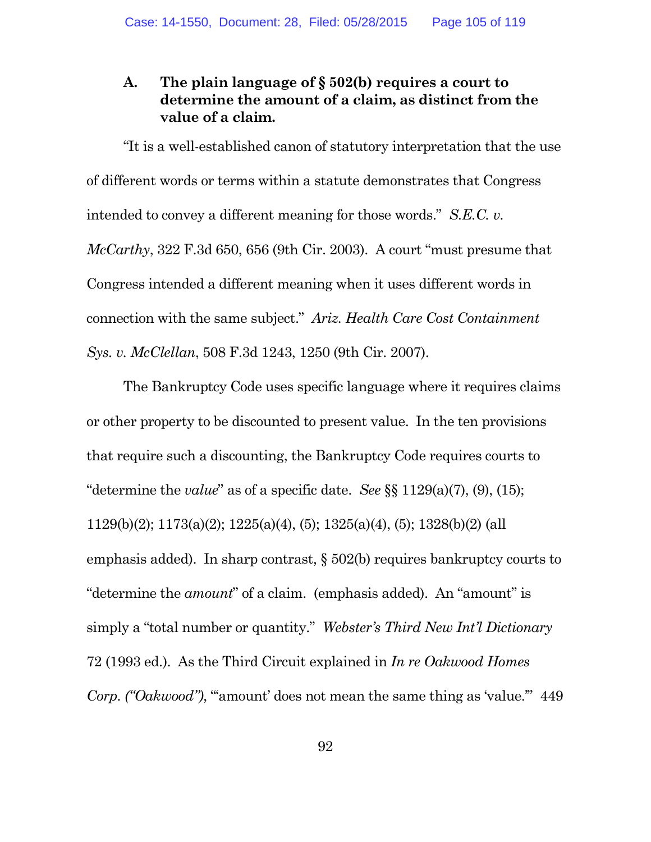### **A. The plain language of § 502(b) requires a court to determine the amount of a claim, as distinct from the value of a claim.**

"It is a well-established canon of statutory interpretation that the use of different words or terms within a statute demonstrates that Congress intended to convey a different meaning for those words." *S.E.C. v. McCarthy*, 322 F.3d 650, 656 (9th Cir. 2003). A court "must presume that Congress intended a different meaning when it uses different words in connection with the same subject." *Ariz. Health Care Cost Containment Sys. v. McClellan*, 508 F.3d 1243, 1250 (9th Cir. 2007).

The Bankruptcy Code uses specific language where it requires claims or other property to be discounted to present value. In the ten provisions that require such a discounting, the Bankruptcy Code requires courts to "determine the *value*" as of a specific date. *See* §§ 1129(a)(7), (9), (15); 1129(b)(2); 1173(a)(2); 1225(a)(4), (5); 1325(a)(4), (5); 1328(b)(2) (all emphasis added). In sharp contrast, § 502(b) requires bankruptcy courts to "determine the *amount*" of a claim. (emphasis added). An "amount" is simply a "total number or quantity." *Webster's Third New Int'l Dictionary* 72 (1993 ed.). As the Third Circuit explained in *In re Oakwood Homes Corp.* ("Oakwood"), ""amount' does not mean the same thing as 'value." 449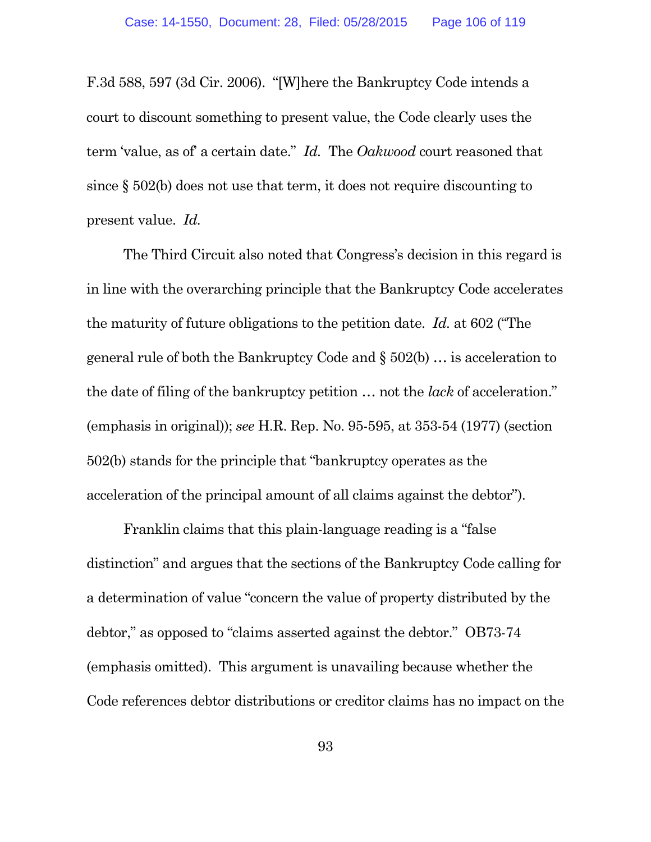F.3d 588, 597 (3d Cir. 2006). "[W]here the Bankruptcy Code intends a court to discount something to present value, the Code clearly uses the term 'value, as of' a certain date." *Id.* The *Oakwood* court reasoned that since § 502(b) does not use that term, it does not require discounting to present value. *Id.*

The Third Circuit also noted that Congress's decision in this regard is in line with the overarching principle that the Bankruptcy Code accelerates the maturity of future obligations to the petition date. *Id.* at 602 ("The general rule of both the Bankruptcy Code and § 502(b) … is acceleration to the date of filing of the bankruptcy petition … not the *lack* of acceleration." (emphasis in original)); *see* H.R. Rep. No. 95-595, at 353-54 (1977) (section 502(b) stands for the principle that "bankruptcy operates as the acceleration of the principal amount of all claims against the debtor").

Franklin claims that this plain-language reading is a "false distinction" and argues that the sections of the Bankruptcy Code calling for a determination of value "concern the value of property distributed by the debtor," as opposed to "claims asserted against the debtor." OB73-74 (emphasis omitted). This argument is unavailing because whether the Code references debtor distributions or creditor claims has no impact on the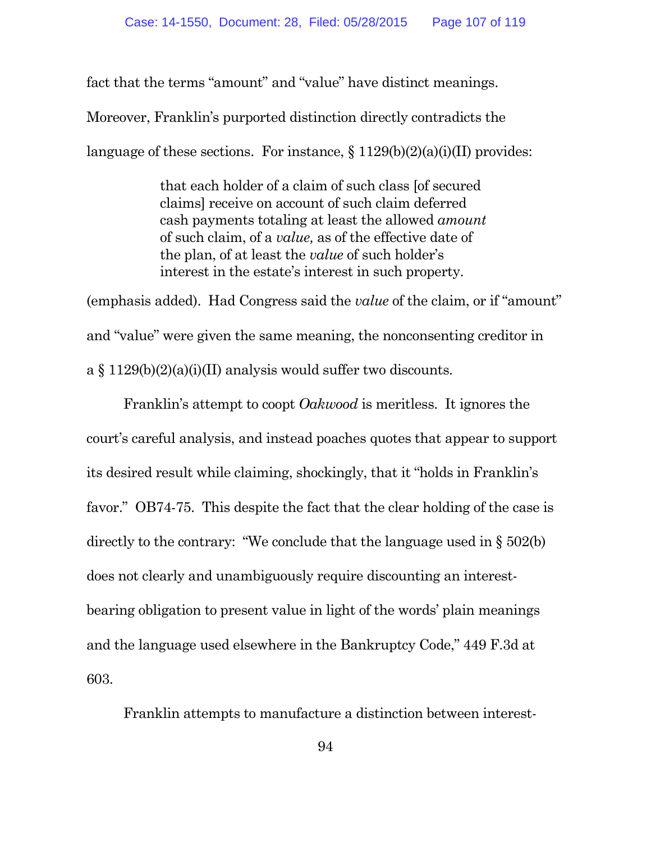fact that the terms "amount" and "value" have distinct meanings.

Moreover, Franklin's purported distinction directly contradicts the

language of these sections. For instance,  $\S 1129(b)(2)(a)(i)(II)$  provides:

that each holder of a claim of such class [of secured claims] receive on account of such claim deferred cash payments totaling at least the allowed *amount* of such claim, of a *value,* as of the effective date of the plan, of at least the *value* of such holder's interest in the estate's interest in such property.

(emphasis added). Had Congress said the *value* of the claim, or if "amount" and "value" were given the same meaning, the nonconsenting creditor in a  $\S 1129(b)(2)(a)(i)(II)$  analysis would suffer two discounts.

Franklin's attempt to coopt *Oakwood* is meritless. It ignores the court's careful analysis, and instead poaches quotes that appear to support its desired result while claiming, shockingly, that it "holds in Franklin's favor." OB74-75. This despite the fact that the clear holding of the case is directly to the contrary: "We conclude that the language used in § 502(b) does not clearly and unambiguously require discounting an interestbearing obligation to present value in light of the words' plain meanings and the language used elsewhere in the Bankruptcy Code," 449 F.3d at 603.

Franklin attempts to manufacture a distinction between interest-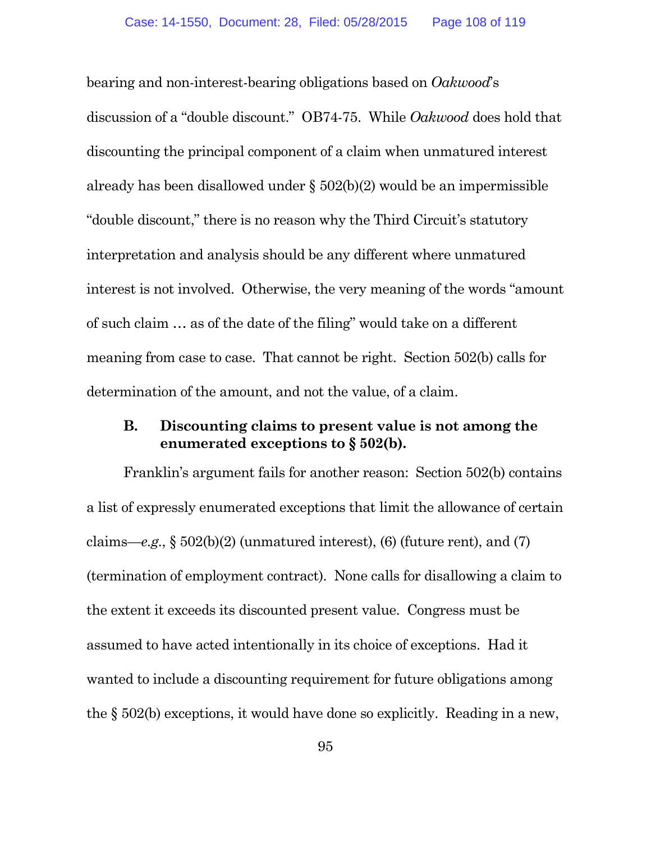bearing and non-interest-bearing obligations based on *Oakwood*'s discussion of a "double discount." OB74-75. While *Oakwood* does hold that discounting the principal component of a claim when unmatured interest already has been disallowed under § 502(b)(2) would be an impermissible "double discount," there is no reason why the Third Circuit's statutory interpretation and analysis should be any different where unmatured interest is not involved. Otherwise, the very meaning of the words "amount of such claim … as of the date of the filing" would take on a different meaning from case to case. That cannot be right. Section 502(b) calls for determination of the amount, and not the value, of a claim.

#### **B. Discounting claims to present value is not among the enumerated exceptions to § 502(b).**

Franklin's argument fails for another reason: Section 502(b) contains a list of expressly enumerated exceptions that limit the allowance of certain claims—*e.g.*, § 502(b)(2) (unmatured interest), (6) (future rent), and (7) (termination of employment contract). None calls for disallowing a claim to the extent it exceeds its discounted present value. Congress must be assumed to have acted intentionally in its choice of exceptions. Had it wanted to include a discounting requirement for future obligations among the § 502(b) exceptions, it would have done so explicitly. Reading in a new,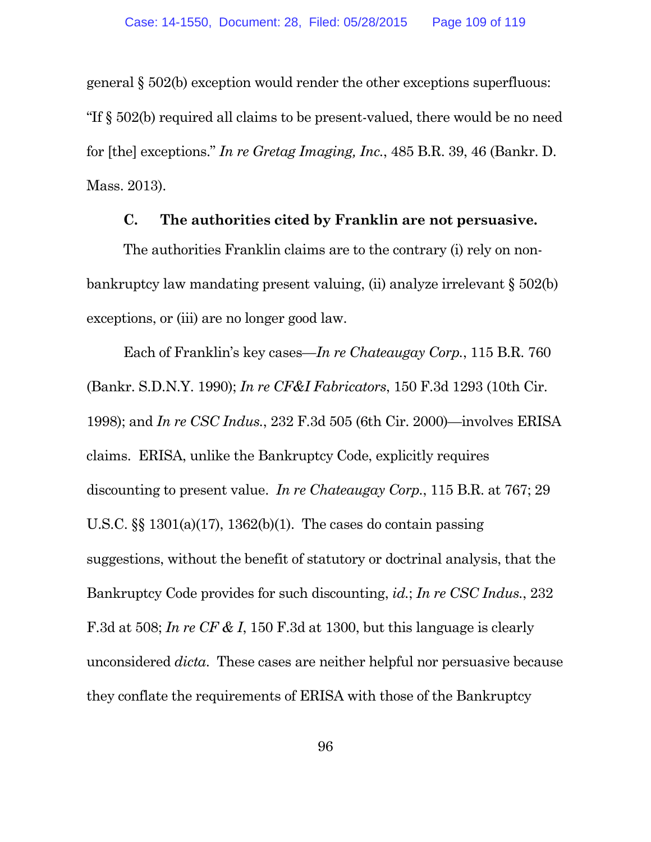general § 502(b) exception would render the other exceptions superfluous: "If § 502(b) required all claims to be present-valued, there would be no need for [the] exceptions." *In re Gretag Imaging, Inc.*, 485 B.R. 39, 46 (Bankr. D. Mass. 2013).

#### **C. The authorities cited by Franklin are not persuasive.**

The authorities Franklin claims are to the contrary (i) rely on nonbankruptcy law mandating present valuing, (ii) analyze irrelevant § 502(b) exceptions, or (iii) are no longer good law.

Each of Franklin's key cases—*In re Chateaugay Corp.*, 115 B.R. 760 (Bankr. S.D.N.Y. 1990); *In re CF&I Fabricators*, 150 F.3d 1293 (10th Cir. 1998); and *In re CSC Indus.*, 232 F.3d 505 (6th Cir. 2000)—involves ERISA claims. ERISA, unlike the Bankruptcy Code, explicitly requires discounting to present value. *In re Chateaugay Corp.*, 115 B.R. at 767; 29 U.S.C. §§ 1301(a)(17), 1362(b)(1). The cases do contain passing suggestions, without the benefit of statutory or doctrinal analysis, that the Bankruptcy Code provides for such discounting, *id.*; *In re CSC Indus.*, 232 F.3d at 508; *In re CF & I*, 150 F.3d at 1300, but this language is clearly unconsidered *dicta*. These cases are neither helpful nor persuasive because they conflate the requirements of ERISA with those of the Bankruptcy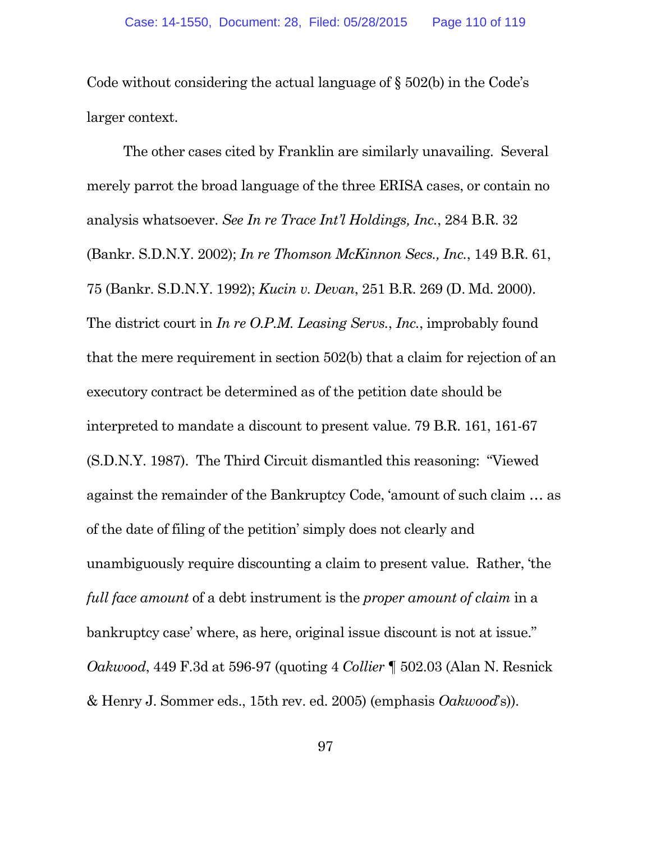Code without considering the actual language of § 502(b) in the Code's larger context.

The other cases cited by Franklin are similarly unavailing. Several merely parrot the broad language of the three ERISA cases, or contain no analysis whatsoever. *See In re Trace Int'l Holdings, Inc.*, 284 B.R. 32 (Bankr. S.D.N.Y. 2002); *In re Thomson McKinnon Secs., Inc.*, 149 B.R. 61, 75 (Bankr. S.D.N.Y. 1992); *Kucin v. Devan*, 251 B.R. 269 (D. Md. 2000). The district court in *In re O.P.M. Leasing Servs.*, *Inc.*, improbably found that the mere requirement in section 502(b) that a claim for rejection of an executory contract be determined as of the petition date should be interpreted to mandate a discount to present value. 79 B.R. 161, 161-67 (S.D.N.Y. 1987). The Third Circuit dismantled this reasoning: "Viewed against the remainder of the Bankruptcy Code, 'amount of such claim … as of the date of filing of the petition' simply does not clearly and unambiguously require discounting a claim to present value. Rather, 'the *full face amount* of a debt instrument is the *proper amount of claim* in a bankruptcy case' where, as here, original issue discount is not at issue." *Oakwood*, 449 F.3d at 596-97 (quoting 4 *Collier* ¶ 502.03 (Alan N. Resnick & Henry J. Sommer eds., 15th rev. ed. 2005) (emphasis *Oakwood*'s)).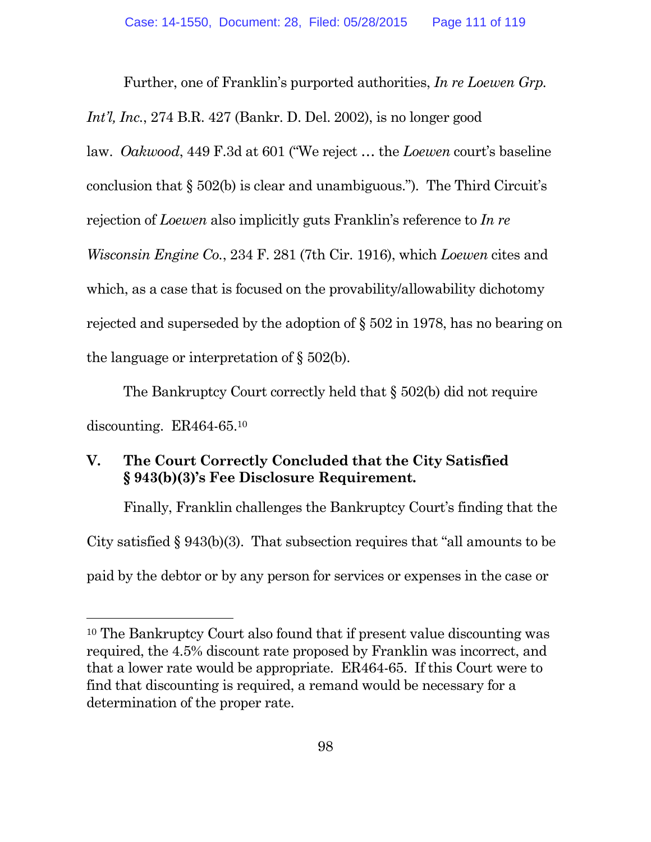Further, one of Franklin's purported authorities, *In re Loewen Grp. Int'l, Inc.*, 274 B.R. 427 (Bankr. D. Del. 2002), is no longer good law. *Oakwood*, 449 F.3d at 601 ("We reject … the *Loewen* court's baseline conclusion that  $\S 502(b)$  is clear and unambiguous."). The Third Circuit's rejection of *Loewen* also implicitly guts Franklin's reference to *In re Wisconsin Engine Co.*, 234 F. 281 (7th Cir. 1916), which *Loewen* cites and which, as a case that is focused on the provability/allowability dichotomy rejected and superseded by the adoption of § 502 in 1978, has no bearing on the language or interpretation of  $\S 502(b)$ .

The Bankruptcy Court correctly held that § 502(b) did not require discounting. ER464-65.<sup>10</sup>

# **V. The Court Correctly Concluded that the City Satisfied § 943(b)(3)'s Fee Disclosure Requirement.**

Finally, Franklin challenges the Bankruptcy Court's finding that the City satisfied § 943(b)(3). That subsection requires that "all amounts to be paid by the debtor or by any person for services or expenses in the case or

<sup>10</sup> The Bankruptcy Court also found that if present value discounting was required, the 4.5% discount rate proposed by Franklin was incorrect, and that a lower rate would be appropriate. ER464-65. If this Court were to find that discounting is required, a remand would be necessary for a determination of the proper rate.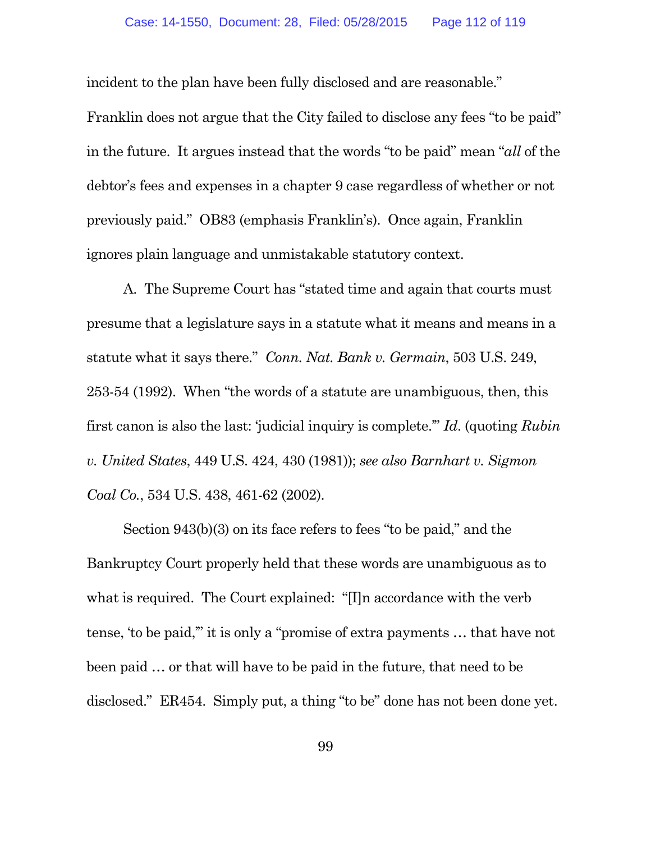incident to the plan have been fully disclosed and are reasonable."

Franklin does not argue that the City failed to disclose any fees "to be paid" in the future. It argues instead that the words "to be paid" mean "*all* of the debtor's fees and expenses in a chapter 9 case regardless of whether or not previously paid." OB83 (emphasis Franklin's). Once again, Franklin ignores plain language and unmistakable statutory context.

A. The Supreme Court has "stated time and again that courts must presume that a legislature says in a statute what it means and means in a statute what it says there." *Conn. Nat. Bank v. Germain*, 503 U.S. 249, 253-54 (1992). When "the words of a statute are unambiguous, then, this first canon is also the last: 'judicial inquiry is complete.'" *Id*. (quoting *Rubin v. United States*, 449 U.S. 424, 430 (1981)); *see also Barnhart v. Sigmon Coal Co.*, 534 U.S. 438, 461-62 (2002).

Section 943(b)(3) on its face refers to fees "to be paid," and the Bankruptcy Court properly held that these words are unambiguous as to what is required. The Court explained: "[I]n accordance with the verb tense, 'to be paid,'" it is only a "promise of extra payments … that have not been paid … or that will have to be paid in the future, that need to be disclosed." ER454. Simply put, a thing "to be" done has not been done yet.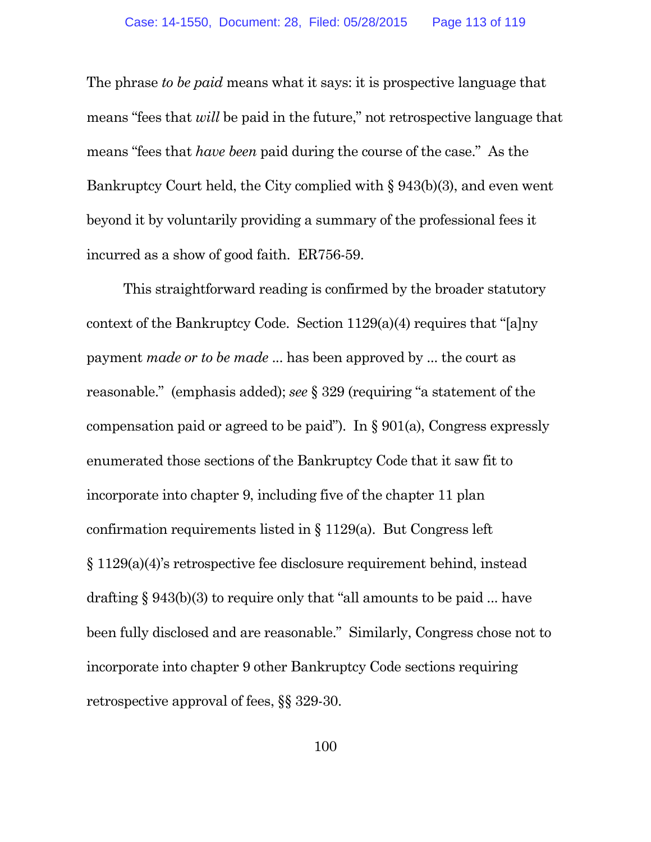The phrase *to be paid* means what it says: it is prospective language that means "fees that *will* be paid in the future," not retrospective language that means "fees that *have been* paid during the course of the case." As the Bankruptcy Court held, the City complied with § 943(b)(3), and even went beyond it by voluntarily providing a summary of the professional fees it incurred as a show of good faith. ER756-59.

This straightforward reading is confirmed by the broader statutory context of the Bankruptcy Code. Section 1129(a)(4) requires that "[a]ny payment *made or to be made* ... has been approved by ... the court as reasonable." (emphasis added); *see* § 329 (requiring "a statement of the compensation paid or agreed to be paid"). In  $\S 901(a)$ , Congress expressly enumerated those sections of the Bankruptcy Code that it saw fit to incorporate into chapter 9, including five of the chapter 11 plan confirmation requirements listed in § 1129(a). But Congress left § 1129(a)(4)'s retrospective fee disclosure requirement behind, instead drafting § 943(b)(3) to require only that "all amounts to be paid ... have been fully disclosed and are reasonable." Similarly, Congress chose not to incorporate into chapter 9 other Bankruptcy Code sections requiring retrospective approval of fees, §§ 329-30.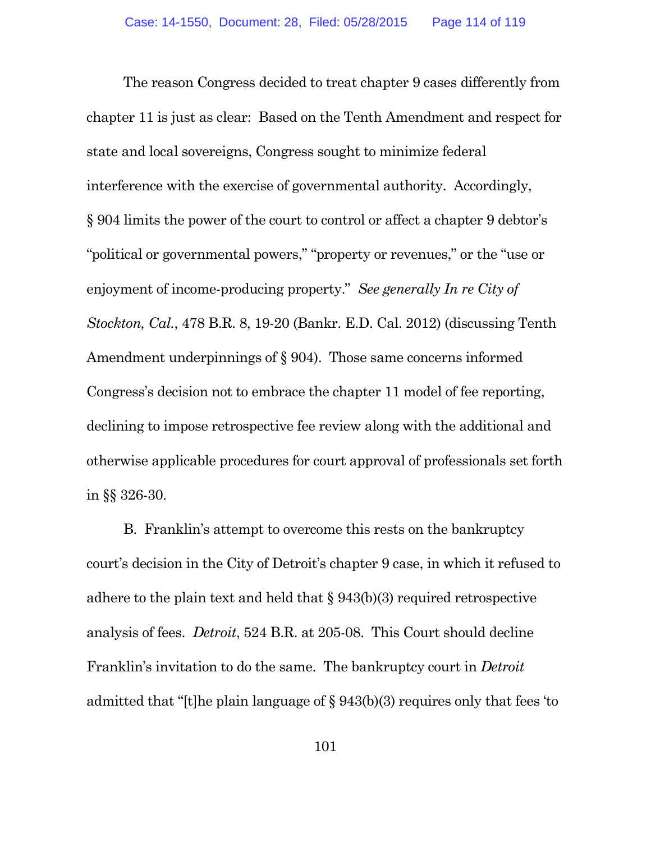The reason Congress decided to treat chapter 9 cases differently from chapter 11 is just as clear: Based on the Tenth Amendment and respect for state and local sovereigns, Congress sought to minimize federal interference with the exercise of governmental authority. Accordingly, § 904 limits the power of the court to control or affect a chapter 9 debtor's "political or governmental powers," "property or revenues," or the "use or enjoyment of income-producing property." *See generally In re City of Stockton, Cal.*, 478 B.R. 8, 19-20 (Bankr. E.D. Cal. 2012) (discussing Tenth Amendment underpinnings of § 904). Those same concerns informed Congress's decision not to embrace the chapter 11 model of fee reporting, declining to impose retrospective fee review along with the additional and otherwise applicable procedures for court approval of professionals set forth in §§ 326-30.

B. Franklin's attempt to overcome this rests on the bankruptcy court's decision in the City of Detroit's chapter 9 case, in which it refused to adhere to the plain text and held that § 943(b)(3) required retrospective analysis of fees. *Detroit*, 524 B.R. at 205-08. This Court should decline Franklin's invitation to do the same. The bankruptcy court in *Detroit* admitted that "[t]he plain language of § 943(b)(3) requires only that fees 'to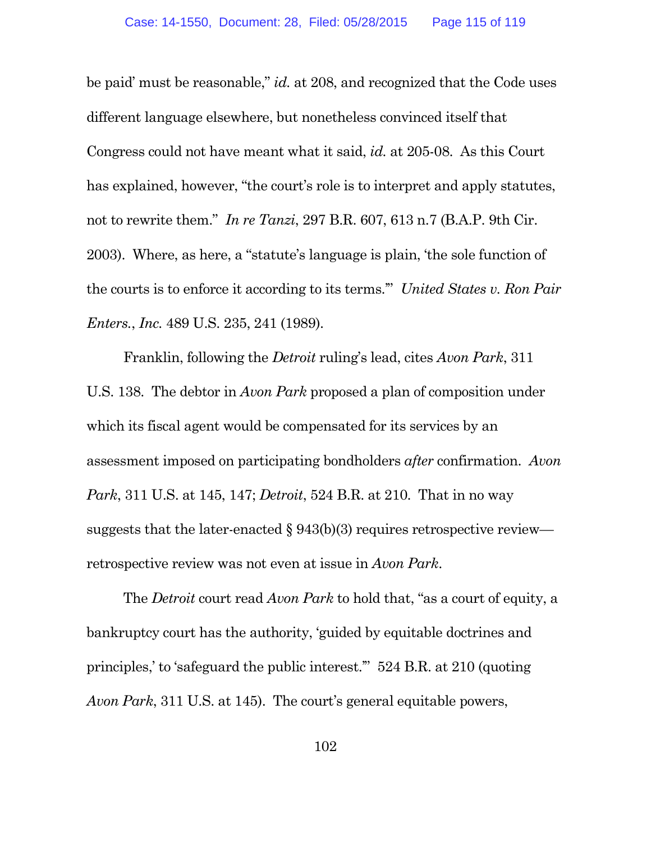be paid' must be reasonable," *id.* at 208, and recognized that the Code uses different language elsewhere, but nonetheless convinced itself that Congress could not have meant what it said, *id.* at 205-08. As this Court has explained, however, "the court's role is to interpret and apply statutes, not to rewrite them." *In re Tanzi*, 297 B.R. 607, 613 n.7 (B.A.P. 9th Cir. 2003). Where, as here, a "statute's language is plain, 'the sole function of the courts is to enforce it according to its terms.'" *United States v. Ron Pair Enters.*, *Inc.* 489 U.S. 235, 241 (1989).

Franklin, following the *Detroit* ruling's lead, cites *Avon Park*, 311 U.S. 138. The debtor in *Avon Park* proposed a plan of composition under which its fiscal agent would be compensated for its services by an assessment imposed on participating bondholders *after* confirmation. *Avon Park*, 311 U.S. at 145, 147; *Detroit*, 524 B.R. at 210. That in no way suggests that the later-enacted  $\S 943(b)(3)$  requires retrospective review retrospective review was not even at issue in *Avon Park*.

The *Detroit* court read *Avon Park* to hold that, "as a court of equity, a bankruptcy court has the authority, 'guided by equitable doctrines and principles,' to 'safeguard the public interest.'" 524 B.R. at 210 (quoting *Avon Park*, 311 U.S. at 145). The court's general equitable powers,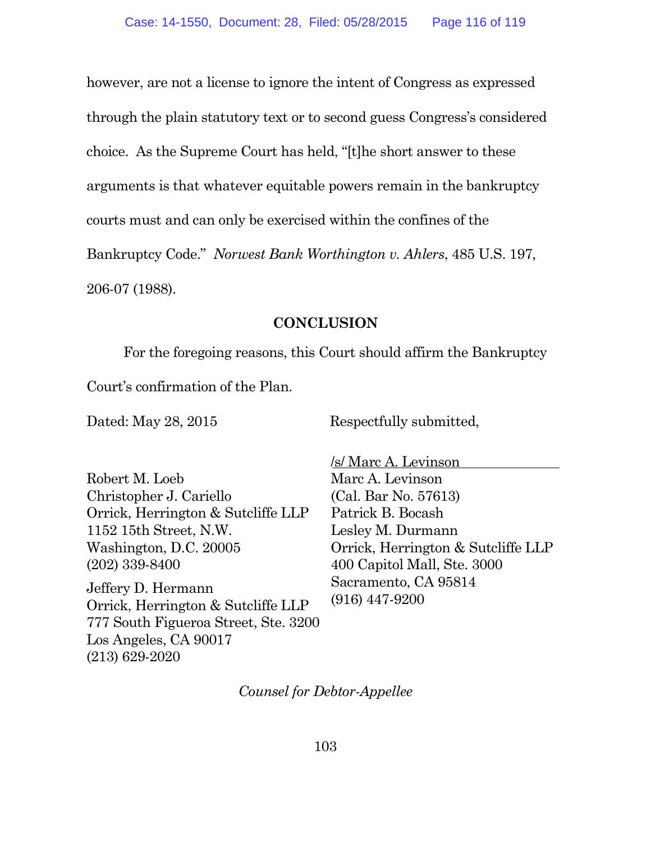however, are not a license to ignore the intent of Congress as expressed through the plain statutory text or to second guess Congress's considered choice. As the Supreme Court has held, "[t]he short answer to these arguments is that whatever equitable powers remain in the bankruptcy courts must and can only be exercised within the confines of the

Bankruptcy Code." *Norwest Bank Worthington v. Ahlers*, 485 U.S. 197,

206-07 (1988).

### **CONCLUSION**

For the foregoing reasons, this Court should affirm the Bankruptcy

Court's confirmation of the Plan.

Dated: May 28, 2015 Respectfully submitted,

Robert M. Loeb Christopher J. Cariello Orrick, Herrington & Sutcliffe LLP 1152 15th Street, N.W. Washington, D.C. 20005 (202) 339-8400

Jeffery D. Hermann Orrick, Herrington & Sutcliffe LLP 777 South Figueroa Street, Ste. 3200 Los Angeles, CA 90017 (213) 629-2020

/s/ Marc A. Levinson Marc A. Levinson (Cal. Bar No. 57613) Patrick B. Bocash Lesley M. Durmann Orrick, Herrington & Sutcliffe LLP 400 Capitol Mall, Ste. 3000 Sacramento, CA 95814 (916) 447-9200

*Counsel for Debtor-Appellee*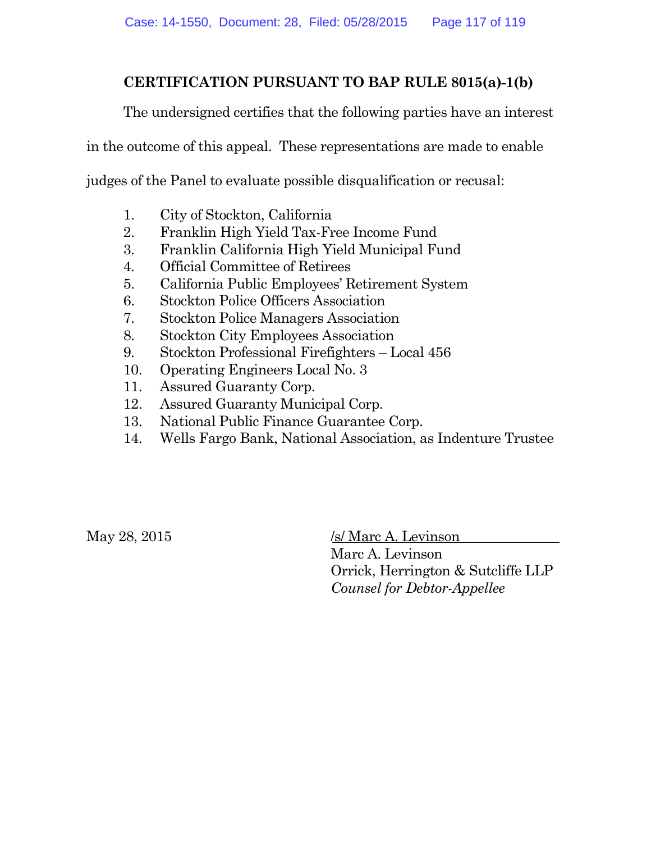## **CERTIFICATION PURSUANT TO BAP RULE 8015(a)-1(b)**

The undersigned certifies that the following parties have an interest

in the outcome of this appeal. These representations are made to enable

judges of the Panel to evaluate possible disqualification or recusal:

- 1. City of Stockton, California
- 2. Franklin High Yield Tax-Free Income Fund
- 3. Franklin California High Yield Municipal Fund
- 4. Official Committee of Retirees
- 5. California Public Employees' Retirement System
- 6. Stockton Police Officers Association
- 7. Stockton Police Managers Association
- 8. Stockton City Employees Association
- 9. Stockton Professional Firefighters Local 456
- 10. Operating Engineers Local No. 3
- 11. Assured Guaranty Corp.
- 12. Assured Guaranty Municipal Corp.
- 13. National Public Finance Guarantee Corp.
- 14. Wells Fargo Bank, National Association, as Indenture Trustee

 $\text{May } 28, 2015$  /s/ Marc A. Levinson

Marc A. Levinson Orrick, Herrington & Sutcliffe LLP *Counsel for Debtor-Appellee*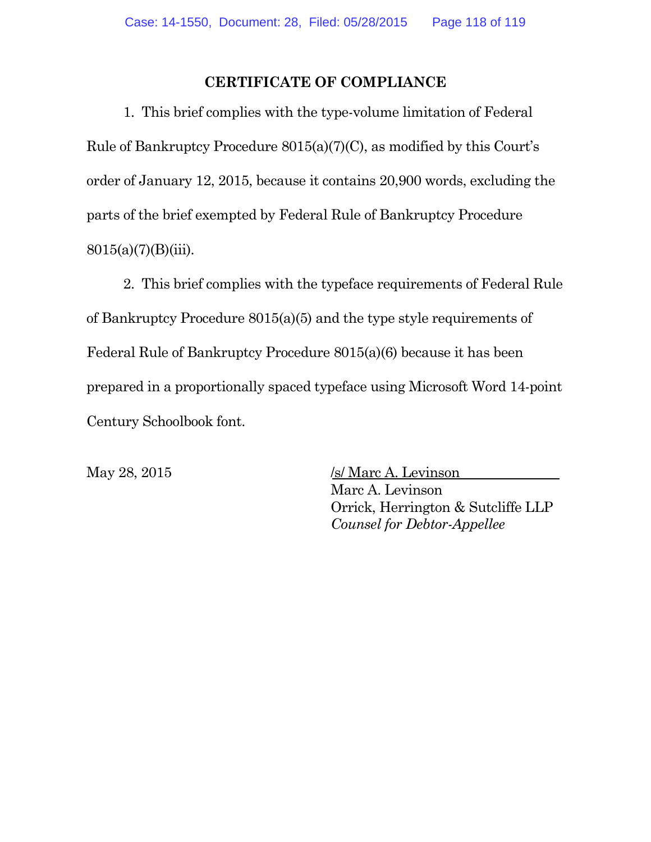### **CERTIFICATE OF COMPLIANCE**

1. This brief complies with the type-volume limitation of Federal Rule of Bankruptcy Procedure 8015(a)(7)(C), as modified by this Court's order of January 12, 2015, because it contains 20,900 words, excluding the parts of the brief exempted by Federal Rule of Bankruptcy Procedure  $8015(a)(7)(B)(iii)$ .

2. This brief complies with the typeface requirements of Federal Rule of Bankruptcy Procedure 8015(a)(5) and the type style requirements of Federal Rule of Bankruptcy Procedure 8015(a)(6) because it has been prepared in a proportionally spaced typeface using Microsoft Word 14-point Century Schoolbook font.

 $\text{May } 28, 2015$  /s/ Marc A. Levinson Marc A. Levinson Orrick, Herrington & Sutcliffe LLP *Counsel for Debtor-Appellee*